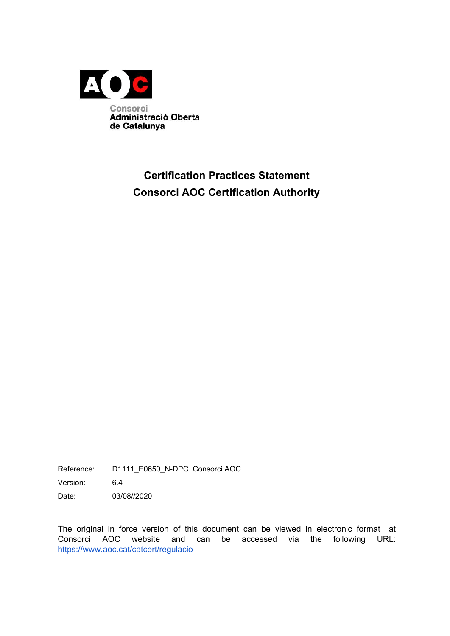

# **Certification Practices Statement Consorci AOC Certification Authority**

Reference: D1111\_E0650\_N-DPC Consorci AOC

Version: 6.4

Date: 03/08//2020

The original in force version of this document can be viewed in electronic format at Consorci AOC website and can be accessed via the following URL: <https://www.aoc.cat/catcert/regulacio>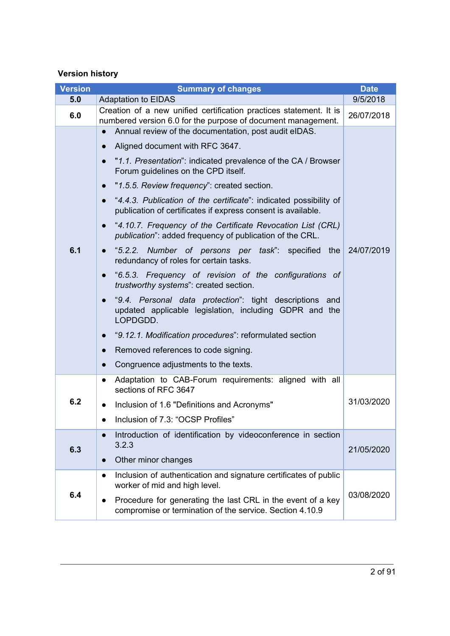## **Version history**

| <b>Version</b>                                                                                                                                                                                                                                                | <b>Summary of changes</b>                                                                                                                                                                                                                                                                                                                                                                                                                                                                                                                                                                                                                                                                                                                                                                                                                                                                                                                                                                                                             |            |
|---------------------------------------------------------------------------------------------------------------------------------------------------------------------------------------------------------------------------------------------------------------|---------------------------------------------------------------------------------------------------------------------------------------------------------------------------------------------------------------------------------------------------------------------------------------------------------------------------------------------------------------------------------------------------------------------------------------------------------------------------------------------------------------------------------------------------------------------------------------------------------------------------------------------------------------------------------------------------------------------------------------------------------------------------------------------------------------------------------------------------------------------------------------------------------------------------------------------------------------------------------------------------------------------------------------|------------|
| 5.0                                                                                                                                                                                                                                                           | <b>Adaptation to EIDAS</b>                                                                                                                                                                                                                                                                                                                                                                                                                                                                                                                                                                                                                                                                                                                                                                                                                                                                                                                                                                                                            |            |
| 6.0                                                                                                                                                                                                                                                           | Creation of a new unified certification practices statement. It is<br>numbered version 6.0 for the purpose of document management.                                                                                                                                                                                                                                                                                                                                                                                                                                                                                                                                                                                                                                                                                                                                                                                                                                                                                                    |            |
| 6.1                                                                                                                                                                                                                                                           | Annual review of the documentation, post audit eIDAS.<br>Aligned document with RFC 3647.<br>"1.1. Presentation": indicated prevalence of the CA / Browser<br>Forum guidelines on the CPD itself.<br>"1.5.5. Review frequency": created section.<br>"4.4.3. Publication of the certificate": indicated possibility of<br>publication of certificates if express consent is available.<br>"4.10.7. Frequency of the Certificate Revocation List (CRL)<br>$\bullet$<br>publication": added frequency of publication of the CRL.<br>"5.2.2. Number of persons per task": specified the<br>$\bullet$<br>redundancy of roles for certain tasks.<br>"6.5.3. Frequency of revision of the configurations of<br>$\bullet$<br>trustworthy systems": created section.<br>"9.4. Personal data protection": tight descriptions and<br>updated applicable legislation, including GDPR and the<br>LOPDGDD.<br>"9.12.1. Modification procedures": reformulated section<br>Removed references to code signing.<br>Congruence adjustments to the texts. | 24/07/2019 |
| 6.2                                                                                                                                                                                                                                                           | Adaptation to CAB-Forum requirements: aligned with all<br>$\bullet$<br>sections of RFC 3647<br>31/03/2020<br>Inclusion of 1.6 "Definitions and Acronyms"<br>Inclusion of 7.3: "OCSP Profiles"                                                                                                                                                                                                                                                                                                                                                                                                                                                                                                                                                                                                                                                                                                                                                                                                                                         |            |
| 6.3                                                                                                                                                                                                                                                           | Introduction of identification by videoconference in section<br>3.2.3<br>21/05/2020<br>Other minor changes                                                                                                                                                                                                                                                                                                                                                                                                                                                                                                                                                                                                                                                                                                                                                                                                                                                                                                                            |            |
| Inclusion of authentication and signature certificates of public<br>$\bullet$<br>worker of mid and high level.<br>6.4<br>Procedure for generating the last CRL in the event of a key<br>$\bullet$<br>compromise or termination of the service. Section 4.10.9 |                                                                                                                                                                                                                                                                                                                                                                                                                                                                                                                                                                                                                                                                                                                                                                                                                                                                                                                                                                                                                                       | 03/08/2020 |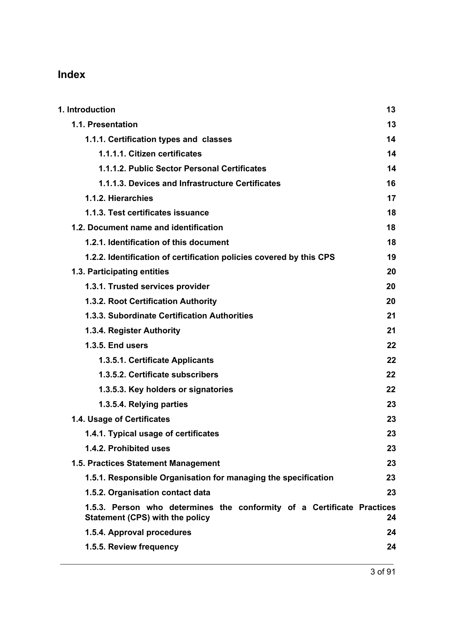# **Index**

| 1. Introduction                                                                                                  | 13 |
|------------------------------------------------------------------------------------------------------------------|----|
| 1.1. Presentation                                                                                                | 13 |
| 1.1.1. Certification types and classes                                                                           | 14 |
| 1.1.1.1. Citizen certificates                                                                                    | 14 |
| 1.1.1.2. Public Sector Personal Certificates                                                                     | 14 |
| 1.1.1.3. Devices and Infrastructure Certificates                                                                 | 16 |
| 1.1.2. Hierarchies                                                                                               | 17 |
| 1.1.3. Test certificates issuance                                                                                | 18 |
| 1.2. Document name and identification                                                                            | 18 |
| 1.2.1. Identification of this document                                                                           | 18 |
| 1.2.2. Identification of certification policies covered by this CPS                                              | 19 |
| 1.3. Participating entities                                                                                      | 20 |
| 1.3.1. Trusted services provider                                                                                 | 20 |
| 1.3.2. Root Certification Authority                                                                              | 20 |
| 1.3.3. Subordinate Certification Authorities                                                                     | 21 |
| 1.3.4. Register Authority                                                                                        | 21 |
| <b>1.3.5. End users</b>                                                                                          | 22 |
| 1.3.5.1. Certificate Applicants                                                                                  | 22 |
| 1.3.5.2. Certificate subscribers                                                                                 | 22 |
| 1.3.5.3. Key holders or signatories                                                                              | 22 |
| 1.3.5.4. Relying parties                                                                                         | 23 |
| 1.4. Usage of Certificates                                                                                       | 23 |
| 1.4.1. Typical usage of certificates                                                                             | 23 |
| 1.4.2. Prohibited uses                                                                                           | 23 |
| 1.5. Practices Statement Management                                                                              | 23 |
| 1.5.1. Responsible Organisation for managing the specification                                                   | 23 |
| 1.5.2. Organisation contact data                                                                                 | 23 |
| 1.5.3. Person who determines the conformity of a Certificate Practices<br><b>Statement (CPS) with the policy</b> | 24 |
| 1.5.4. Approval procedures                                                                                       | 24 |
| 1.5.5. Review frequency                                                                                          | 24 |
|                                                                                                                  |    |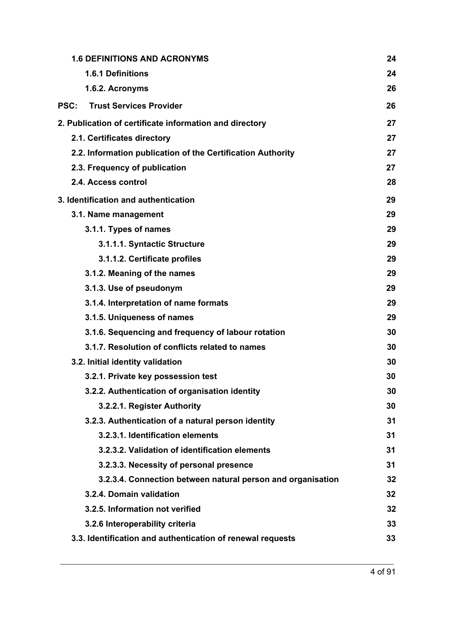| 24                                                                |
|-------------------------------------------------------------------|
|                                                                   |
| 24                                                                |
| 26                                                                |
| 26                                                                |
| 27                                                                |
| 27                                                                |
| 27                                                                |
| 27                                                                |
| 28                                                                |
| 29                                                                |
| 29                                                                |
| 29                                                                |
| 29                                                                |
| 29                                                                |
| 29                                                                |
| 29                                                                |
| 29                                                                |
| 29                                                                |
| 30                                                                |
| 30                                                                |
| 30                                                                |
| 30                                                                |
| 30                                                                |
| 30                                                                |
| 31                                                                |
| 31                                                                |
| 31                                                                |
| 31                                                                |
| 3.2.3.4. Connection between natural person and organisation<br>32 |
| 32                                                                |
| 32                                                                |
| 33                                                                |
| 33                                                                |
|                                                                   |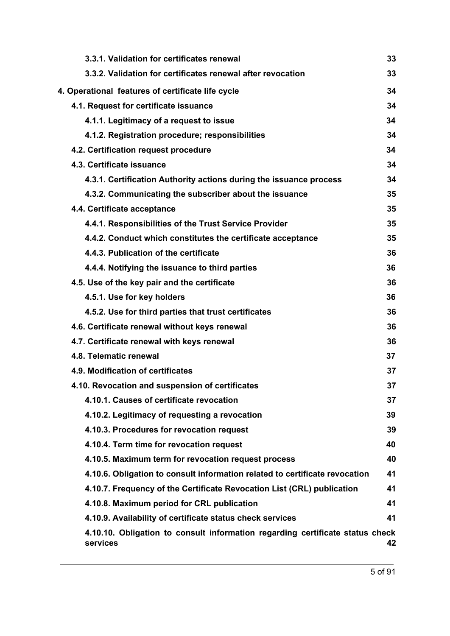| 3.3.1. Validation for certificates renewal                                                | 33 |
|-------------------------------------------------------------------------------------------|----|
| 3.3.2. Validation for certificates renewal after revocation                               | 33 |
| 4. Operational features of certificate life cycle                                         | 34 |
| 4.1. Request for certificate issuance                                                     | 34 |
| 4.1.1. Legitimacy of a request to issue                                                   | 34 |
| 4.1.2. Registration procedure; responsibilities                                           | 34 |
| 4.2. Certification request procedure                                                      | 34 |
| 4.3. Certificate issuance                                                                 | 34 |
| 4.3.1. Certification Authority actions during the issuance process                        | 34 |
| 4.3.2. Communicating the subscriber about the issuance                                    | 35 |
| 4.4. Certificate acceptance                                                               | 35 |
| 4.4.1. Responsibilities of the Trust Service Provider                                     | 35 |
| 4.4.2. Conduct which constitutes the certificate acceptance                               | 35 |
| 4.4.3. Publication of the certificate                                                     | 36 |
| 4.4.4. Notifying the issuance to third parties                                            | 36 |
| 4.5. Use of the key pair and the certificate                                              | 36 |
| 4.5.1. Use for key holders                                                                | 36 |
| 4.5.2. Use for third parties that trust certificates                                      | 36 |
| 4.6. Certificate renewal without keys renewal                                             | 36 |
| 4.7. Certificate renewal with keys renewal                                                | 36 |
| 4.8. Telematic renewal                                                                    | 37 |
| 4.9. Modification of certificates                                                         | 37 |
| 4.10. Revocation and suspension of certificates                                           | 37 |
| 4.10.1. Causes of certificate revocation                                                  | 37 |
| 4.10.2. Legitimacy of requesting a revocation                                             | 39 |
| 4.10.3. Procedures for revocation request                                                 | 39 |
| 4.10.4. Term time for revocation request                                                  | 40 |
| 4.10.5. Maximum term for revocation request process                                       | 40 |
| 4.10.6. Obligation to consult information related to certificate revocation               | 41 |
| 4.10.7. Frequency of the Certificate Revocation List (CRL) publication                    | 41 |
| 4.10.8. Maximum period for CRL publication                                                | 41 |
| 4.10.9. Availability of certificate status check services                                 | 41 |
| 4.10.10. Obligation to consult information regarding certificate status check<br>services | 42 |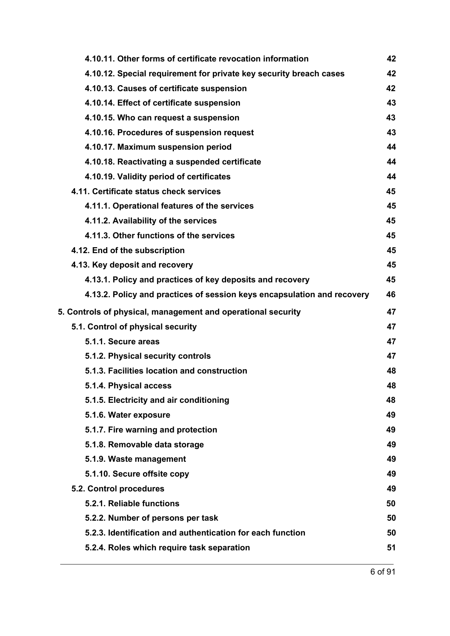| 4.10.11. Other forms of certificate revocation information              | 42 |
|-------------------------------------------------------------------------|----|
| 4.10.12. Special requirement for private key security breach cases      | 42 |
| 4.10.13. Causes of certificate suspension                               | 42 |
| 4.10.14. Effect of certificate suspension                               | 43 |
| 4.10.15. Who can request a suspension                                   | 43 |
| 4.10.16. Procedures of suspension request                               | 43 |
| 4.10.17. Maximum suspension period                                      | 44 |
| 4.10.18. Reactivating a suspended certificate                           | 44 |
| 4.10.19. Validity period of certificates                                | 44 |
| 4.11. Certificate status check services                                 | 45 |
| 4.11.1. Operational features of the services                            | 45 |
| 4.11.2. Availability of the services                                    | 45 |
| 4.11.3. Other functions of the services                                 | 45 |
| 4.12. End of the subscription                                           | 45 |
| 4.13. Key deposit and recovery                                          | 45 |
| 4.13.1. Policy and practices of key deposits and recovery               | 45 |
| 4.13.2. Policy and practices of session keys encapsulation and recovery | 46 |
| 5. Controls of physical, management and operational security            | 47 |
| 5.1. Control of physical security                                       | 47 |
|                                                                         |    |
| 5.1.1. Secure areas                                                     | 47 |
| 5.1.2. Physical security controls                                       | 47 |
| 5.1.3. Facilities location and construction                             | 48 |
| 5.1.4. Physical access                                                  | 48 |
| 5.1.5. Electricity and air conditioning                                 | 48 |
| 5.1.6. Water exposure                                                   | 49 |
| 5.1.7. Fire warning and protection                                      | 49 |
| 5.1.8. Removable data storage                                           | 49 |
| 5.1.9. Waste management                                                 | 49 |
| 5.1.10. Secure offsite copy                                             | 49 |
| 5.2. Control procedures                                                 | 49 |
| 5.2.1. Reliable functions                                               | 50 |
| 5.2.2. Number of persons per task                                       | 50 |
| 5.2.3. Identification and authentication for each function              | 50 |
| 5.2.4. Roles which require task separation                              | 51 |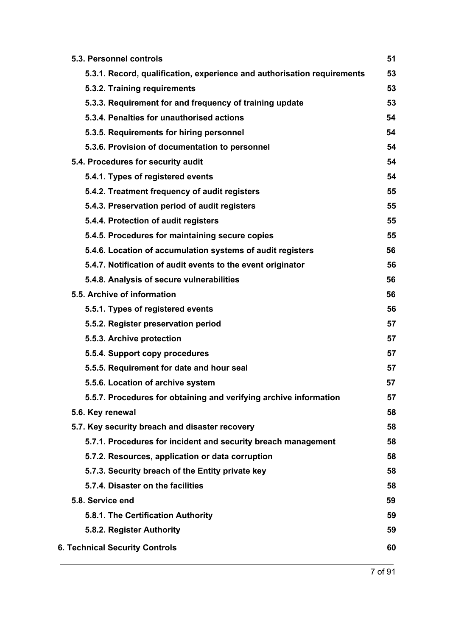| 5.3. Personnel controls                                                 | 51 |
|-------------------------------------------------------------------------|----|
| 5.3.1. Record, qualification, experience and authorisation requirements | 53 |
| 5.3.2. Training requirements                                            | 53 |
| 5.3.3. Requirement for and frequency of training update                 | 53 |
| 5.3.4. Penalties for unauthorised actions                               | 54 |
| 5.3.5. Requirements for hiring personnel                                | 54 |
| 5.3.6. Provision of documentation to personnel                          | 54 |
| 5.4. Procedures for security audit                                      | 54 |
| 5.4.1. Types of registered events                                       | 54 |
| 5.4.2. Treatment frequency of audit registers                           | 55 |
| 5.4.3. Preservation period of audit registers                           | 55 |
| 5.4.4. Protection of audit registers                                    | 55 |
| 5.4.5. Procedures for maintaining secure copies                         | 55 |
| 5.4.6. Location of accumulation systems of audit registers              | 56 |
| 5.4.7. Notification of audit events to the event originator             | 56 |
| 5.4.8. Analysis of secure vulnerabilities                               | 56 |
| 5.5. Archive of information                                             | 56 |
| 5.5.1. Types of registered events                                       | 56 |
| 5.5.2. Register preservation period                                     | 57 |
| 5.5.3. Archive protection                                               | 57 |
| 5.5.4. Support copy procedures                                          | 57 |
| 5.5.5. Requirement for date and hour seal                               | 57 |
| 5.5.6. Location of archive system                                       | 57 |
| 5.5.7. Procedures for obtaining and verifying archive information       | 57 |
| 5.6. Key renewal                                                        | 58 |
| 5.7. Key security breach and disaster recovery                          | 58 |
| 5.7.1. Procedures for incident and security breach management           | 58 |
| 5.7.2. Resources, application or data corruption                        | 58 |
| 5.7.3. Security breach of the Entity private key                        | 58 |
| 5.7.4. Disaster on the facilities                                       | 58 |
| 5.8. Service end                                                        | 59 |
| 5.8.1. The Certification Authority                                      | 59 |
| 5.8.2. Register Authority                                               | 59 |
| <b>6. Technical Security Controls</b>                                   | 60 |
|                                                                         |    |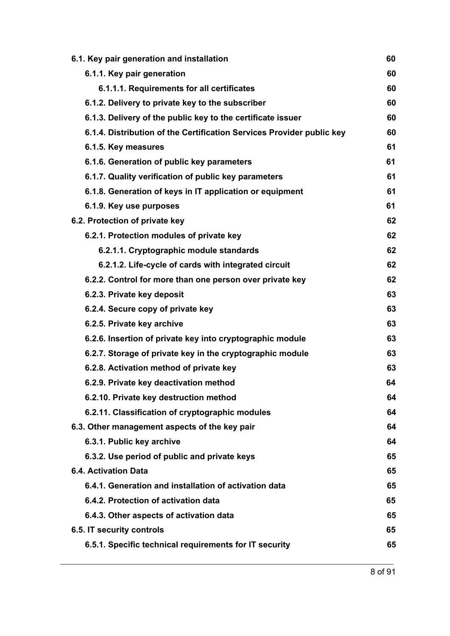| 60 |
|----|
| 60 |
| 60 |
| 60 |
| 60 |
| 60 |
| 61 |
| 61 |
| 61 |
| 61 |
| 61 |
| 62 |
| 62 |
| 62 |
| 62 |
| 62 |
| 63 |
| 63 |
| 63 |
| 63 |
| 63 |
| 63 |
| 64 |
| 64 |
| 64 |
| 64 |
| 64 |
| 65 |
| 65 |
| 65 |
| 65 |
| 65 |
| 65 |
| 65 |
|    |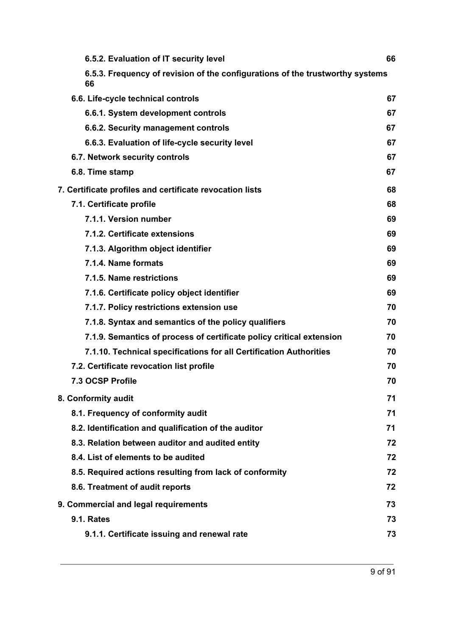| 6.5.2. Evaluation of IT security level                                              | 66 |
|-------------------------------------------------------------------------------------|----|
| 6.5.3. Frequency of revision of the configurations of the trustworthy systems<br>66 |    |
| 6.6. Life-cycle technical controls                                                  | 67 |
| 6.6.1. System development controls                                                  | 67 |
| 6.6.2. Security management controls                                                 | 67 |
| 6.6.3. Evaluation of life-cycle security level                                      | 67 |
| 6.7. Network security controls                                                      | 67 |
| 6.8. Time stamp                                                                     | 67 |
| 7. Certificate profiles and certificate revocation lists                            | 68 |
| 7.1. Certificate profile                                                            | 68 |
| 7.1.1. Version number                                                               | 69 |
| 7.1.2. Certificate extensions                                                       | 69 |
| 7.1.3. Algorithm object identifier                                                  | 69 |
| 7.1.4. Name formats                                                                 | 69 |
| 7.1.5. Name restrictions                                                            | 69 |
| 7.1.6. Certificate policy object identifier                                         | 69 |
| 7.1.7. Policy restrictions extension use                                            | 70 |
| 7.1.8. Syntax and semantics of the policy qualifiers                                | 70 |
| 7.1.9. Semantics of process of certificate policy critical extension                | 70 |
| 7.1.10. Technical specifications for all Certification Authorities                  | 70 |
| 7.2. Certificate revocation list profile                                            | 70 |
| 7.3 OCSP Profile                                                                    | 70 |
| 8. Conformity audit                                                                 | 71 |
| 8.1. Frequency of conformity audit                                                  | 71 |
| 8.2. Identification and qualification of the auditor                                | 71 |
| 8.3. Relation between auditor and audited entity                                    | 72 |
| 8.4. List of elements to be audited                                                 | 72 |
| 8.5. Required actions resulting from lack of conformity                             | 72 |
| 8.6. Treatment of audit reports                                                     | 72 |
| 9. Commercial and legal requirements                                                | 73 |
| <b>9.1. Rates</b>                                                                   | 73 |
| 9.1.1. Certificate issuing and renewal rate                                         | 73 |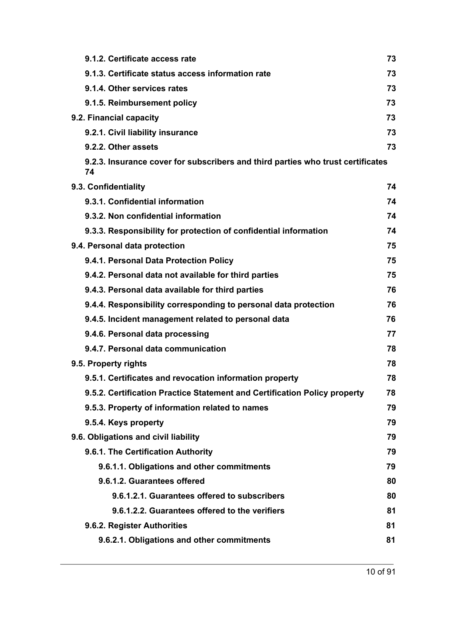| 9.1.2. Certificate access rate                                                        | 73 |
|---------------------------------------------------------------------------------------|----|
| 9.1.3. Certificate status access information rate                                     | 73 |
| 9.1.4. Other services rates                                                           | 73 |
| 9.1.5. Reimbursement policy                                                           | 73 |
| 9.2. Financial capacity                                                               | 73 |
| 9.2.1. Civil liability insurance                                                      | 73 |
| 9.2.2. Other assets                                                                   | 73 |
| 9.2.3. Insurance cover for subscribers and third parties who trust certificates<br>74 |    |
| 9.3. Confidentiality                                                                  | 74 |
| 9.3.1. Confidential information                                                       | 74 |
| 9.3.2. Non confidential information                                                   | 74 |
| 9.3.3. Responsibility for protection of confidential information                      | 74 |
| 9.4. Personal data protection                                                         | 75 |
| 9.4.1. Personal Data Protection Policy                                                | 75 |
| 9.4.2. Personal data not available for third parties                                  | 75 |
| 9.4.3. Personal data available for third parties                                      | 76 |
| 9.4.4. Responsibility corresponding to personal data protection                       | 76 |
| 9.4.5. Incident management related to personal data                                   | 76 |
| 9.4.6. Personal data processing                                                       | 77 |
| 9.4.7. Personal data communication                                                    | 78 |
| 9.5. Property rights                                                                  | 78 |
| 9.5.1. Certificates and revocation information property                               | 78 |
| 9.5.2. Certification Practice Statement and Certification Policy property             | 78 |
| 9.5.3. Property of information related to names                                       | 79 |
| 9.5.4. Keys property                                                                  | 79 |
| 9.6. Obligations and civil liability                                                  | 79 |
| 9.6.1. The Certification Authority                                                    | 79 |
| 9.6.1.1. Obligations and other commitments                                            | 79 |
| 9.6.1.2. Guarantees offered                                                           | 80 |
| 9.6.1.2.1. Guarantees offered to subscribers                                          | 80 |
| 9.6.1.2.2. Guarantees offered to the verifiers                                        | 81 |
| 9.6.2. Register Authorities                                                           | 81 |
| 9.6.2.1. Obligations and other commitments                                            | 81 |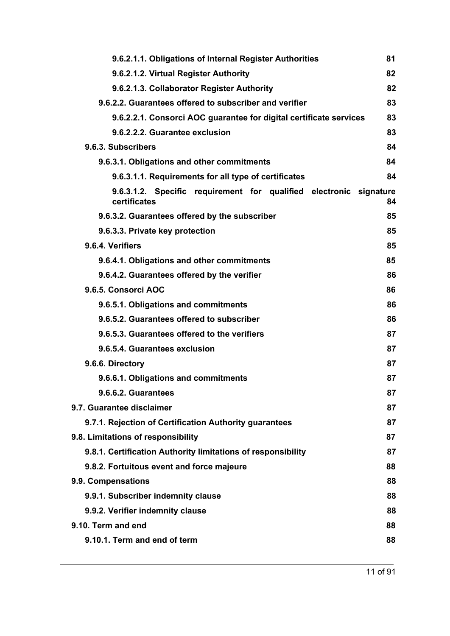| 9.6.2.1.1. Obligations of Internal Register Authorities                            | 81 |
|------------------------------------------------------------------------------------|----|
| 9.6.2.1.2. Virtual Register Authority                                              | 82 |
| 9.6.2.1.3. Collaborator Register Authority                                         | 82 |
| 9.6.2.2. Guarantees offered to subscriber and verifier                             | 83 |
| 9.6.2.2.1. Consorci AOC guarantee for digital certificate services                 | 83 |
| 9.6.2.2.2. Guarantee exclusion                                                     | 83 |
| 9.6.3. Subscribers                                                                 | 84 |
| 9.6.3.1. Obligations and other commitments                                         | 84 |
| 9.6.3.1.1. Requirements for all type of certificates                               | 84 |
| 9.6.3.1.2. Specific requirement for qualified electronic signature<br>certificates | 84 |
| 9.6.3.2. Guarantees offered by the subscriber                                      | 85 |
| 9.6.3.3. Private key protection                                                    | 85 |
| 9.6.4. Verifiers                                                                   | 85 |
| 9.6.4.1. Obligations and other commitments                                         | 85 |
| 9.6.4.2. Guarantees offered by the verifier                                        | 86 |
| 9.6.5. Consorci AOC                                                                | 86 |
| 9.6.5.1. Obligations and commitments                                               | 86 |
| 9.6.5.2. Guarantees offered to subscriber                                          | 86 |
| 9.6.5.3. Guarantees offered to the verifiers                                       | 87 |
| 9.6.5.4. Guarantees exclusion                                                      | 87 |
| 9.6.6. Directory                                                                   | 87 |
| 9.6.6.1. Obligations and commitments                                               | 87 |
| 9.6.6.2. Guarantees                                                                | 87 |
| 9.7. Guarantee disclaimer                                                          | 87 |
| 9.7.1. Rejection of Certification Authority guarantees                             | 87 |
| 9.8. Limitations of responsibility                                                 | 87 |
| 9.8.1. Certification Authority limitations of responsibility                       | 87 |
| 9.8.2. Fortuitous event and force majeure                                          | 88 |
| 9.9. Compensations                                                                 | 88 |
| 9.9.1. Subscriber indemnity clause                                                 | 88 |
| 9.9.2. Verifier indemnity clause                                                   | 88 |
| 9.10. Term and end                                                                 | 88 |
| 9.10.1. Term and end of term                                                       | 88 |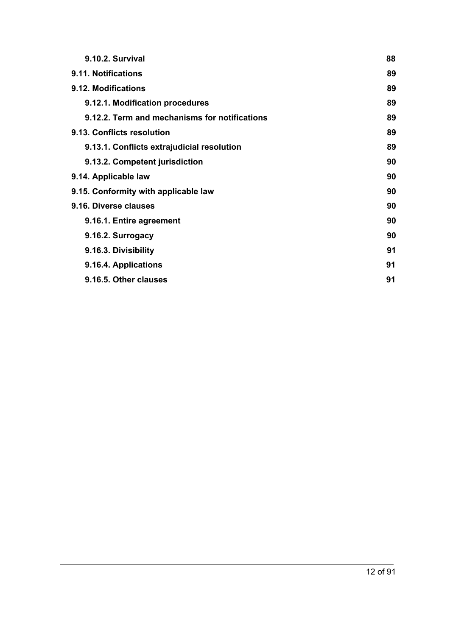| 9.10.2. Survival                              | 88 |
|-----------------------------------------------|----|
| 9.11. Notifications                           | 89 |
| 9.12. Modifications                           | 89 |
| 9.12.1. Modification procedures               | 89 |
| 9.12.2. Term and mechanisms for notifications | 89 |
| 9.13. Conflicts resolution                    | 89 |
| 9.13.1. Conflicts extrajudicial resolution    | 89 |
| 9.13.2. Competent jurisdiction                | 90 |
| 9.14. Applicable law                          | 90 |
| 9.15. Conformity with applicable law          | 90 |
| 9.16. Diverse clauses                         | 90 |
| 9.16.1. Entire agreement                      | 90 |
| 9.16.2. Surrogacy                             | 90 |
| 9.16.3. Divisibility                          | 91 |
| 9.16.4. Applications                          | 91 |
| 9.16.5. Other clauses                         | 91 |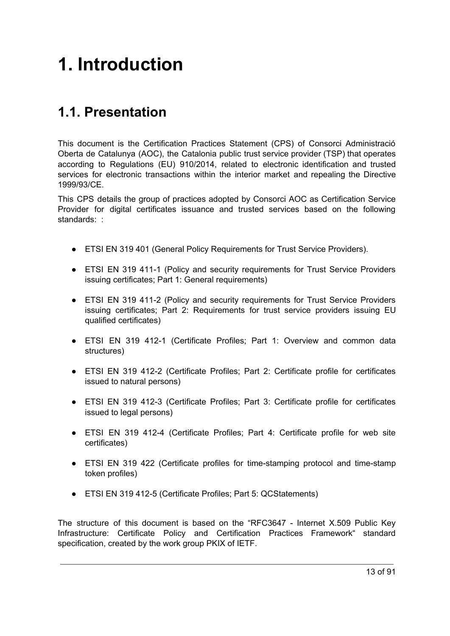# <span id="page-12-0"></span>**1. Introduction**

# <span id="page-12-1"></span>**1.1. Presentation**

This document is the Certification Practices Statement (CPS) of Consorci Administració Oberta de Catalunya (AOC), the Catalonia public trust service provider (TSP) that operates according to Regulations (EU) 910/2014, related to electronic identification and trusted services for electronic transactions within the interior market and repealing the Directive 1999/93/CE.

This CPS details the group of practices adopted by Consorci AOC as Certification Service Provider for digital certificates issuance and trusted services based on the following standards: :

- ETSI EN 319 401 (General Policy Requirements for Trust Service Providers).
- ETSI EN 319 411-1 (Policy and security requirements for Trust Service Providers issuing certificates; Part 1: General requirements)
- ETSI EN 319 411-2 (Policy and security requirements for Trust Service Providers issuing certificates; Part 2: Requirements for trust service providers issuing EU qualified certificates)
- ETSI EN 319 412-1 (Certificate Profiles; Part 1: Overview and common data structures)
- ETSI EN 319 412-2 (Certificate Profiles; Part 2: Certificate profile for certificates issued to natural persons)
- ETSI EN 319 412-3 (Certificate Profiles; Part 3: Certificate profile for certificates issued to legal persons)
- ETSI EN 319 412-4 (Certificate Profiles; Part 4: Certificate profile for web site certificates)
- ETSI EN 319 422 (Certificate profiles for time-stamping protocol and time-stamp token profiles)
- ETSI EN 319 412-5 (Certificate Profiles; Part 5: QCStatements)

The structure of this document is based on the "RFC3647 - Internet X.509 Public Key Infrastructure: Certificate Policy and Certification Practices Framework" standard specification, created by the work group PKIX of IETF.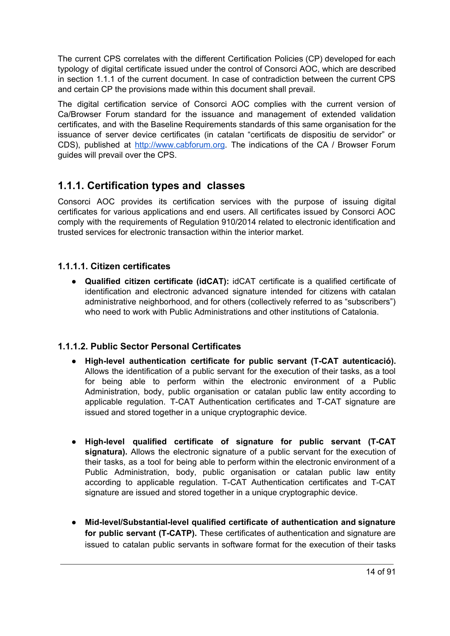The current CPS correlates with the different Certification Policies (CP) developed for each typology of digital certificate issued under the control of Consorci AOC, which are described in section 1.1.1 of the current document. In case of contradiction between the current CPS and certain CP the provisions made within this document shall prevail.

The digital certification service of Consorci AOC complies with the current version of Ca/Browser Forum standard for the issuance and management of extended validation certificates, and with the Baseline Requirements standards of this same organisation for the issuance of server device certificates (in catalan "certificats de dispositiu de servidor" or CDS), published at [http://www.cabforum.org.](http://www.cabforum.org/) The indications of the CA / Browser Forum guides will prevail over the CPS.

# <span id="page-13-0"></span>**1.1.1. Certification types and classes**

Consorci AOC provides its certification services with the purpose of issuing digital certificates for various applications and end users. All certificates issued by Consorci AOC comply with the requirements of Regulation 910/2014 related to electronic identification and trusted services for electronic transaction within the interior market.

#### <span id="page-13-1"></span>**1.1.1.1. Citizen certificates**

● **Qualified citizen certificate (idCAT):** idCAT certificate is a qualified certificate of identification and electronic advanced signature intended for citizens with catalan administrative neighborhood, and for others (collectively referred to as "subscribers") who need to work with Public Administrations and other institutions of Catalonia.

#### <span id="page-13-2"></span>**1.1.1.2. Public Sector Personal Certificates**

- **High-level authentication certificate for public servant (T-CAT autenticació).** Allows the identification of a public servant for the execution of their tasks, as a tool for being able to perform within the electronic environment of a Public Administration, body, public organisation or catalan public law entity according to applicable regulation. T-CAT Authentication certificates and T-CAT signature are issued and stored together in a unique cryptographic device.
- **● High-level qualified certificate of signature for public servant (T-CAT signatura).** Allows the electronic signature of a public servant for the execution of their tasks, as a tool for being able to perform within the electronic environment of a Public Administration, body, public organisation or catalan public law entity according to applicable regulation. T-CAT Authentication certificates and T-CAT signature are issued and stored together in a unique cryptographic device.
- **● Mid-level/Substantial-level qualified certificate of authentication and signature for public servant (T-CATP).** These certificates of authentication and signature are issued to catalan public servants in software format for the execution of their tasks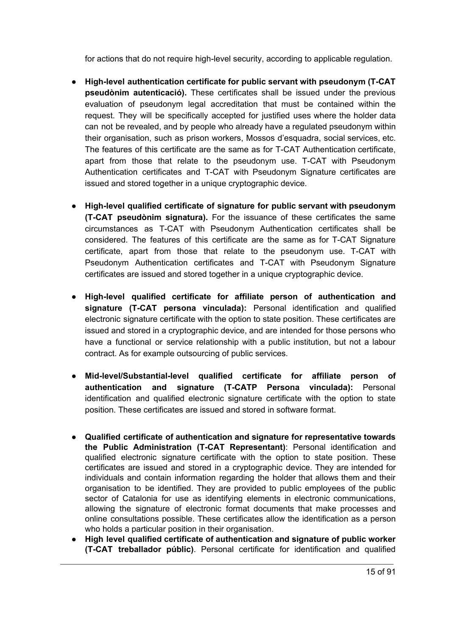for actions that do not require high-level security, according to applicable regulation.

- **High-level authentication certificate for public servant with pseudonym (T-CAT pseudònim autenticació).** These certificates shall be issued under the previous evaluation of pseudonym legal accreditation that must be contained within the request. They will be specifically accepted for justified uses where the holder data can not be revealed, and by people who already have a regulated pseudonym within their organisation, such as prison workers, Mossos d'esquadra, social services, etc. The features of this certificate are the same as for T-CAT Authentication certificate, apart from those that relate to the pseudonym use. T-CAT with Pseudonym Authentication certificates and T-CAT with Pseudonym Signature certificates are issued and stored together in a unique cryptographic device.
- **High-level qualified certificate of signature for public servant with pseudonym (T-CAT pseudònim signatura).** For the issuance of these certificates the same circumstances as T-CAT with Pseudonym Authentication certificates shall be considered. The features of this certificate are the same as for T-CAT Signature certificate, apart from those that relate to the pseudonym use. T-CAT with Pseudonym Authentication certificates and T-CAT with Pseudonym Signature certificates are issued and stored together in a unique cryptographic device.
- **● High-level qualified certificate for affiliate person of authentication and signature (T-CAT persona vinculada):** Personal identification and qualified electronic signature certificate with the option to state position. These certificates are issued and stored in a cryptographic device, and are intended for those persons who have a functional or service relationship with a public institution, but not a labour contract. As for example outsourcing of public services.
- **● Mid-level/Substantial-level qualified certificate for affiliate person of authentication and signature (T-CATP Persona vinculada):** Personal identification and qualified electronic signature certificate with the option to state position. These certificates are issued and stored in software format.
- **Qualified certificate of authentication and signature for representative towards the Public Administration (T-CAT Representant)**: Personal identification and qualified electronic signature certificate with the option to state position. These certificates are issued and stored in a cryptographic device. They are intended for individuals and contain information regarding the holder that allows them and their organisation to be identified. They are provided to public employees of the public sector of Catalonia for use as identifying elements in electronic communications, allowing the signature of electronic format documents that make processes and online consultations possible. These certificates allow the identification as a person who holds a particular position in their organisation.
- **High level qualified certificate of authentication and signature of public worker (T-CAT treballador públic)**. Personal certificate for identification and qualified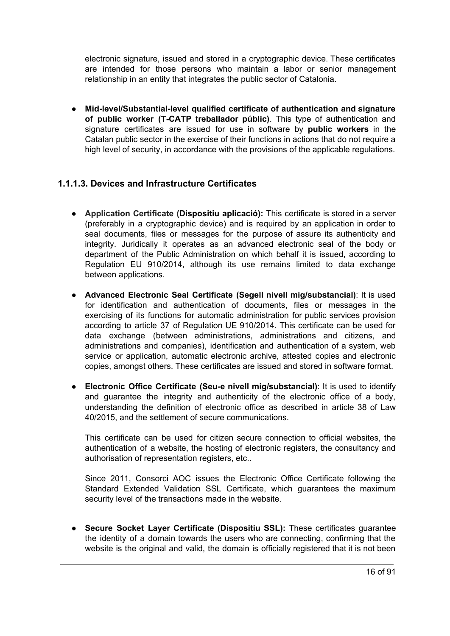electronic signature, issued and stored in a cryptographic device. These certificates are intended for those persons who maintain a labor or senior management relationship in an entity that integrates the public sector of Catalonia.

● **Mid-level/Substantial-level qualified certificate of authentication and signature of public worker (T-CATP treballador públic)**. This type of authentication and signature certificates are issued for use in software by **public workers** in the Catalan public sector in the exercise of their functions in actions that do not require a high level of security, in accordance with the provisions of the applicable regulations.

#### <span id="page-15-0"></span>**1.1.1.3. Devices and Infrastructure Certificates**

- **Application Certificate (Dispositiu aplicació):** This certificate is stored in a server (preferably in a cryptographic device) and is required by an application in order to seal documents, files or messages for the purpose of assure its authenticity and integrity. Juridically it operates as an advanced electronic seal of the body or department of the Public Administration on which behalf it is issued, according to Regulation EU 910/2014, although its use remains limited to data exchange between applications.
- **Advanced Electronic Seal Certificate (Segell nivell mig/substancial)**: It is used for identification and authentication of documents, files or messages in the exercising of its functions for automatic administration for public services provision according to article 37 of Regulation UE 910/2014. This certificate can be used for data exchange (between administrations, administrations and citizens, and administrations and companies), identification and authentication of a system, web service or application, automatic electronic archive, attested copies and electronic copies, amongst others. These certificates are issued and stored in software format.
- **Electronic Office Certificate (Seu-e nivell mig/substancial)**: It is used to identify and guarantee the integrity and authenticity of the electronic office of a body, understanding the definition of electronic office as described in article 38 of Law 40/2015, and the settlement of secure communications.

This certificate can be used for citizen secure connection to official websites, the authentication of a website, the hosting of electronic registers, the consultancy and authorisation of representation registers, etc..

Since 2011, Consorci AOC issues the Electronic Office Certificate following the Standard Extended Validation SSL Certificate, which guarantees the maximum security level of the transactions made in the website.

● **Secure Socket Layer Certificate (Dispositiu SSL):** These certificates guarantee the identity of a domain towards the users who are connecting, confirming that the website is the original and valid, the domain is officially registered that it is not been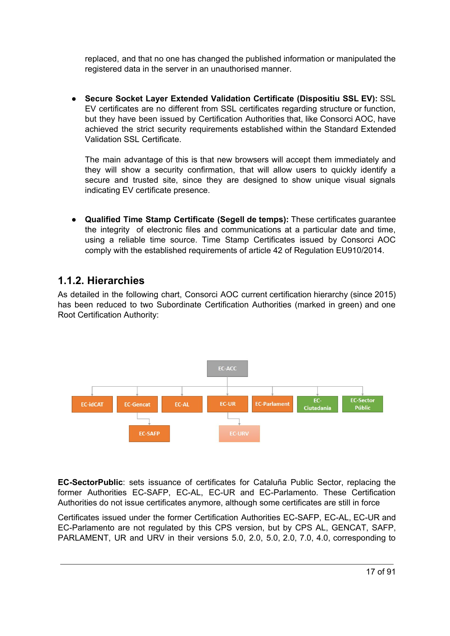replaced, and that no one has changed the published information or manipulated the registered data in the server in an unauthorised manner.

● **Secure Socket Layer Extended Validation Certificate (Dispositiu SSL EV):** SSL EV certificates are no different from SSL certificates regarding structure or function, but they have been issued by Certification Authorities that, like Consorci AOC, have achieved the strict security requirements established within the Standard Extended Validation SSL Certificate.

The main advantage of this is that new browsers will accept them immediately and they will show a security confirmation, that will allow users to quickly identify a secure and trusted site, since they are designed to show unique visual signals indicating EV certificate presence.

● **Qualified Time Stamp Certificate (Segell de temps):** These certificates guarantee the integrity of electronic files and communications at a particular date and time, using a reliable time source. Time Stamp Certificates issued by Consorci AOC comply with the established requirements of article 42 of Regulation EU910/2014.

## <span id="page-16-0"></span>**1.1.2. Hierarchies**

As detailed in the following chart, Consorci AOC current certification hierarchy (since 2015) has been reduced to two Subordinate Certification Authorities (marked in green) and one Root Certification Authority:



**EC-SectorPublic**: sets issuance of certificates for Cataluña Public Sector, replacing the former Authorities EC-SAFP, EC-AL, EC-UR and EC-Parlamento. These Certification Authorities do not issue certificates anymore, although some certificates are still in force

Certificates issued under the former Certification Authorities EC-SAFP, EC-AL, EC-UR and EC-Parlamento are not regulated by this CPS version, but by CPS AL, GENCAT, SAFP, PARLAMENT, UR and URV in their versions 5.0, 2.0, 5.0, 2.0, 7.0, 4.0, corresponding to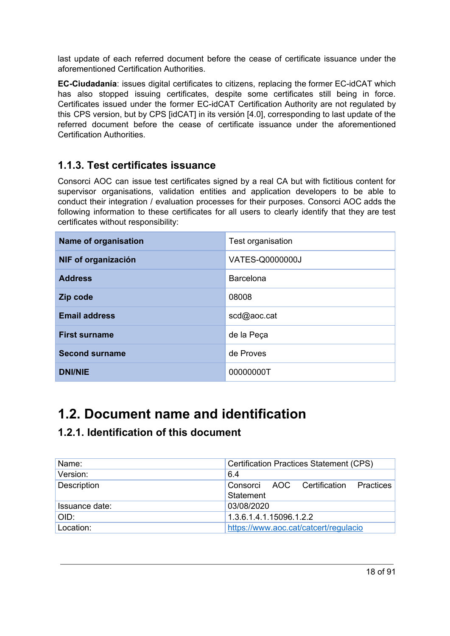last update of each referred document before the cease of certificate issuance under the aforementioned Certification Authorities.

**EC-Ciudadanía**: issues digital certificates to citizens, replacing the former EC-idCAT which has also stopped issuing certificates, despite some certificates still being in force. Certificates issued under the former EC-idCAT Certification Authority are not regulated by this CPS version, but by CPS [idCAT] in its versión [4.0], corresponding to last update of the referred document before the cease of certificate issuance under the aforementioned Certification Authorities.

## <span id="page-17-0"></span>**1.1.3. Test certificates issuance**

Consorci AOC can issue test certificates signed by a real CA but with fictitious content for supervisor organisations, validation entities and application developers to be able to conduct their integration / evaluation processes for their purposes. Consorci AOC adds the following information to these certificates for all users to clearly identify that they are test certificates without responsibility:

| Name of organisation  | Test organisation |
|-----------------------|-------------------|
| NIF of organización   | VATES-Q0000000J   |
| <b>Address</b>        | Barcelona         |
| Zip code              | 08008             |
| <b>Email address</b>  | scd@aoc.cat       |
| <b>First surname</b>  | de la Peça        |
| <b>Second surname</b> | de Proves         |
| <b>DNI/NIE</b>        | 00000000T         |

# <span id="page-17-1"></span>**1.2. Document name and identification**

# <span id="page-17-2"></span>**1.2.1. Identification of this document**

| Name:          | <b>Certification Practices Statement (CPS)</b>    |
|----------------|---------------------------------------------------|
| Version:       | 6.4                                               |
| Description    | Consorci AOC Certification Practices<br>Statement |
| Issuance date: | 03/08/2020                                        |
| OID:           | 1.3.6.1.4.1.15096.1.2.2                           |
| Location:      | https://www.aoc.cat/catcert/regulacio             |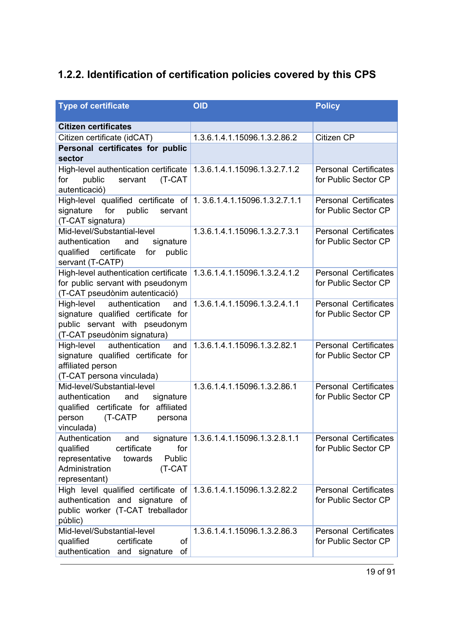# <span id="page-18-0"></span>**1.2.2. Identification of certification policies covered by this CPS**

| <b>Type of certificate</b>                                                                                                                              | <b>OID</b>                                | <b>Policy</b>                                        |
|---------------------------------------------------------------------------------------------------------------------------------------------------------|-------------------------------------------|------------------------------------------------------|
| <b>Citizen certificates</b>                                                                                                                             |                                           |                                                      |
| Citizen certificate (idCAT)                                                                                                                             | 1.3.6.1.4.1.15096.1.3.2.86.2              | Citizen CP                                           |
| Personal certificates for public<br>sector                                                                                                              |                                           |                                                      |
| High-level authentication certificate<br>for<br>public<br>servant<br>(T-CAT<br>autenticació)                                                            | 1.3.6.1.4.1.15096.1.3.2.7.1.2             | <b>Personal Certificates</b><br>for Public Sector CP |
| High-level qualified certificate of 1.3.6.1.4.1.15096.1.3.2.7.1.1<br>signature<br>for<br>public<br>servant<br>(T-CAT signatura)                         |                                           | <b>Personal Certificates</b><br>for Public Sector CP |
| Mid-level/Substantial-level<br>authentication<br>and<br>signature<br>qualified certificate<br>for<br>public<br>servant (T-CATP)                         | 1.3.6.1.4.1.15096.1.3.2.7.3.1             | <b>Personal Certificates</b><br>for Public Sector CP |
| High-level authentication certificate<br>for public servant with pseudonym<br>(T-CAT pseudònim autenticació)                                            | 1.3.6.1.4.1.15096.1.3.2.4.1.2             | <b>Personal Certificates</b><br>for Public Sector CP |
| authentication<br>High-level<br>and<br>signature qualified certificate for<br>public servant with pseudonym<br>(T-CAT pseudònim signatura)              | 1.3.6.1.4.1.15096.1.3.2.4.1.1             | <b>Personal Certificates</b><br>for Public Sector CP |
| High-level<br>authentication<br>and<br>signature qualified certificate for<br>affiliated person<br>(T-CAT persona vinculada)                            | 1.3.6.1.4.1.15096.1.3.2.82.1              | <b>Personal Certificates</b><br>for Public Sector CP |
| Mid-level/Substantial-level<br>authentication<br>and<br>signature<br>qualified certificate for affiliated<br>(T-CATP<br>person<br>persona<br>vinculada) | 1.3.6.1.4.1.15096.1.3.2.86.1              | <b>Personal Certificates</b><br>for Public Sector CP |
| Authentication<br>and<br>certificate<br>qualified<br>for<br>Public<br>representative<br>towards<br>Administration<br>(T-CAT<br>representant)            | signature   1.3.6.1.4.1.15096.1.3.2.8.1.1 | <b>Personal Certificates</b><br>for Public Sector CP |
| High level qualified certificate of<br>authentication and signature of<br>public worker (T-CAT treballador<br>públic)                                   | 1.3.6.1.4.1.15096.1.3.2.82.2              | <b>Personal Certificates</b><br>for Public Sector CP |
| Mid-level/Substantial-level<br>qualified<br>certificate<br>οf<br>authentication and signature<br>of                                                     | 1.3.6.1.4.1.15096.1.3.2.86.3              | <b>Personal Certificates</b><br>for Public Sector CP |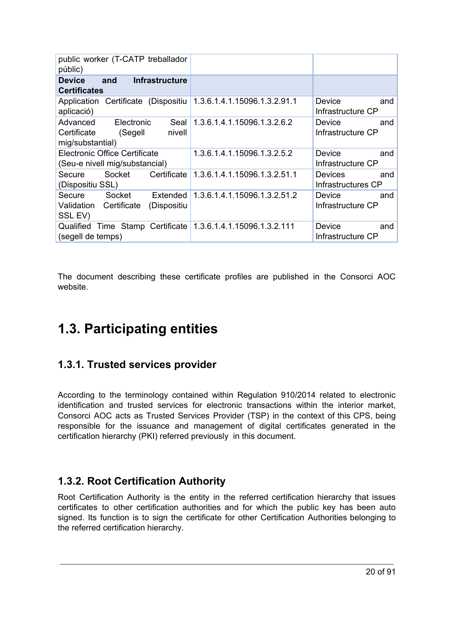| public worker (T-CATP treballador<br>públic)                                           |                                                      |                                             |
|----------------------------------------------------------------------------------------|------------------------------------------------------|---------------------------------------------|
| <b>Infrastructure</b><br><b>Device</b><br>and<br><b>Certificates</b>                   |                                                      |                                             |
| Certificate (Dispositiu<br>Application<br>aplicació)                                   | 1.3.6.1.4.1.15096.1.3.2.91.1                         | Device<br>and<br>Infrastructure CP          |
| Advanced<br>Electronic<br>Seal<br>Certificate<br>nivell<br>(Segell<br>mig/substantial) | 1.3.6.1.4.1.15096.1.3.2.6.2                          | and<br>Device<br>Infrastructure CP          |
| <b>Electronic Office Certificate</b><br>(Seu-e nivell mig/substancial)                 | 1.3.6.1.4.1.15096.1.3.2.5.2                          | Device<br>and<br>Infrastructure CP          |
| Certificate<br>Socket<br>Secure<br>(Dispositiu SSL)                                    | 1.3.6.1.4.1.15096.1.3.2.51.1                         | <b>Devices</b><br>and<br>Infrastructures CP |
| Socket<br>Secure<br>Extended<br>Validation<br>Certificate<br>(Dispositiu<br>SSL EV)    | 1.3.6.1.4.1.15096.1.3.2.51.2                         | Device<br>and<br>Infrastructure CP          |
| Qualified<br>(segell de temps)                                                         | Time Stamp Certificate   1.3.6.1.4.1.15096.1.3.2.111 | Device<br>and<br>Infrastructure CP          |

The document describing these certificate profiles are published in the Consorci AOC website.

# <span id="page-19-0"></span>**1.3. Participating entities**

# <span id="page-19-1"></span>**1.3.1. Trusted services provider**

According to the terminology contained within Regulation 910/2014 related to electronic identification and trusted services for electronic transactions within the interior market, Consorci AOC acts as Trusted Services Provider (TSP) in the context of this CPS, being responsible for the issuance and management of digital certificates generated in the certification hierarchy (PKI) referred previously in this document.

# <span id="page-19-2"></span>**1.3.2. Root Certification Authority**

Root Certification Authority is the entity in the referred certification hierarchy that issues certificates to other certification authorities and for which the public key has been auto signed. Its function is to sign the certificate for other Certification Authorities belonging to the referred certification hierarchy.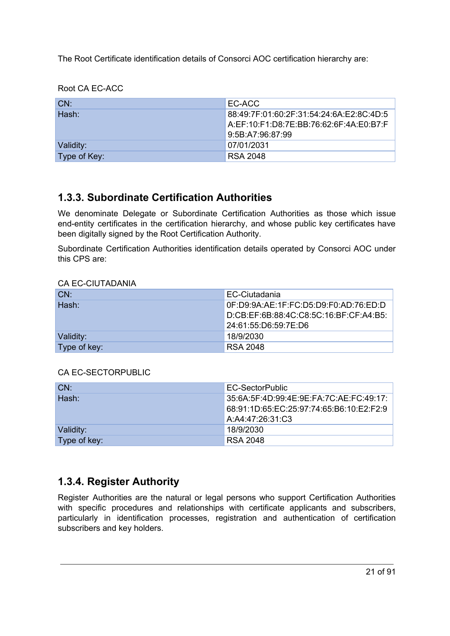The Root Certificate identification details of Consorci AOC certification hierarchy are:

Root CA EC-ACC

| LCN:         | LEC-ACC                                  |
|--------------|------------------------------------------|
| Hash:        | 88:49:7F:01:60:2F:31:54:24:6A:E2:8C:4D:5 |
|              | A:EF:10:F1:D8:7E:BB:76:62:6F:4A:E0:B7:F  |
|              | 9:5B:A7:96:87:99                         |
| Validity:    | 07/01/2031                               |
| Type of Key: | <b>RSA 2048</b>                          |

## <span id="page-20-0"></span>**1.3.3. Subordinate Certification Authorities**

We denominate Delegate or Subordinate Certification Authorities as those which issue end-entity certificates in the certification hierarchy, and whose public key certificates have been digitally signed by the Root Certification Authority.

Subordinate Certification Authorities identification details operated by Consorci AOC under this CPS are:

#### CA EC-CIUTADANIA

| CN:          | EC-Ciutadania                          |
|--------------|----------------------------------------|
| Hash:        | 0F:D9:9A:AE:1F:FC:D5:D9:F0:AD:76:ED:D  |
|              | D:CB:EF:6B:88:4C:C8:5C:16:BF:CF:A4:B5: |
|              | 24:61:55:D6:59:7E:D6                   |
| Validity:    | 18/9/2030                              |
| Type of key: | <b>RSA 2048</b>                        |

#### CA EC-SECTORPUBLIC

| LCN:         | EC-SectorPublic                          |
|--------------|------------------------------------------|
| Hash:        | 35:6A:5F:4D:99:4E:9E:FA:7C:AE:FC:49:17:  |
|              | 68:91:1D:65:EC:25:97:74:65:B6:10:E2:F2:9 |
|              | A:A4:47:26:31:C3                         |
| Validity:    | 18/9/2030                                |
| Type of key: | <b>RSA 2048</b>                          |

## <span id="page-20-1"></span>**1.3.4. Register Authority**

Register Authorities are the natural or legal persons who support Certification Authorities with specific procedures and relationships with certificate applicants and subscribers, particularly in identification processes, registration and authentication of certification subscribers and key holders.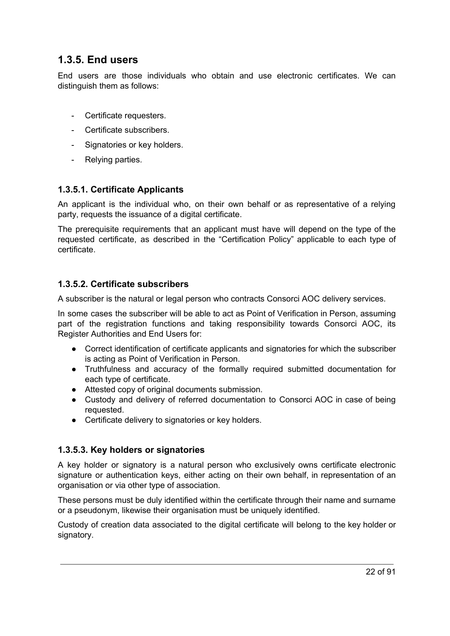## <span id="page-21-0"></span>**1.3.5. End users**

End users are those individuals who obtain and use electronic certificates. We can distinguish them as follows:

- Certificate requesters.
- Certificate subscribers.
- Signatories or key holders.
- Relying parties.

#### <span id="page-21-1"></span>**1.3.5.1. Certificate Applicants**

An applicant is the individual who, on their own behalf or as representative of a relying party, requests the issuance of a digital certificate.

The prerequisite requirements that an applicant must have will depend on the type of the requested certificate, as described in the "Certification Policy" applicable to each type of certificate.

#### <span id="page-21-2"></span>**1.3.5.2. Certificate subscribers**

A subscriber is the natural or legal person who contracts Consorci AOC delivery services.

In some cases the subscriber will be able to act as Point of Verification in Person, assuming part of the registration functions and taking responsibility towards Consorci AOC, its Register Authorities and End Users for:

- Correct identification of certificate applicants and signatories for which the subscriber is acting as Point of Verification in Person.
- Truthfulness and accuracy of the formally required submitted documentation for each type of certificate.
- Attested copy of original documents submission.
- Custody and delivery of referred documentation to Consorci AOC in case of being requested.
- Certificate delivery to signatories or key holders.

#### <span id="page-21-3"></span>**1.3.5.3. Key holders or signatories**

A key holder or signatory is a natural person who exclusively owns certificate electronic signature or authentication keys, either acting on their own behalf, in representation of an organisation or via other type of association.

These persons must be duly identified within the certificate through their name and surname or a pseudonym, likewise their organisation must be uniquely identified.

Custody of creation data associated to the digital certificate will belong to the key holder or signatory.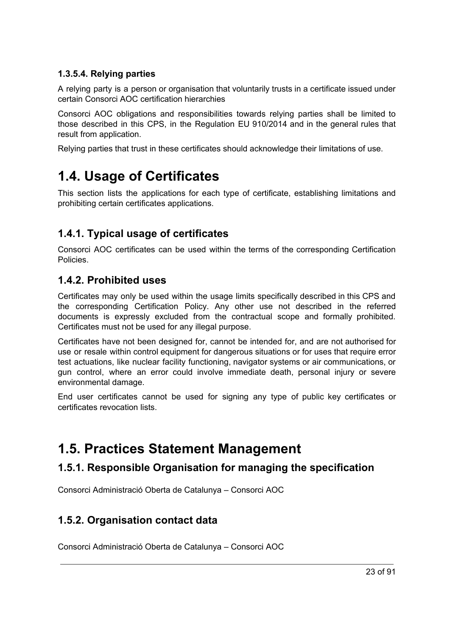#### <span id="page-22-0"></span>**1.3.5.4. Relying parties**

A relying party is a person or organisation that voluntarily trusts in a certificate issued under certain Consorci AOC certification hierarchies

Consorci AOC obligations and responsibilities towards relying parties shall be limited to those described in this CPS, in the Regulation EU 910/2014 and in the general rules that result from application.

Relying parties that trust in these certificates should acknowledge their limitations of use.

# <span id="page-22-1"></span>**1.4. Usage of Certificates**

This section lists the applications for each type of certificate, establishing limitations and prohibiting certain certificates applications.

# <span id="page-22-2"></span>**1.4.1. Typical usage of certificates**

Consorci AOC certificates can be used within the terms of the corresponding Certification **Policies** 

## <span id="page-22-3"></span>**1.4.2. Prohibited uses**

Certificates may only be used within the usage limits specifically described in this CPS and the corresponding Certification Policy. Any other use not described in the referred documents is expressly excluded from the contractual scope and formally prohibited. Certificates must not be used for any illegal purpose.

Certificates have not been designed for, cannot be intended for, and are not authorised for use or resale within control equipment for dangerous situations or for uses that require error test actuations, like nuclear facility functioning, navigator systems or air communications, or gun control, where an error could involve immediate death, personal injury or severe environmental damage.

End user certificates cannot be used for signing any type of public key certificates or certificates revocation lists.

# <span id="page-22-4"></span>**1.5. Practices Statement Management**

## <span id="page-22-5"></span>**1.5.1. Responsible Organisation for managing the specification**

Consorci Administració Oberta de Catalunya – Consorci AOC

# <span id="page-22-6"></span>**1.5.2. Organisation contact data**

Consorci Administració Oberta de Catalunya – Consorci AOC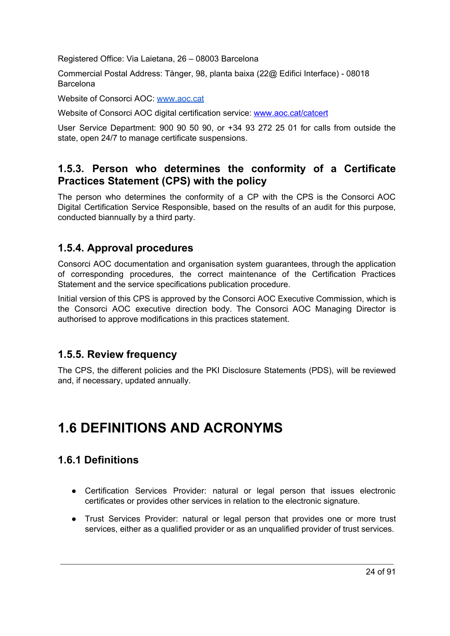Registered Office: Via Laietana, 26 – 08003 Barcelona

Commercial Postal Address: Tànger, 98, planta baixa (22@ Edifici Interface) - 08018 Barcelona

Website of Consorci AOC: [www.aoc.cat](http://www.aoc.cat/)

Website of Consorci AOC digital certification service: [www.aoc.cat/catcert](http://www.aoc.cat/catcert)

User Service Department: 900 90 50 90, or +34 93 272 25 01 for calls from outside the state, open 24/7 to manage certificate suspensions.

## <span id="page-23-0"></span>**1.5.3. Person who determines the conformity of a Certificate Practices Statement (CPS) with the policy**

The person who determines the conformity of a CP with the CPS is the Consorci AOC Digital Certification Service Responsible, based on the results of an audit for this purpose, conducted biannually by a third party.

## <span id="page-23-1"></span>**1.5.4. Approval procedures**

Consorci AOC documentation and organisation system guarantees, through the application of corresponding procedures, the correct maintenance of the Certification Practices Statement and the service specifications publication procedure.

Initial version of this CPS is approved by the Consorci AOC Executive Commission, which is the Consorci AOC executive direction body. The Consorci AOC Managing Director is authorised to approve modifications in this practices statement.

## <span id="page-23-2"></span>**1.5.5. Review frequency**

The CPS, the different policies and the PKI Disclosure Statements (PDS), will be reviewed and, if necessary, updated annually.

# <span id="page-23-4"></span><span id="page-23-3"></span>**1.6 DEFINITIONS AND ACRONYMS**

# **1.6.1 Definitions**

- Certification Services Provider: natural or legal person that issues electronic certificates or provides other services in relation to the electronic signature.
- Trust Services Provider: natural or legal person that provides one or more trust services, either as a qualified provider or as an unqualified provider of trust services.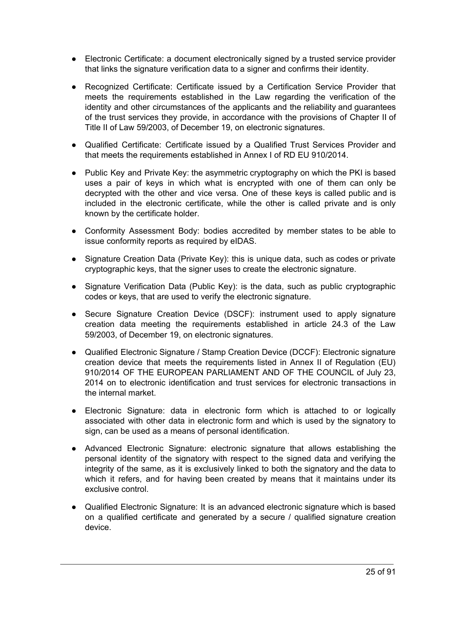- Electronic Certificate: a document electronically signed by a trusted service provider that links the signature verification data to a signer and confirms their identity.
- Recognized Certificate: Certificate issued by a Certification Service Provider that meets the requirements established in the Law regarding the verification of the identity and other circumstances of the applicants and the reliability and guarantees of the trust services they provide, in accordance with the provisions of Chapter II of Title II of Law 59/2003, of December 19, on electronic signatures.
- Qualified Certificate: Certificate issued by a Qualified Trust Services Provider and that meets the requirements established in Annex I of RD EU 910/2014.
- Public Key and Private Key: the asymmetric cryptography on which the PKI is based uses a pair of keys in which what is encrypted with one of them can only be decrypted with the other and vice versa. One of these keys is called public and is included in the electronic certificate, while the other is called private and is only known by the certificate holder.
- Conformity Assessment Body: bodies accredited by member states to be able to issue conformity reports as required by eIDAS.
- Signature Creation Data (Private Key): this is unique data, such as codes or private cryptographic keys, that the signer uses to create the electronic signature.
- Signature Verification Data (Public Key): is the data, such as public cryptographic codes or keys, that are used to verify the electronic signature.
- Secure Signature Creation Device (DSCF): instrument used to apply signature creation data meeting the requirements established in article 24.3 of the Law 59/2003, of December 19, on electronic signatures.
- Qualified Electronic Signature / Stamp Creation Device (DCCF): Electronic signature creation device that meets the requirements listed in Annex II of Regulation (EU) 910/2014 OF THE EUROPEAN PARLIAMENT AND OF THE COUNCIL of July 23, 2014 on to electronic identification and trust services for electronic transactions in the internal market.
- Electronic Signature: data in electronic form which is attached to or logically associated with other data in electronic form and which is used by the signatory to sign, can be used as a means of personal identification.
- Advanced Electronic Signature: electronic signature that allows establishing the personal identity of the signatory with respect to the signed data and verifying the integrity of the same, as it is exclusively linked to both the signatory and the data to which it refers, and for having been created by means that it maintains under its exclusive control.
- Qualified Electronic Signature: It is an advanced electronic signature which is based on a qualified certificate and generated by a secure / qualified signature creation device.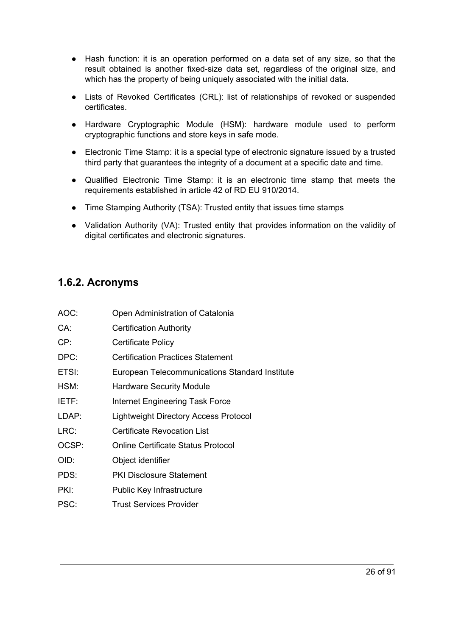- Hash function: it is an operation performed on a data set of any size, so that the result obtained is another fixed-size data set, regardless of the original size, and which has the property of being uniquely associated with the initial data.
- Lists of Revoked Certificates (CRL): list of relationships of revoked or suspended certificates.
- Hardware Cryptographic Module (HSM): hardware module used to perform cryptographic functions and store keys in safe mode.
- Electronic Time Stamp: it is a special type of electronic signature issued by a trusted third party that guarantees the integrity of a document at a specific date and time.
- Qualified Electronic Time Stamp: it is an electronic time stamp that meets the requirements established in article 42 of RD EU 910/2014.
- Time Stamping Authority (TSA): Trusted entity that issues time stamps
- Validation Authority (VA): Trusted entity that provides information on the validity of digital certificates and electronic signatures.

#### <span id="page-25-0"></span>**1.6.2. Acronyms**

<span id="page-25-2"></span><span id="page-25-1"></span>

| AOC:  | Open Administration of Catalonia               |
|-------|------------------------------------------------|
| CA:   | <b>Certification Authority</b>                 |
| CP:   | Certificate Policy                             |
| DPC:  | <b>Certification Practices Statement</b>       |
| ETSI: | European Telecommunications Standard Institute |
| HSM:  | <b>Hardware Security Module</b>                |
| IETF: | Internet Engineering Task Force                |
| LDAP: | Lightweight Directory Access Protocol          |
| LRC:  | Certificate Revocation List                    |
| OCSP: | <b>Online Certificate Status Protocol</b>      |
| OID:  | Object identifier                              |
| PDS:  | <b>PKI Disclosure Statement</b>                |
| PKI:  | Public Key Infrastructure                      |
| PSC:  | <b>Trust Services Provider</b>                 |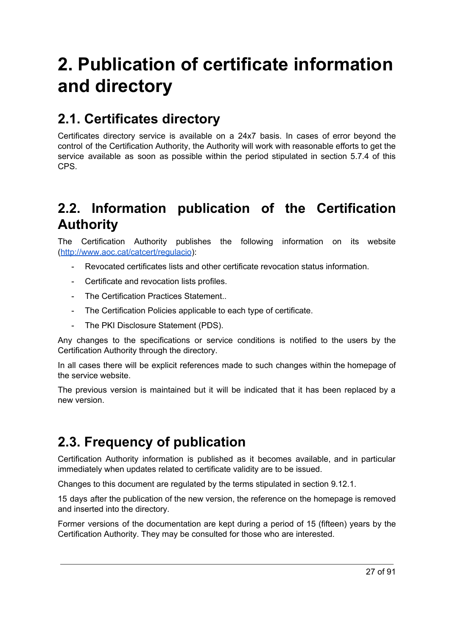# **2. Publication of certificate information and directory**

# <span id="page-26-0"></span>**2.1. Certificates directory**

Certificates directory service is available on a 24x7 basis. In cases of error beyond the control of the Certification Authority, the Authority will work with reasonable efforts to get the service available as soon as possible within the period stipulated in section 5.7.4 of this CPS.

# <span id="page-26-1"></span>**2.2. Information publication of the Certification Authority**

The Certification Authority publishes the following information on its website [\(http://www.aoc.cat/catcert/regulacio\)](http://www.aoc.cat/catcert/regulacio):

- Revocated certificates lists and other certificate revocation status information.
- Certificate and revocation lists profiles.
- The Certification Practices Statement..
- The Certification Policies applicable to each type of certificate.
- The PKI Disclosure Statement (PDS).

Any changes to the specifications or service conditions is notified to the users by the Certification Authority through the directory.

In all cases there will be explicit references made to such changes within the homepage of the service website.

The previous version is maintained but it will be indicated that it has been replaced by a new version.

# <span id="page-26-2"></span>**2.3. Frequency of publication**

Certification Authority information is published as it becomes available, and in particular immediately when updates related to certificate validity are to be issued.

Changes to this document are regulated by the terms stipulated in section 9.12.1.

15 days after the publication of the new version, the reference on the homepage is removed and inserted into the directory.

Former versions of the documentation are kept during a period of 15 (fifteen) years by the Certification Authority. They may be consulted for those who are interested.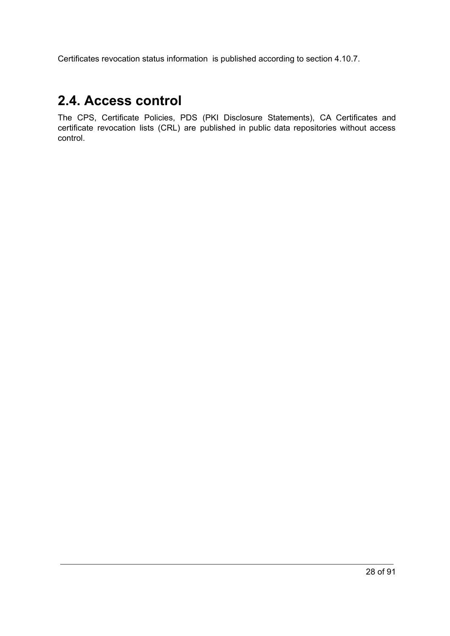Certificates revocation status information is published according to section 4.10.7.

# <span id="page-27-0"></span>**2.4. Access control**

<span id="page-27-1"></span>The CPS, Certificate Policies, PDS (PKI Disclosure Statements), CA Certificates and certificate revocation lists (CRL) are published in public data repositories without access control.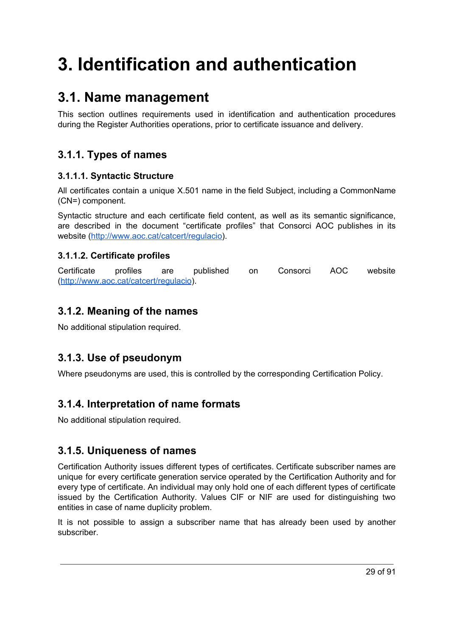# **3. Identification and authentication**

# <span id="page-28-0"></span>**3.1. Name management**

This section outlines requirements used in identification and authentication procedures during the Register Authorities operations, prior to certificate issuance and delivery.

# <span id="page-28-1"></span>**3.1.1. Types of names**

#### <span id="page-28-2"></span>**3.1.1.1. Syntactic Structure**

All certificates contain a unique X.501 name in the field Subject, including a CommonName (CN=) component.

Syntactic structure and each certificate field content, as well as its semantic significance, are described in the document "certificate profiles" that Consorci AOC publishes in its website (<http://www.aoc.cat/catcert/regulacio>).

### <span id="page-28-3"></span>**3.1.1.2. Certificate profiles**

Certificate profiles are published on Consorci AOC website [\(http://www.aoc.cat/catcert/regulacio\)](http://www.aoc.cat/catcert/regulacio).

# <span id="page-28-4"></span>**3.1.2. Meaning of the names**

No additional stipulation required.

# <span id="page-28-5"></span>**3.1.3. Use of pseudonym**

Where pseudonyms are used, this is controlled by the corresponding Certification Policy.

# <span id="page-28-6"></span>**3.1.4. Interpretation of name formats**

No additional stipulation required.

# <span id="page-28-7"></span>**3.1.5. Uniqueness of names**

Certification Authority issues different types of certificates. Certificate subscriber names are unique for every certificate generation service operated by the Certification Authority and for every type of certificate. An individual may only hold one of each different types of certificate issued by the Certification Authority. Values CIF or NIF are used for distinguishing two entities in case of name duplicity problem.

It is not possible to assign a subscriber name that has already been used by another subscriber.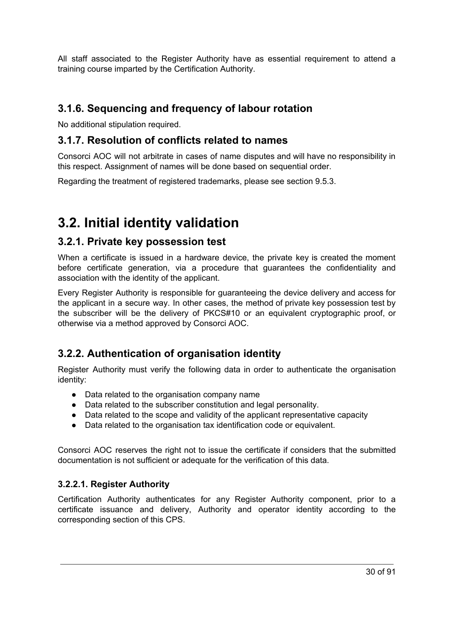All staff associated to the Register Authority have as essential requirement to attend a training course imparted by the Certification Authority.

## <span id="page-29-0"></span>**3.1.6. Sequencing and frequency of labour rotation**

No additional stipulation required.

## <span id="page-29-1"></span>**3.1.7. Resolution of conflicts related to names**

Consorci AOC will not arbitrate in cases of name disputes and will have no responsibility in this respect. Assignment of names will be done based on sequential order.

Regarding the treatment of registered trademarks, please see section 9.5.3.

# <span id="page-29-2"></span>**3.2. Initial identity validation**

#### <span id="page-29-3"></span>**3.2.1. Private key possession test**

When a certificate is issued in a hardware device, the private key is created the moment before certificate generation, via a procedure that guarantees the confidentiality and association with the identity of the applicant.

Every Register Authority is responsible for guaranteeing the device delivery and access for the applicant in a secure way. In other cases, the method of private key possession test by the subscriber will be the delivery of PKCS#10 or an equivalent cryptographic proof, or otherwise via a method approved by Consorci AOC.

# <span id="page-29-4"></span>**3.2.2. Authentication of organisation identity**

Register Authority must verify the following data in order to authenticate the organisation identity:

- Data related to the organisation company name
- Data related to the subscriber constitution and legal personality.
- Data related to the scope and validity of the applicant representative capacity
- Data related to the organisation tax identification code or equivalent.

Consorci AOC reserves the right not to issue the certificate if considers that the submitted documentation is not sufficient or adequate for the verification of this data.

#### <span id="page-29-5"></span>**3.2.2.1. Register Authority**

Certification Authority authenticates for any Register Authority component, prior to a certificate issuance and delivery, Authority and operator identity according to the corresponding section of this CPS.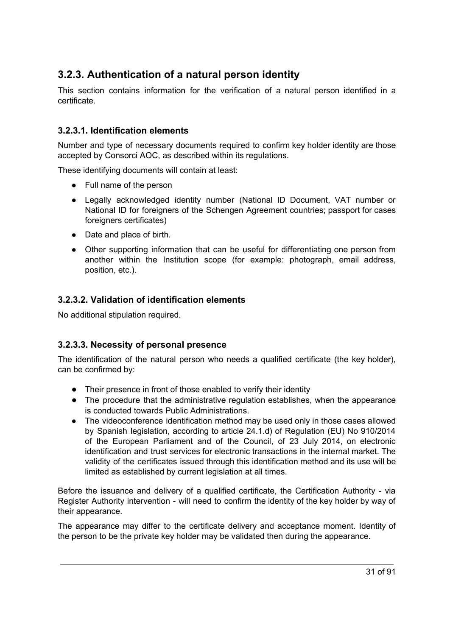# <span id="page-30-0"></span>**3.2.3. Authentication of a natural person identity**

This section contains information for the verification of a natural person identified in a certificate.

#### <span id="page-30-1"></span>**3.2.3.1. Identification elements**

Number and type of necessary documents required to confirm key holder identity are those accepted by Consorci AOC, as described within its regulations.

These identifying documents will contain at least:

- Full name of the person
- Legally acknowledged identity number (National ID Document, VAT number or National ID for foreigners of the Schengen Agreement countries; passport for cases foreigners certificates)
- Date and place of birth.
- Other supporting information that can be useful for differentiating one person from another within the Institution scope (for example: photograph, email address, position, etc.).

#### <span id="page-30-2"></span>**3.2.3.2. Validation of identification elements**

No additional stipulation required.

#### <span id="page-30-3"></span>**3.2.3.3. Necessity of personal presence**

The identification of the natural person who needs a qualified certificate (the key holder), can be confirmed by:

- Their presence in front of those enabled to verify their identity
- The procedure that the administrative regulation establishes, when the appearance is conducted towards Public Administrations.
- The videoconference identification method may be used only in those cases allowed by Spanish legislation, according to article 24.1.d) of Regulation (EU) No 910/2014 of the European Parliament and of the Council, of 23 July 2014, on electronic identification and trust services for electronic transactions in the internal market. The validity of the certificates issued through this identification method and its use will be limited as established by current legislation at all times.

Before the issuance and delivery of a qualified certificate, the Certification Authority - via Register Authority intervention - will need to confirm the identity of the key holder by way of their appearance.

The appearance may differ to the certificate delivery and acceptance moment. Identity of the person to be the private key holder may be validated then during the appearance.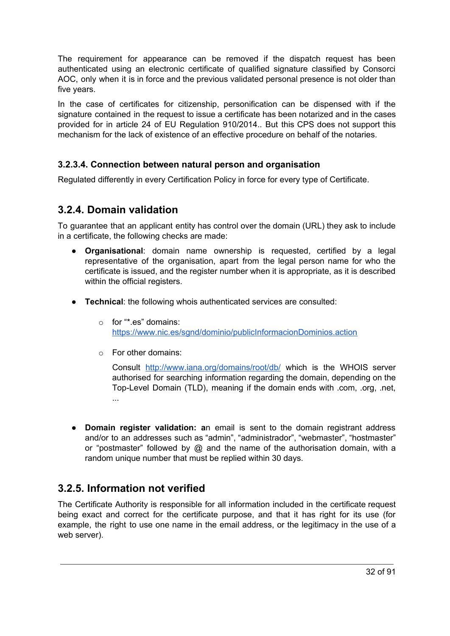The requirement for appearance can be removed if the dispatch request has been authenticated using an electronic certificate of qualified signature classified by Consorci AOC, only when it is in force and the previous validated personal presence is not older than five years.

In the case of certificates for citizenship, personification can be dispensed with if the signature contained in the request to issue a certificate has been notarized and in the cases provided for in article 24 of EU Regulation 910/2014.. But this CPS does not support this mechanism for the lack of existence of an effective procedure on behalf of the notaries.

#### <span id="page-31-0"></span>**3.2.3.4. Connection between natural person and organisation**

Regulated differently in every Certification Policy in force for every type of Certificate.

### <span id="page-31-1"></span>**3.2.4. Domain validation**

To guarantee that an applicant entity has control over the domain (URL) they ask to include in a certificate, the following checks are made:

- **Organisational**: domain name ownership is requested, certified by a legal representative of the organisation, apart from the legal person name for who the certificate is issued, and the register number when it is appropriate, as it is described within the official registers.
- **Technical**: the following whois authenticated services are consulted:
	- o for "\*.es" domains: <https://www.nic.es/sgnd/dominio/publicInformacionDominios.action>
	- o For other domains:

Consult <http://www.iana.org/domains/root/db/> which is the WHOIS server authorised for searching information regarding the domain, depending on the Top-Level Domain (TLD), meaning if the domain ends with .com, .org, .net, ...

● **Domain register validation: a**n email is sent to the domain registrant address and/or to an addresses such as "admin", "administrador", "webmaster", "hostmaster" or "postmaster" followed by @ and the name of the authorisation domain, with a random unique number that must be replied within 30 days.

## <span id="page-31-2"></span>**3.2.5. Information not verified**

The Certificate Authority is responsible for all information included in the certificate request being exact and correct for the certificate purpose, and that it has right for its use (for example, the right to use one name in the email address, or the legitimacy in the use of a web server).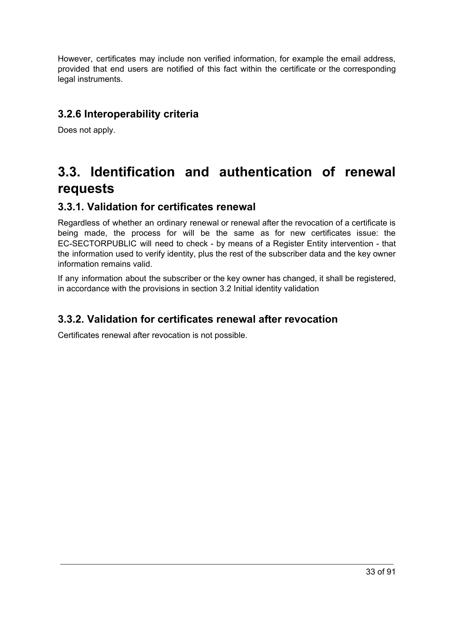However, certificates may include non verified information, for example the email address, provided that end users are notified of this fact within the certificate or the corresponding legal instruments.

## <span id="page-32-0"></span>**3.2.6 Interoperability criteria**

Does not apply.

# <span id="page-32-1"></span>**3.3. Identification and authentication of renewal requests**

### <span id="page-32-2"></span>**3.3.1. Validation for certificates renewal**

Regardless of whether an ordinary renewal or renewal after the revocation of a certificate is being made, the process for will be the same as for new certificates issue: the EC-SECTORPUBLIC will need to check - by means of a Register Entity intervention - that the information used to verify identity, plus the rest of the subscriber data and the key owner information remains valid.

If any information about the subscriber or the key owner has changed, it shall be registered, in accordance with the provisions in section 3.2 Initial identity validation

## <span id="page-32-3"></span>**3.3.2. Validation for certificates renewal after revocation**

<span id="page-32-4"></span>Certificates renewal after revocation is not possible.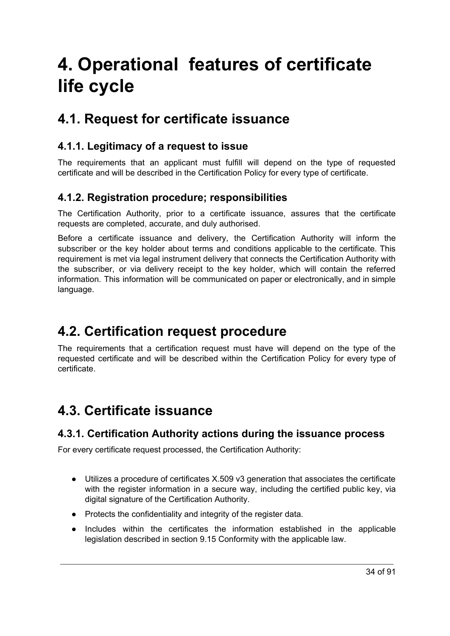# **4. Operational features of certificate life cycle**

# <span id="page-33-0"></span>**4.1. Request for certificate issuance**

## <span id="page-33-1"></span>**4.1.1. Legitimacy of a request to issue**

The requirements that an applicant must fulfill will depend on the type of requested certificate and will be described in the Certification Policy for every type of certificate.

## <span id="page-33-2"></span>**4.1.2. Registration procedure; responsibilities**

The Certification Authority, prior to a certificate issuance, assures that the certificate requests are completed, accurate, and duly authorised.

Before a certificate issuance and delivery, the Certification Authority will inform the subscriber or the key holder about terms and conditions applicable to the certificate. This requirement is met via legal instrument delivery that connects the Certification Authority with the subscriber, or via delivery receipt to the key holder, which will contain the referred information. This information will be communicated on paper or electronically, and in simple language.

# <span id="page-33-3"></span>**4.2. Certification request procedure**

The requirements that a certification request must have will depend on the type of the requested certificate and will be described within the Certification Policy for every type of certificate.

# <span id="page-33-4"></span>**4.3. Certificate issuance**

## <span id="page-33-5"></span>**4.3.1. Certification Authority actions during the issuance process**

For every certificate request processed, the Certification Authority:

- Utilizes a procedure of certificates X.509 v3 generation that associates the certificate with the register information in a secure way, including the certified public key, via digital signature of the Certification Authority.
- Protects the confidentiality and integrity of the register data.
- Includes within the certificates the information established in the applicable legislation described in section 9.15 Conformity with the applicable law.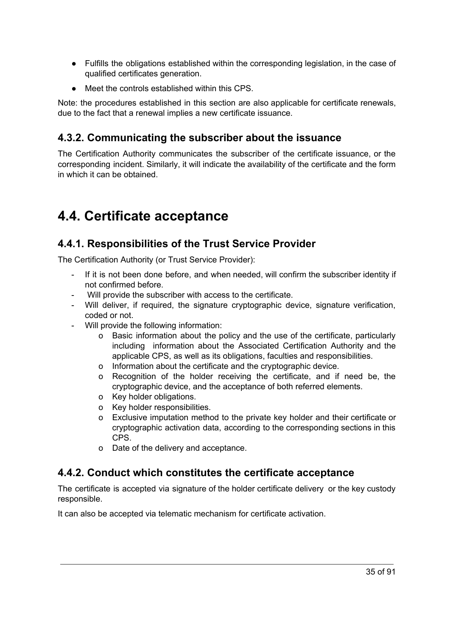- Fulfills the obligations established within the corresponding legislation, in the case of qualified certificates generation.
- Meet the controls established within this CPS.

Note: the procedures established in this section are also applicable for certificate renewals, due to the fact that a renewal implies a new certificate issuance.

# <span id="page-34-0"></span>**4.3.2. Communicating the subscriber about the issuance**

The Certification Authority communicates the subscriber of the certificate issuance, or the corresponding incident. Similarly, it will indicate the availability of the certificate and the form in which it can be obtained.

# <span id="page-34-1"></span>**4.4. Certificate acceptance**

# <span id="page-34-2"></span>**4.4.1. Responsibilities of the Trust Service Provider**

The Certification Authority (or Trust Service Provider):

- If it is not been done before, and when needed, will confirm the subscriber identity if not confirmed before.
- Will provide the subscriber with access to the certificate.
- Will deliver, if required, the signature cryptographic device, signature verification, coded or not.
- Will provide the following information:
	- o Basic information about the policy and the use of the certificate, particularly including information about the Associated Certification Authority and the applicable CPS, as well as its obligations, faculties and responsibilities.
	- o Information about the certificate and the cryptographic device.
	- o Recognition of the holder receiving the certificate, and if need be, the cryptographic device, and the acceptance of both referred elements.
	- o Key holder obligations.
	- o Key holder responsibilities.
	- o Exclusive imputation method to the private key holder and their certificate or cryptographic activation data, according to the corresponding sections in this CPS.
	- o Date of the delivery and acceptance.

## <span id="page-34-3"></span>**4.4.2. Conduct which constitutes the certificate acceptance**

The certificate is accepted via signature of the holder certificate delivery or the key custody responsible.

It can also be accepted via telematic mechanism for certificate activation.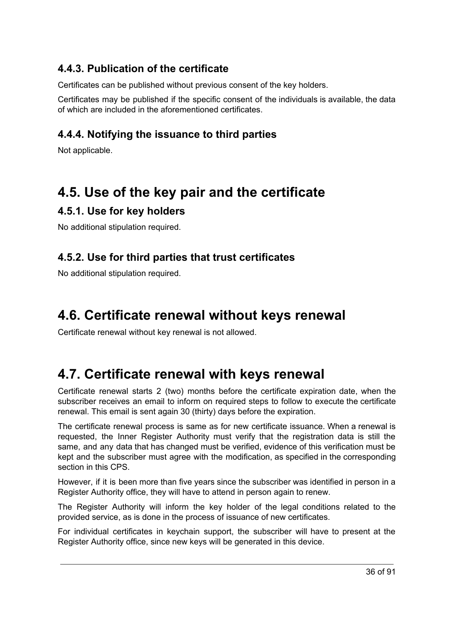# <span id="page-35-0"></span>**4.4.3. Publication of the certificate**

Certificates can be published without previous consent of the key holders.

Certificates may be published if the specific consent of the individuals is available, the data of which are included in the aforementioned certificates.

# <span id="page-35-1"></span>**4.4.4. Notifying the issuance to third parties**

Not applicable.

# <span id="page-35-2"></span>**4.5. Use of the key pair and the certificate**

# <span id="page-35-3"></span>**4.5.1. Use for key holders**

No additional stipulation required.

## <span id="page-35-4"></span>**4.5.2. Use for third parties that trust certificates**

No additional stipulation required.

# <span id="page-35-5"></span>**4.6. Certificate renewal without keys renewal**

Certificate renewal without key renewal is not allowed.

# <span id="page-35-6"></span>**4.7. Certificate renewal with keys renewal**

Certificate renewal starts 2 (two) months before the certificate expiration date, when the subscriber receives an email to inform on required steps to follow to execute the certificate renewal. This email is sent again 30 (thirty) days before the expiration.

The certificate renewal process is same as for new certificate issuance. When a renewal is requested, the Inner Register Authority must verify that the registration data is still the same, and any data that has changed must be verified, evidence of this verification must be kept and the subscriber must agree with the modification, as specified in the corresponding section in this CPS.

However, if it is been more than five years since the subscriber was identified in person in a Register Authority office, they will have to attend in person again to renew.

The Register Authority will inform the key holder of the legal conditions related to the provided service, as is done in the process of issuance of new certificates.

For individual certificates in keychain support, the subscriber will have to present at the Register Authority office, since new keys will be generated in this device.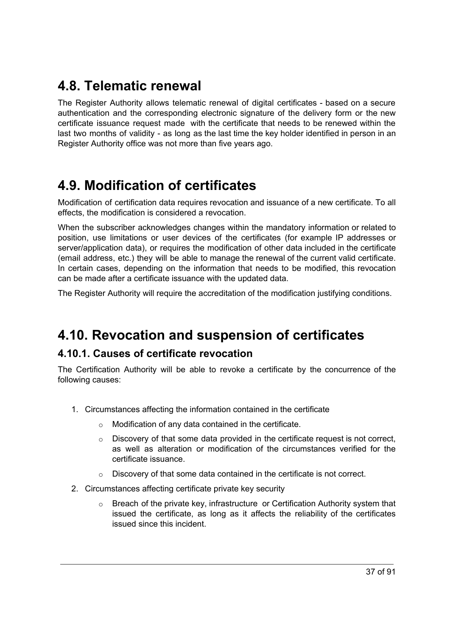# **4.8. Telematic renewal**

The Register Authority allows telematic renewal of digital certificates - based on a secure authentication and the corresponding electronic signature of the delivery form or the new certificate issuance request made with the certificate that needs to be renewed within the last two months of validity - as long as the last time the key holder identified in person in an Register Authority office was not more than five years ago.

# **4.9. Modification of certificates**

Modification of certification data requires revocation and issuance of a new certificate. To all effects, the modification is considered a revocation.

When the subscriber acknowledges changes within the mandatory information or related to position, use limitations or user devices of the certificates (for example IP addresses or server/application data), or requires the modification of other data included in the certificate (email address, etc.) they will be able to manage the renewal of the current valid certificate. In certain cases, depending on the information that needs to be modified, this revocation can be made after a certificate issuance with the updated data.

The Register Authority will require the accreditation of the modification justifying conditions.

# **4.10. Revocation and suspension of certificates**

### **4.10.1. Causes of certificate revocation**

The Certification Authority will be able to revoke a certificate by the concurrence of the following causes:

- 1. Circumstances affecting the information contained in the certificate
	- o Modification of any data contained in the certificate.
	- $\circ$  Discovery of that some data provided in the certificate request is not correct, as well as alteration or modification of the circumstances verified for the certificate issuance.
	- o Discovery of that some data contained in the certificate is not correct.
- 2. Circumstances affecting certificate private key security
	- $\circ$  Breach of the private key, infrastructure or Certification Authority system that issued the certificate, as long as it affects the reliability of the certificates issued since this incident.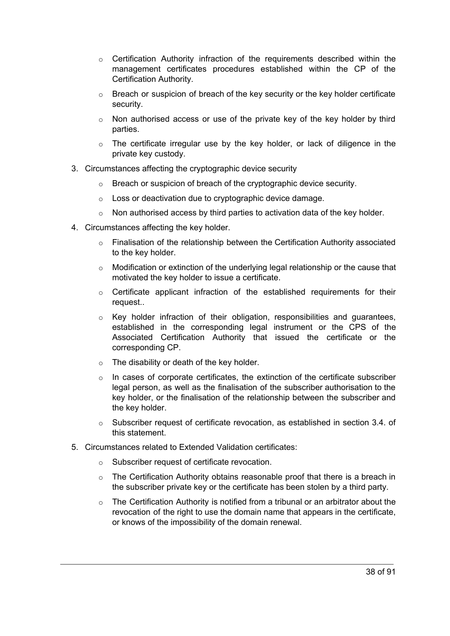- $\circ$  Certification Authority infraction of the requirements described within the management certificates procedures established within the CP of the Certification Authority.
- $\circ$  Breach or suspicion of breach of the key security or the key holder certificate security.
- $\circ$  Non authorised access or use of the private key of the key holder by third parties.
- $\circ$  The certificate irregular use by the key holder, or lack of diligence in the private key custody.
- 3. Circumstances affecting the cryptographic device security
	- o Breach or suspicion of breach of the cryptographic device security.
	- o Loss or deactivation due to cryptographic device damage.
	- $\circ$  Non authorised access by third parties to activation data of the key holder.
- 4. Circumstances affecting the key holder.
	- $\circ$  Finalisation of the relationship between the Certification Authority associated to the key holder.
	- $\circ$  Modification or extinction of the underlying legal relationship or the cause that motivated the key holder to issue a certificate.
	- $\circ$  Certificate applicant infraction of the established requirements for their request..
	- $\circ$  Key holder infraction of their obligation, responsibilities and quarantees, established in the corresponding legal instrument or the CPS of the Associated Certification Authority that issued the certificate or the corresponding CP.
	- o The disability or death of the key holder.
	- $\circ$  In cases of corporate certificates, the extinction of the certificate subscriber legal person, as well as the finalisation of the subscriber authorisation to the key holder, or the finalisation of the relationship between the subscriber and the key holder.
	- $\circ$  Subscriber request of certificate revocation, as established in section 3.4. of this statement.
- 5. Circumstances related to Extended Validation certificates:
	- o Subscriber request of certificate revocation.
	- $\circ$  The Certification Authority obtains reasonable proof that there is a breach in the subscriber private key or the certificate has been stolen by a third party.
	- $\circ$  The Certification Authority is notified from a tribunal or an arbitrator about the revocation of the right to use the domain name that appears in the certificate, or knows of the impossibility of the domain renewal.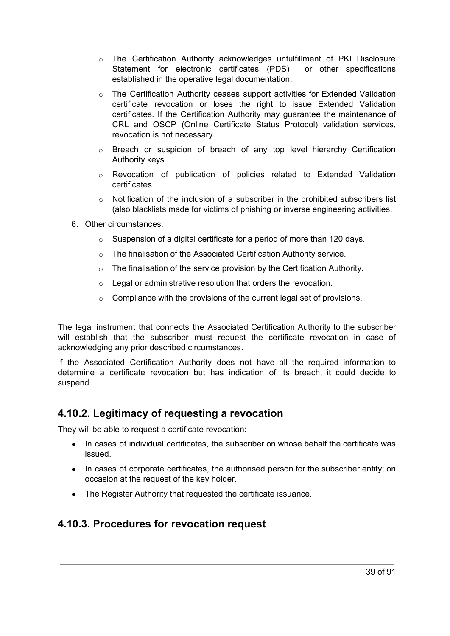- $\circ$  The Certification Authority acknowledges unfulfillment of PKI Disclosure Statement for electronic certificates (PDS) or other specifications established in the operative legal documentation.
- o The Certification Authority ceases support activities for Extended Validation certificate revocation or loses the right to issue Extended Validation certificates. If the Certification Authority may guarantee the maintenance of CRL and OSCP (Online Certificate Status Protocol) validation services, revocation is not necessary.
- $\circ$  Breach or suspicion of breach of any top level hierarchy Certification Authority keys.
- o Revocation of publication of policies related to Extended Validation certificates.
- $\circ$  Notification of the inclusion of a subscriber in the prohibited subscribers list (also blacklists made for victims of phishing or inverse engineering activities.
- 6. Other circumstances:
	- $\circ$  Suspension of a digital certificate for a period of more than 120 days.
	- o The finalisation of the Associated Certification Authority service.
	- $\circ$  The finalisation of the service provision by the Certification Authority.
	- o Legal or administrative resolution that orders the revocation.
	- $\circ$  Compliance with the provisions of the current legal set of provisions.

The legal instrument that connects the Associated Certification Authority to the subscriber will establish that the subscriber must request the certificate revocation in case of acknowledging any prior described circumstances.

If the Associated Certification Authority does not have all the required information to determine a certificate revocation but has indication of its breach, it could decide to suspend.

#### **4.10.2. Legitimacy of requesting a revocation**

They will be able to request a certificate revocation:

- In cases of individual certificates, the subscriber on whose behalf the certificate was issued.
- In cases of corporate certificates, the authorised person for the subscriber entity; on occasion at the request of the key holder.
- The Register Authority that requested the certificate issuance.

#### **4.10.3. Procedures for revocation request**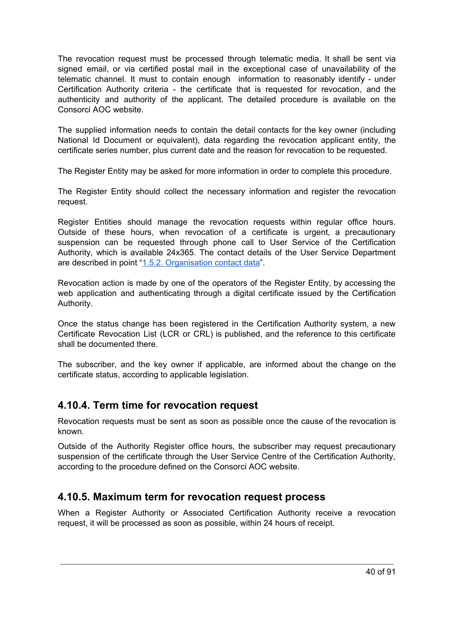The revocation request must be processed through telematic media. It shall be sent via signed email, or via certified postal mail in the exceptional case of unavailability of the telematic channel. It must to contain enough information to reasonably identify - under Certification Authority criteria - the certificate that is requested for revocation, and the authenticity and authority of the applicant. The detailed procedure is available on the Consorci AOC website.

The supplied information needs to contain the detail contacts for the key owner (including National Id Document or equivalent), data regarding the revocation applicant entity, the certificate series number, plus current date and the reason for revocation to be requested.

The Register Entity may be asked for more information in order to complete this procedure.

The Register Entity should collect the necessary information and register the revocation request.

Register Entities should manage the revocation requests within regular office hours. Outside of these hours, when revocation of a certificate is urgent, a precautionary suspension can be requested through phone call to User Service of the Certification Authority, which is available 24x365. The contact details of the User Service Department are described in point "1.5.2. [Organisation](#page-22-0) contact data".

Revocation action is made by one of the operators of the Register Entity, by accessing the web application and authenticating through a digital certificate issued by the Certification Authority.

Once the status change has been registered in the Certification Authority system, a new Certificate Revocation List (LCR or CRL) is published, and the reference to this certificate shall be documented there.

The subscriber, and the key owner if applicable, are informed about the change on the certificate status, according to applicable legislation.

#### **4.10.4. Term time for revocation request**

Revocation requests must be sent as soon as possible once the cause of the revocation is known.

Outside of the Authority Register office hours, the subscriber may request precautionary suspension of the certificate through the User Service Centre of the Certification Authority, according to the procedure defined on the Consorci AOC website.

### **4.10.5. Maximum term for revocation request process**

When a Register Authority or Associated Certification Authority receive a revocation request, it will be processed as soon as possible, within 24 hours of receipt.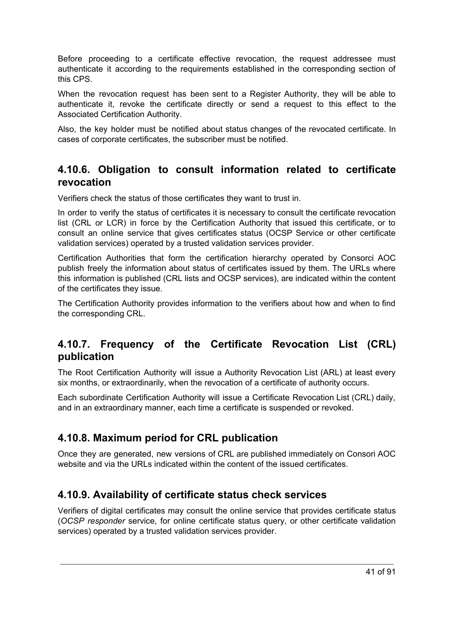Before proceeding to a certificate effective revocation, the request addressee must authenticate it according to the requirements established in the corresponding section of this CPS.

When the revocation request has been sent to a Register Authority, they will be able to authenticate it, revoke the certificate directly or send a request to this effect to the Associated Certification Authority.

Also, the key holder must be notified about status changes of the revocated certificate. In cases of corporate certificates, the subscriber must be notified.

#### **4.10.6. Obligation to consult information related to certificate revocation**

Verifiers check the status of those certificates they want to trust in.

In order to verify the status of certificates it is necessary to consult the certificate revocation list (CRL or LCR) in force by the Certification Authority that issued this certificate, or to consult an online service that gives certificates status (OCSP Service or other certificate validation services) operated by a trusted validation services provider.

Certification Authorities that form the certification hierarchy operated by Consorci AOC publish freely the information about status of certificates issued by them. The URLs where this information is published (CRL lists and OCSP services), are indicated within the content of the certificates they issue.

The Certification Authority provides information to the verifiers about how and when to find the corresponding CRL.

## **4.10.7. Frequency of the Certificate Revocation List (CRL) publication**

The Root Certification Authority will issue a Authority Revocation List (ARL) at least every six months, or extraordinarily, when the revocation of a certificate of authority occurs.

Each subordinate Certification Authority will issue a Certificate Revocation List (CRL) daily, and in an extraordinary manner, each time a certificate is suspended or revoked.

# **4.10.8. Maximum period for CRL publication**

Once they are generated, new versions of CRL are published immediately on Consori AOC website and via the URLs indicated within the content of the issued certificates.

### **4.10.9. Availability of certificate status check services**

Verifiers of digital certificates may consult the online service that provides certificate status (*OCSP responder* service, for online certificate status query, or other certificate validation services) operated by a trusted validation services provider.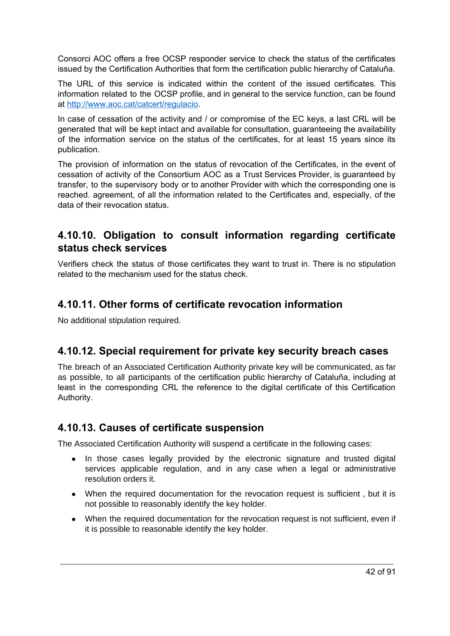Consorci AOC offers a free OCSP responder service to check the status of the certificates issued by the Certification Authorities that form the certification public hierarchy of Cataluña.

The URL of this service is indicated within the content of the issued certificates. This information related to the OCSP profile, and in general to the service function, can be found at [http://www.aoc.cat/catcert/regulacio.](http://www.aoc.cat/catcert/regulacio)

In case of cessation of the activity and / or compromise of the EC keys, a last CRL will be generated that will be kept intact and available for consultation, guaranteeing the availability of the information service on the status of the certificates, for at least 15 years since its publication.

The provision of information on the status of revocation of the Certificates, in the event of cessation of activity of the Consortium AOC as a Trust Services Provider, is guaranteed by transfer, to the supervisory body or to another Provider with which the corresponding one is reached. agreement, of all the information related to the Certificates and, especially, of the data of their revocation status.

### **4.10.10. Obligation to consult information regarding certificate status check services**

Verifiers check the status of those certificates they want to trust in. There is no stipulation related to the mechanism used for the status check.

## **4.10.11. Other forms of certificate revocation information**

No additional stipulation required.

### **4.10.12. Special requirement for private key security breach cases**

The breach of an Associated Certification Authority private key will be communicated, as far as possible, to all participants of the certification public hierarchy of Cataluña, including at least in the corresponding CRL the reference to the digital certificate of this Certification Authority.

### **4.10.13. Causes of certificate suspension**

The Associated Certification Authority will suspend a certificate in the following cases:

- In those cases legally provided by the electronic signature and trusted digital services applicable regulation, and in any case when a legal or administrative resolution orders it.
- When the required documentation for the revocation request is sufficient, but it is not possible to reasonably identify the key holder.
- When the required documentation for the revocation request is not sufficient, even if it is possible to reasonable identify the key holder.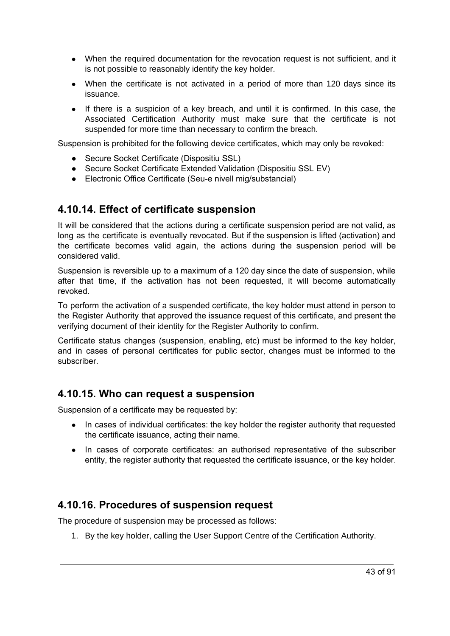- When the required documentation for the revocation request is not sufficient, and it is not possible to reasonably identify the key holder.
- When the certificate is not activated in a period of more than 120 days since its issuance.
- If there is a suspicion of a key breach, and until it is confirmed. In this case, the Associated Certification Authority must make sure that the certificate is not suspended for more time than necessary to confirm the breach.

Suspension is prohibited for the following device certificates, which may only be revoked:

- Secure Socket Certificate (Dispositiu SSL)
- Secure Socket Certificate Extended Validation (Dispositiu SSL EV)
- Electronic Office Certificate (Seu-e nivell mig/substancial)

#### **4.10.14. Effect of certificate suspension**

It will be considered that the actions during a certificate suspension period are not valid, as long as the certificate is eventually revocated. But if the suspension is lifted (activation) and the certificate becomes valid again, the actions during the suspension period will be considered valid.

Suspension is reversible up to a maximum of a 120 day since the date of suspension, while after that time, if the activation has not been requested, it will become automatically revoked.

To perform the activation of a suspended certificate, the key holder must attend in person to the Register Authority that approved the issuance request of this certificate, and present the verifying document of their identity for the Register Authority to confirm.

Certificate status changes (suspension, enabling, etc) must be informed to the key holder, and in cases of personal certificates for public sector, changes must be informed to the subscriber.

### **4.10.15. Who can request a suspension**

Suspension of a certificate may be requested by:

- In cases of individual certificates: the key holder the register authority that requested the certificate issuance, acting their name.
- In cases of corporate certificates: an authorised representative of the subscriber entity, the register authority that requested the certificate issuance, or the key holder.

### **4.10.16. Procedures of suspension request**

The procedure of suspension may be processed as follows:

1. By the key holder, calling the User Support Centre of the Certification Authority.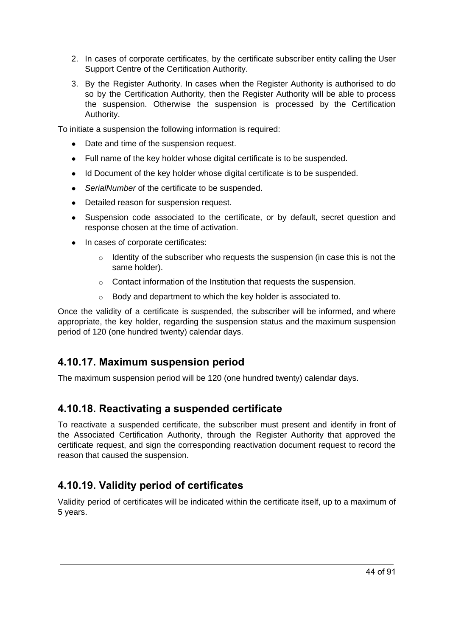- 2. In cases of corporate certificates, by the certificate subscriber entity calling the User Support Centre of the Certification Authority.
- 3. By the Register Authority. In cases when the Register Authority is authorised to do so by the Certification Authority, then the Register Authority will be able to process the suspension. Otherwise the suspension is processed by the Certification Authority.

To initiate a suspension the following information is required:

- Date and time of the suspension request.
- Full name of the key holder whose digital certificate is to be suspended.
- Id Document of the key holder whose digital certificate is to be suspended.
- *SerialNumber* of the certificate to be suspended.
- Detailed reason for suspension request.
- Suspension code associated to the certificate, or by default, secret question and response chosen at the time of activation.
- In cases of corporate certificates:
	- $\circ$  Identity of the subscriber who requests the suspension (in case this is not the same holder).
	- o Contact information of the Institution that requests the suspension.
	- o Body and department to which the key holder is associated to.

Once the validity of a certificate is suspended, the subscriber will be informed, and where appropriate, the key holder, regarding the suspension status and the maximum suspension period of 120 (one hundred twenty) calendar days.

### **4.10.17. Maximum suspension period**

The maximum suspension period will be 120 (one hundred twenty) calendar days.

### **4.10.18. Reactivating a suspended certificate**

To reactivate a suspended certificate, the subscriber must present and identify in front of the Associated Certification Authority, through the Register Authority that approved the certificate request, and sign the corresponding reactivation document request to record the reason that caused the suspension.

# **4.10.19. Validity period of certificates**

Validity period of certificates will be indicated within the certificate itself, up to a maximum of 5 years.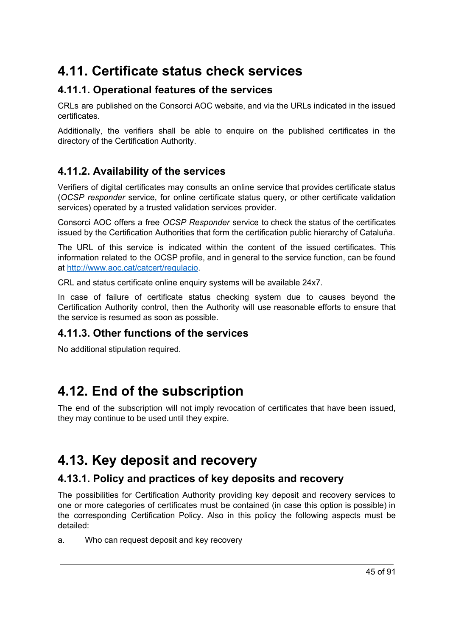# **4.11. Certificate status check services**

# **4.11.1. Operational features of the services**

CRLs are published on the Consorci AOC website, and via the URLs indicated in the issued certificates.

Additionally, the verifiers shall be able to enquire on the published certificates in the directory of the Certification Authority.

# **4.11.2. Availability of the services**

Verifiers of digital certificates may consults an online service that provides certificate status (*OCSP responder* service, for online certificate status query, or other certificate validation services) operated by a trusted validation services provider.

Consorci AOC offers a free *OCSP Responder* service to check the status of the certificates issued by the Certification Authorities that form the certification public hierarchy of Cataluña.

The URL of this service is indicated within the content of the issued certificates. This information related to the OCSP profile, and in general to the service function, can be found at [http://www.aoc.cat/catcert/regulacio.](http://www.aoc.cat/catcert/regulacio)

CRL and status certificate online enquiry systems will be available 24x7.

In case of failure of certificate status checking system due to causes beyond the Certification Authority control, then the Authority will use reasonable efforts to ensure that the service is resumed as soon as possible.

### **4.11.3. Other functions of the services**

No additional stipulation required.

# **4.12. End of the subscription**

The end of the subscription will not imply revocation of certificates that have been issued, they may continue to be used until they expire.

# **4.13. Key deposit and recovery**

### **4.13.1. Policy and practices of key deposits and recovery**

The possibilities for Certification Authority providing key deposit and recovery services to one or more categories of certificates must be contained (in case this option is possible) in the corresponding Certification Policy. Also in this policy the following aspects must be detailed:

a. Who can request deposit and key recovery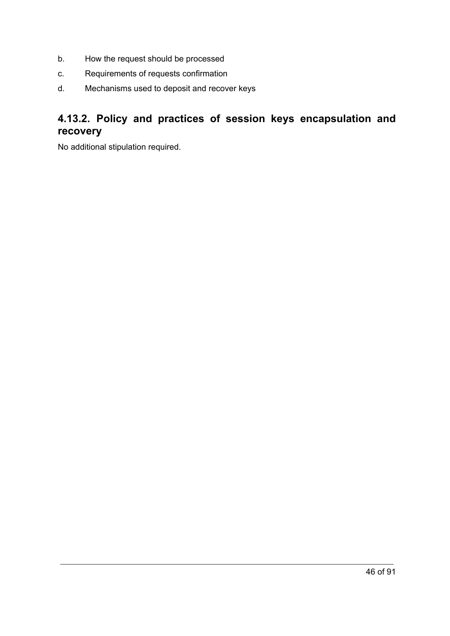- b. How the request should be processed
- c. Requirements of requests confirmation
- d. Mechanisms used to deposit and recover keys

# **4.13.2. Policy and practices of session keys encapsulation and recovery**

No additional stipulation required.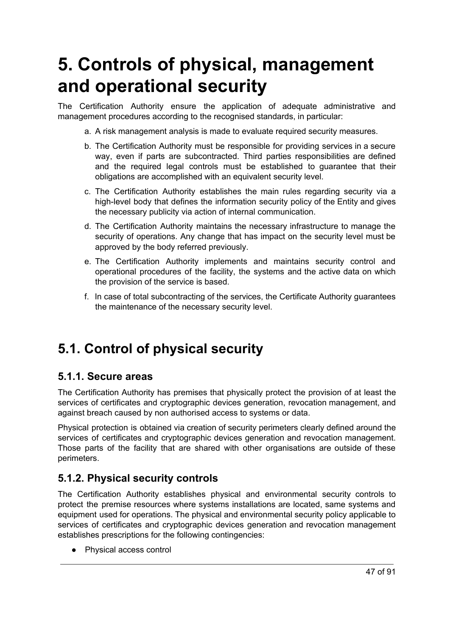# **5. Controls of physical, management and operational security**

The Certification Authority ensure the application of adequate administrative and management procedures according to the recognised standards, in particular:

- a. A risk management analysis is made to evaluate required security measures.
- b. The Certification Authority must be responsible for providing services in a secure way, even if parts are subcontracted. Third parties responsibilities are defined and the required legal controls must be established to guarantee that their obligations are accomplished with an equivalent security level.
- c. The Certification Authority establishes the main rules regarding security via a high-level body that defines the information security policy of the Entity and gives the necessary publicity via action of internal communication.
- d. The Certification Authority maintains the necessary infrastructure to manage the security of operations. Any change that has impact on the security level must be approved by the body referred previously.
- e. The Certification Authority implements and maintains security control and operational procedures of the facility, the systems and the active data on which the provision of the service is based.
- f. In case of total subcontracting of the services, the Certificate Authority guarantees the maintenance of the necessary security level.

# **5.1. Control of physical security**

#### **5.1.1. Secure areas**

The Certification Authority has premises that physically protect the provision of at least the services of certificates and cryptographic devices generation, revocation management, and against breach caused by non authorised access to systems or data.

Physical protection is obtained via creation of security perimeters clearly defined around the services of certificates and cryptographic devices generation and revocation management. Those parts of the facility that are shared with other organisations are outside of these perimeters.

### **5.1.2. Physical security controls**

The Certification Authority establishes physical and environmental security controls to protect the premise resources where systems installations are located, same systems and equipment used for operations. The physical and environmental security policy applicable to services of certificates and cryptographic devices generation and revocation management establishes prescriptions for the following contingencies:

● Physical access control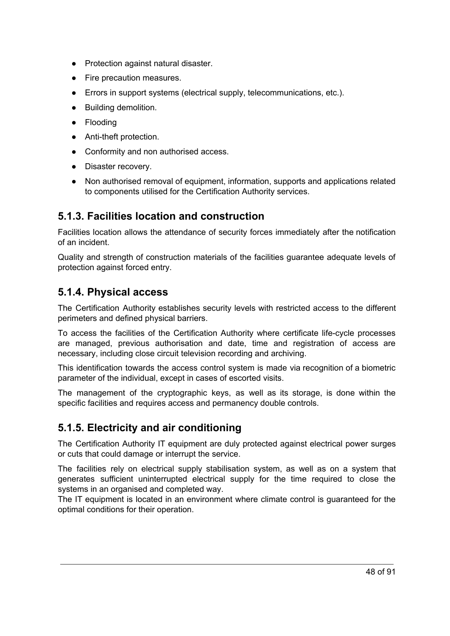- Protection against natural disaster.
- Fire precaution measures.
- Errors in support systems (electrical supply, telecommunications, etc.).
- Building demolition.
- Flooding
- Anti-theft protection.
- Conformity and non authorised access.
- Disaster recovery.
- Non authorised removal of equipment, information, supports and applications related to components utilised for the Certification Authority services.

### **5.1.3. Facilities location and construction**

Facilities location allows the attendance of security forces immediately after the notification of an incident.

Quality and strength of construction materials of the facilities guarantee adequate levels of protection against forced entry.

#### **5.1.4. Physical access**

The Certification Authority establishes security levels with restricted access to the different perimeters and defined physical barriers.

To access the facilities of the Certification Authority where certificate life-cycle processes are managed, previous authorisation and date, time and registration of access are necessary, including close circuit television recording and archiving.

This identification towards the access control system is made via recognition of a biometric parameter of the individual, except in cases of escorted visits.

The management of the cryptographic keys, as well as its storage, is done within the specific facilities and requires access and permanency double controls.

### **5.1.5. Electricity and air conditioning**

The Certification Authority IT equipment are duly protected against electrical power surges or cuts that could damage or interrupt the service.

The facilities rely on electrical supply stabilisation system, as well as on a system that generates sufficient uninterrupted electrical supply for the time required to close the systems in an organised and completed way.

The IT equipment is located in an environment where climate control is guaranteed for the optimal conditions for their operation.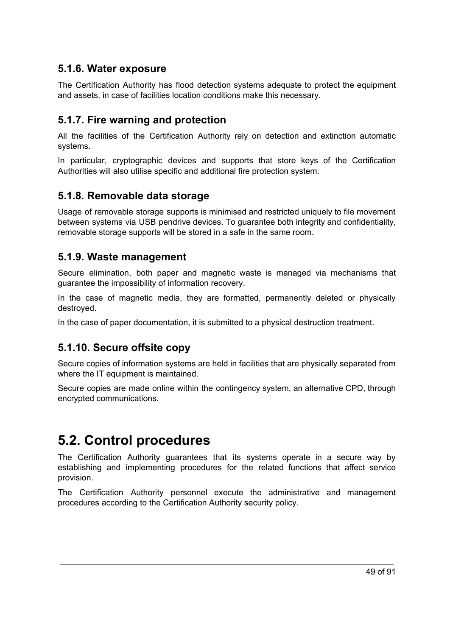### **5.1.6. Water exposure**

The Certification Authority has flood detection systems adequate to protect the equipment and assets, in case of facilities location conditions make this necessary.

### **5.1.7. Fire warning and protection**

All the facilities of the Certification Authority rely on detection and extinction automatic systems.

In particular, cryptographic devices and supports that store keys of the Certification Authorities will also utilise specific and additional fire protection system.

#### **5.1.8. Removable data storage**

Usage of removable storage supports is minimised and restricted uniquely to file movement between systems via USB pendrive devices. To guarantee both integrity and confidentiality, removable storage supports will be stored in a safe in the same room.

#### **5.1.9. Waste management**

Secure elimination, both paper and magnetic waste is managed via mechanisms that guarantee the impossibility of information recovery.

In the case of magnetic media, they are formatted, permanently deleted or physically destroyed.

In the case of paper documentation, it is submitted to a physical destruction treatment.

### **5.1.10. Secure offsite copy**

Secure copies of information systems are held in facilities that are physically separated from where the IT equipment is maintained.

Secure copies are made online within the contingency system, an alternative CPD, through encrypted communications.

# **5.2. Control procedures**

The Certification Authority guarantees that its systems operate in a secure way by establishing and implementing procedures for the related functions that affect service provision.

The Certification Authority personnel execute the administrative and management procedures according to the Certification Authority security policy.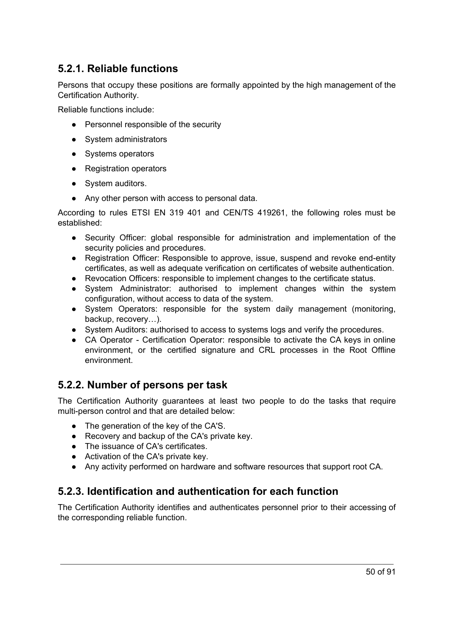## **5.2.1. Reliable functions**

Persons that occupy these positions are formally appointed by the high management of the Certification Authority.

Reliable functions include:

- Personnel responsible of the security
- System administrators
- Systems operators
- Registration operators
- System auditors.
- Any other person with access to personal data.

According to rules ETSI EN 319 401 and CEN/TS 419261, the following roles must be established:

- Security Officer: global responsible for administration and implementation of the security policies and procedures.
- Registration Officer: Responsible to approve, issue, suspend and revoke end-entity certificates, as well as adequate verification on certificates of website authentication.
- Revocation Officers: responsible to implement changes to the certificate status.
- System Administrator: authorised to implement changes within the system configuration, without access to data of the system.
- System Operators: responsible for the system daily management (monitoring, backup, recovery…).
- System Auditors: authorised to access to systems logs and verify the procedures.
- CA Operator Certification Operator: responsible to activate the CA keys in online environment, or the certified signature and CRL processes in the Root Offline environment.

### **5.2.2. Number of persons per task**

The Certification Authority guarantees at least two people to do the tasks that require multi-person control and that are detailed below:

- The generation of the key of the CA'S.
- Recovery and backup of the CA's private key.
- The issuance of CA's certificates.
- Activation of the CA's private key.
- Any activity performed on hardware and software resources that support root CA.

# **5.2.3. Identification and authentication for each function**

The Certification Authority identifies and authenticates personnel prior to their accessing of the corresponding reliable function.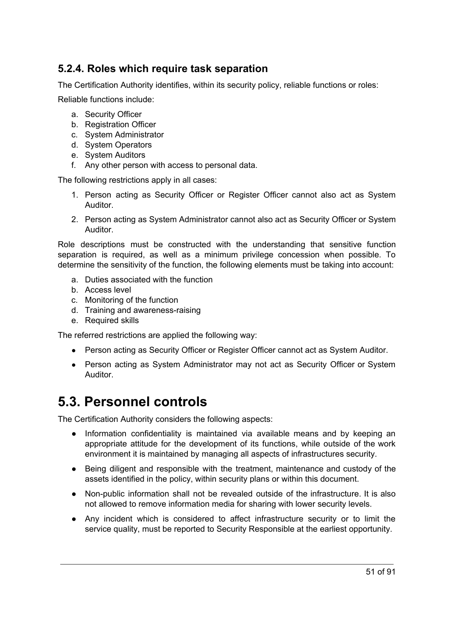## **5.2.4. Roles which require task separation**

The Certification Authority identifies, within its security policy, reliable functions or roles:

Reliable functions include:

- a. Security Officer
- b. Registration Officer
- c. System Administrator
- d. System Operators
- e. System Auditors
- f. Any other person with access to personal data.

The following restrictions apply in all cases:

- 1. Person acting as Security Officer or Register Officer cannot also act as System Auditor.
- 2. Person acting as System Administrator cannot also act as Security Officer or System Auditor.

Role descriptions must be constructed with the understanding that sensitive function separation is required, as well as a minimum privilege concession when possible. To determine the sensitivity of the function, the following elements must be taking into account:

- a. Duties associated with the function
- b. Access level
- c. Monitoring of the function
- d. Training and awareness-raising
- e. Required skills

The referred restrictions are applied the following way:

- Person acting as Security Officer or Register Officer cannot act as System Auditor.
- Person acting as System Administrator may not act as Security Officer or System Auditor.

# **5.3. Personnel controls**

The Certification Authority considers the following aspects:

- Information confidentiality is maintained via available means and by keeping an appropriate attitude for the development of its functions, while outside of the work environment it is maintained by managing all aspects of infrastructures security.
- Being diligent and responsible with the treatment, maintenance and custody of the assets identified in the policy, within security plans or within this document.
- Non-public information shall not be revealed outside of the infrastructure. It is also not allowed to remove information media for sharing with lower security levels.
- Any incident which is considered to affect infrastructure security or to limit the service quality, must be reported to Security Responsible at the earliest opportunity.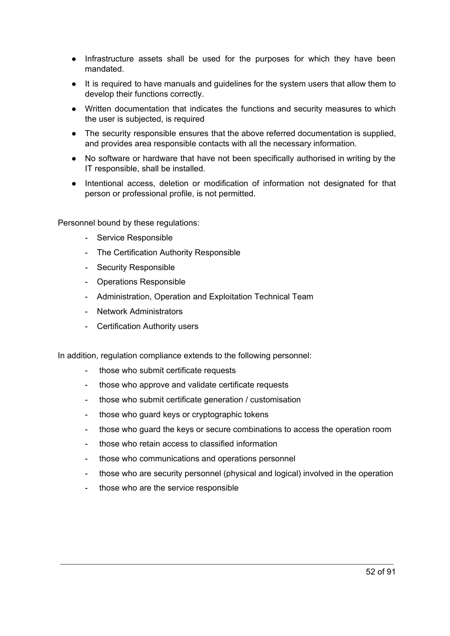- Infrastructure assets shall be used for the purposes for which they have been mandated.
- It is required to have manuals and guidelines for the system users that allow them to develop their functions correctly.
- Written documentation that indicates the functions and security measures to which the user is subjected, is required
- The security responsible ensures that the above referred documentation is supplied, and provides area responsible contacts with all the necessary information.
- No software or hardware that have not been specifically authorised in writing by the IT responsible, shall be installed.
- Intentional access, deletion or modification of information not designated for that person or professional profile, is not permitted.

Personnel bound by these regulations:

- Service Responsible
- The Certification Authority Responsible
- Security Responsible
- Operations Responsible
- Administration, Operation and Exploitation Technical Team
- Network Administrators
- Certification Authority users

In addition, regulation compliance extends to the following personnel:

- those who submit certificate requests
- those who approve and validate certificate requests
- those who submit certificate generation / customisation
- those who guard keys or cryptographic tokens
- those who guard the keys or secure combinations to access the operation room
- those who retain access to classified information
- those who communications and operations personnel
- those who are security personnel (physical and logical) involved in the operation
- those who are the service responsible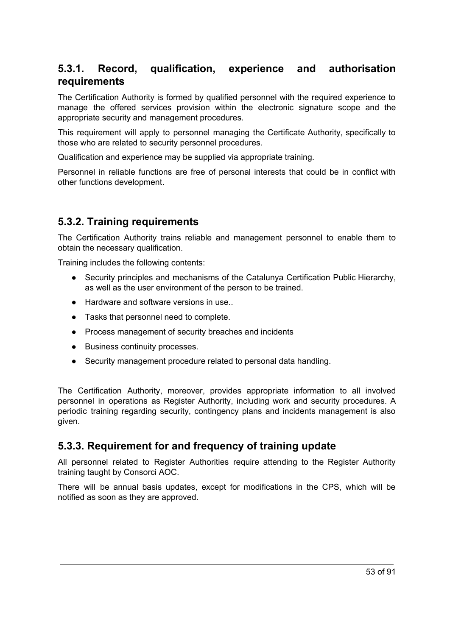### **5.3.1. Record, qualification, experience and authorisation requirements**

The Certification Authority is formed by qualified personnel with the required experience to manage the offered services provision within the electronic signature scope and the appropriate security and management procedures.

This requirement will apply to personnel managing the Certificate Authority, specifically to those who are related to security personnel procedures.

Qualification and experience may be supplied via appropriate training.

Personnel in reliable functions are free of personal interests that could be in conflict with other functions development.

#### **5.3.2. Training requirements**

The Certification Authority trains reliable and management personnel to enable them to obtain the necessary qualification.

Training includes the following contents:

- Security principles and mechanisms of the Catalunya Certification Public Hierarchy, as well as the user environment of the person to be trained.
- Hardware and software versions in use...
- Tasks that personnel need to complete.
- Process management of security breaches and incidents
- Business continuity processes.
- Security management procedure related to personal data handling.

The Certification Authority, moreover, provides appropriate information to all involved personnel in operations as Register Authority, including work and security procedures. A periodic training regarding security, contingency plans and incidents management is also given.

#### **5.3.3. Requirement for and frequency of training update**

All personnel related to Register Authorities require attending to the Register Authority training taught by Consorci AOC.

There will be annual basis updates, except for modifications in the CPS, which will be notified as soon as they are approved.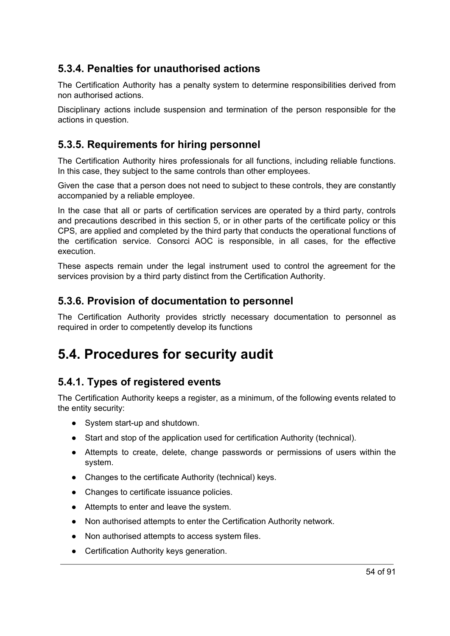# **5.3.4. Penalties for unauthorised actions**

The Certification Authority has a penalty system to determine responsibilities derived from non authorised actions.

Disciplinary actions include suspension and termination of the person responsible for the actions in question.

## **5.3.5. Requirements for hiring personnel**

The Certification Authority hires professionals for all functions, including reliable functions. In this case, they subject to the same controls than other employees.

Given the case that a person does not need to subject to these controls, they are constantly accompanied by a reliable employee.

In the case that all or parts of certification services are operated by a third party, controls and precautions described in this section 5, or in other parts of the certificate policy or this CPS, are applied and completed by the third party that conducts the operational functions of the certification service. Consorci AOC is responsible, in all cases, for the effective execution.

These aspects remain under the legal instrument used to control the agreement for the services provision by a third party distinct from the Certification Authority.

### **5.3.6. Provision of documentation to personnel**

The Certification Authority provides strictly necessary documentation to personnel as required in order to competently develop its functions

# **5.4. Procedures for security audit**

### **5.4.1. Types of registered events**

The Certification Authority keeps a register, as a minimum, of the following events related to the entity security:

- System start-up and shutdown.
- Start and stop of the application used for certification Authority (technical).
- Attempts to create, delete, change passwords or permissions of users within the system.
- Changes to the certificate Authority (technical) keys.
- Changes to certificate issuance policies.
- Attempts to enter and leave the system.
- Non authorised attempts to enter the Certification Authority network.
- Non authorised attempts to access system files.
- Certification Authority keys generation.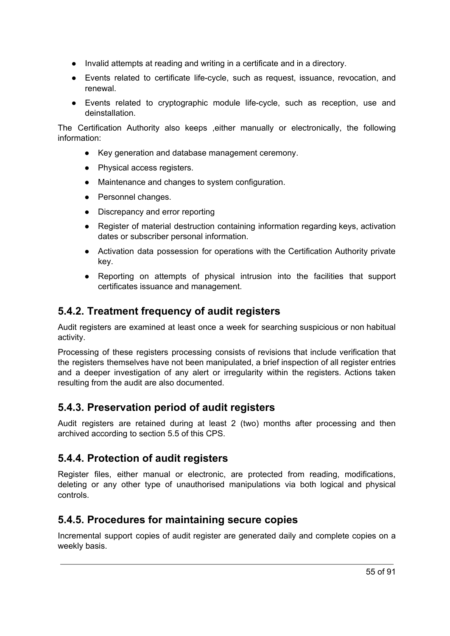- Invalid attempts at reading and writing in a certificate and in a directory.
- Events related to certificate life-cycle, such as request, issuance, revocation, and renewal.
- Events related to cryptographic module life-cycle, such as reception, use and deinstallation.

The Certification Authority also keeps ,either manually or electronically, the following information:

- Key generation and database management ceremony.
- Physical access registers.
- Maintenance and changes to system configuration.
- Personnel changes.
- Discrepancy and error reporting
- Register of material destruction containing information regarding keys, activation dates or subscriber personal information.
- Activation data possession for operations with the Certification Authority private key.
- Reporting on attempts of physical intrusion into the facilities that support certificates issuance and management.

## **5.4.2. Treatment frequency of audit registers**

Audit registers are examined at least once a week for searching suspicious or non habitual activity.

Processing of these registers processing consists of revisions that include verification that the registers themselves have not been manipulated, a brief inspection of all register entries and a deeper investigation of any alert or irregularity within the registers. Actions taken resulting from the audit are also documented.

### **5.4.3. Preservation period of audit registers**

Audit registers are retained during at least 2 (two) months after processing and then archived according to section 5.5 of this CPS.

### **5.4.4. Protection of audit registers**

Register files, either manual or electronic, are protected from reading, modifications, deleting or any other type of unauthorised manipulations via both logical and physical controls.

### **5.4.5. Procedures for maintaining secure copies**

Incremental support copies of audit register are generated daily and complete copies on a weekly basis.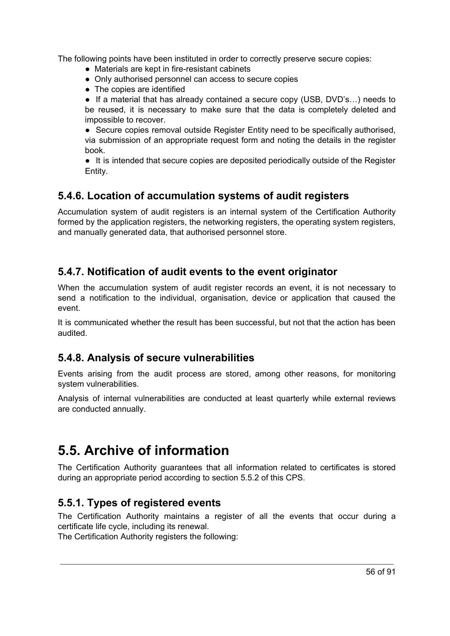The following points have been instituted in order to correctly preserve secure copies:

- Materials are kept in fire-resistant cabinets
- Only authorised personnel can access to secure copies
- The copies are identified

● If a material that has already contained a secure copy (USB, DVD's...) needs to be reused, it is necessary to make sure that the data is completely deleted and impossible to recover.

● Secure copies removal outside Register Entity need to be specifically authorised, via submission of an appropriate request form and noting the details in the register book.

● It is intended that secure copies are deposited periodically outside of the Register Entity.

### **5.4.6. Location of accumulation systems of audit registers**

Accumulation system of audit registers is an internal system of the Certification Authority formed by the application registers, the networking registers, the operating system registers, and manually generated data, that authorised personnel store.

### **5.4.7. Notification of audit events to the event originator**

When the accumulation system of audit register records an event, it is not necessary to send a notification to the individual, organisation, device or application that caused the event.

It is communicated whether the result has been successful, but not that the action has been audited.

### **5.4.8. Analysis of secure vulnerabilities**

Events arising from the audit process are stored, among other reasons, for monitoring system vulnerabilities.

Analysis of internal vulnerabilities are conducted at least quarterly while external reviews are conducted annually.

# **5.5. Archive of information**

The Certification Authority guarantees that all information related to certificates is stored during an appropriate period according to section 5.5.2 of this CPS.

### **5.5.1. Types of registered events**

The Certification Authority maintains a register of all the events that occur during a certificate life cycle, including its renewal.

The Certification Authority registers the following: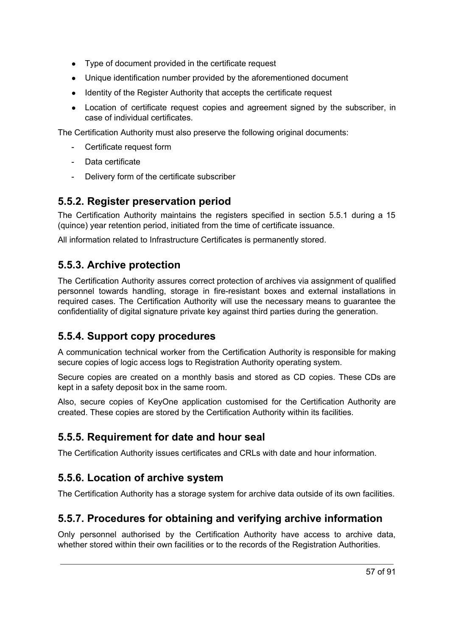- Type of document provided in the certificate request
- Unique identification number provided by the aforementioned document
- Identity of the Register Authority that accepts the certificate request
- Location of certificate request copies and agreement signed by the subscriber, in case of individual certificates.

The Certification Authority must also preserve the following original documents:

- Certificate request form
- Data certificate
- Delivery form of the certificate subscriber

# **5.5.2. Register preservation period**

The Certification Authority maintains the registers specified in section 5.5.1 during a 15 (quince) year retention period, initiated from the time of certificate issuance.

All information related to Infrastructure Certificates is permanently stored.

# **5.5.3. Archive protection**

The Certification Authority assures correct protection of archives via assignment of qualified personnel towards handling, storage in fire-resistant boxes and external installations in required cases. The Certification Authority will use the necessary means to guarantee the confidentiality of digital signature private key against third parties during the generation.

# **5.5.4. Support copy procedures**

A communication technical worker from the Certification Authority is responsible for making secure copies of logic access logs to Registration Authority operating system.

Secure copies are created on a monthly basis and stored as CD copies. These CDs are kept in a safety deposit box in the same room.

Also, secure copies of KeyOne application customised for the Certification Authority are created. These copies are stored by the Certification Authority within its facilities.

# **5.5.5. Requirement for date and hour seal**

The Certification Authority issues certificates and CRLs with date and hour information.

# **5.5.6. Location of archive system**

The Certification Authority has a storage system for archive data outside of its own facilities.

# **5.5.7. Procedures for obtaining and verifying archive information**

Only personnel authorised by the Certification Authority have access to archive data, whether stored within their own facilities or to the records of the Registration Authorities.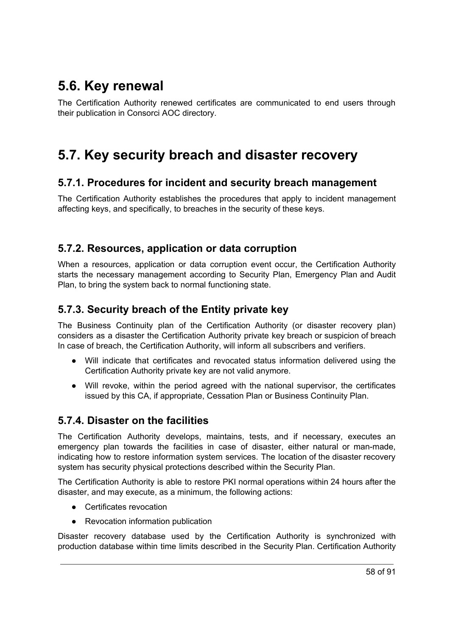# **5.6. Key renewal**

The Certification Authority renewed certificates are communicated to end users through their publication in Consorci AOC directory.

# **5.7. Key security breach and disaster recovery**

#### **5.7.1. Procedures for incident and security breach management**

The Certification Authority establishes the procedures that apply to incident management affecting keys, and specifically, to breaches in the security of these keys.

### **5.7.2. Resources, application or data corruption**

When a resources, application or data corruption event occur, the Certification Authority starts the necessary management according to Security Plan, Emergency Plan and Audit Plan, to bring the system back to normal functioning state.

## **5.7.3. Security breach of the Entity private key**

The Business Continuity plan of the Certification Authority (or disaster recovery plan) considers as a disaster the Certification Authority private key breach or suspicion of breach In case of breach, the Certification Authority, will inform all subscribers and verifiers.

- Will indicate that certificates and revocated status information delivered using the Certification Authority private key are not valid anymore.
- Will revoke, within the period agreed with the national supervisor, the certificates issued by this CA, if appropriate, Cessation Plan or Business Continuity Plan.

### **5.7.4. Disaster on the facilities**

The Certification Authority develops, maintains, tests, and if necessary, executes an emergency plan towards the facilities in case of disaster, either natural or man-made, indicating how to restore information system services. The location of the disaster recovery system has security physical protections described within the Security Plan.

The Certification Authority is able to restore PKI normal operations within 24 hours after the disaster, and may execute, as a minimum, the following actions:

- Certificates revocation
- Revocation information publication

Disaster recovery database used by the Certification Authority is synchronized with production database within time limits described in the Security Plan. Certification Authority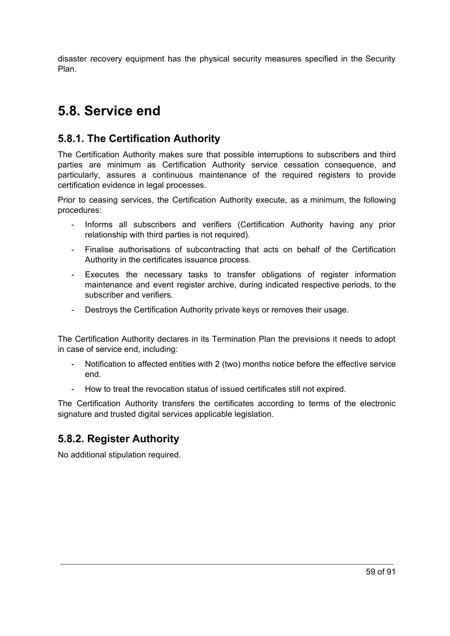disaster recovery equipment has the physical security measures specified in the Security Plan.

# **5.8. Service end**

# **5.8.1. The Certification Authority**

The Certification Authority makes sure that possible interruptions to subscribers and third parties are minimum as Certification Authority service cessation consequence, and particularly, assures a continuous maintenance of the required registers to provide certification evidence in legal processes.

Prior to ceasing services, the Certification Authority execute, as a minimum, the following procedures:

- Informs all subscribers and verifiers (Certification Authority having any prior relationship with third parties is not required).
- Finalise authorisations of subcontracting that acts on behalf of the Certification Authority in the certificates issuance process.
- Executes the necessary tasks to transfer obligations of register information maintenance and event register archive, during indicated respective periods, to the subscriber and verifiers.
- Destroys the Certification Authority private keys or removes their usage.

The Certification Authority declares in its Termination Plan the previsions it needs to adopt in case of service end, including:

- Notification to affected entities with 2 (two) months notice before the effective service end.
- How to treat the revocation status of issued certificates still not expired.

The Certification Authority transfers the certificates according to terms of the electronic signature and trusted digital services applicable legislation.

# **5.8.2. Register Authority**

No additional stipulation required.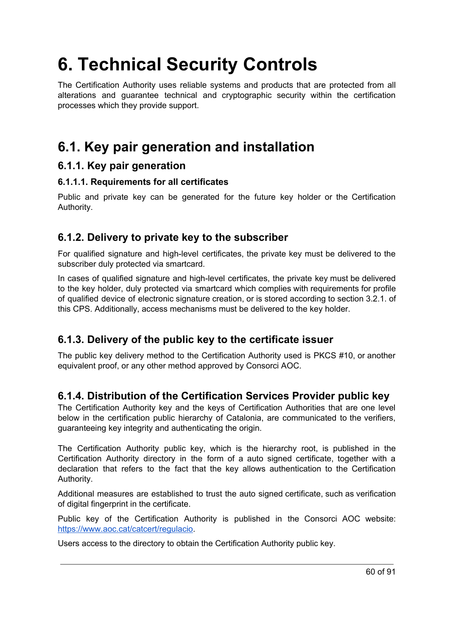# **6. Technical Security Controls**

The Certification Authority uses reliable systems and products that are protected from all alterations and guarantee technical and cryptographic security within the certification processes which they provide support.

# **6.1. Key pair generation and installation**

#### **6.1.1. Key pair generation**

#### **6.1.1.1. Requirements for all certificates**

Public and private key can be generated for the future key holder or the Certification Authority.

## **6.1.2. Delivery to private key to the subscriber**

For qualified signature and high-level certificates, the private key must be delivered to the subscriber duly protected via smartcard.

In cases of qualified signature and high-level certificates, the private key must be delivered to the key holder, duly protected via smartcard which complies with requirements for profile of qualified device of electronic signature creation, or is stored according to section 3.2.1. of this CPS. Additionally, access mechanisms must be delivered to the key holder.

# **6.1.3. Delivery of the public key to the certificate issuer**

The public key delivery method to the Certification Authority used is PKCS #10, or another equivalent proof, or any other method approved by Consorci AOC.

### **6.1.4. Distribution of the Certification Services Provider public key**

The Certification Authority key and the keys of Certification Authorities that are one level below in the certification public hierarchy of Catalonia, are communicated to the verifiers, guaranteeing key integrity and authenticating the origin.

The Certification Authority public key, which is the hierarchy root, is published in the Certification Authority directory in the form of a auto signed certificate, together with a declaration that refers to the fact that the key allows authentication to the Certification Authority.

Additional measures are established to trust the auto signed certificate, such as verification of digital fingerprint in the certificate.

Public key of the Certification Authority is published in the Consorci AOC website: [https://www.aoc.cat/catcert/regulacio.](https://www.aoc.cat/catcert/regulacio)

Users access to the directory to obtain the Certification Authority public key.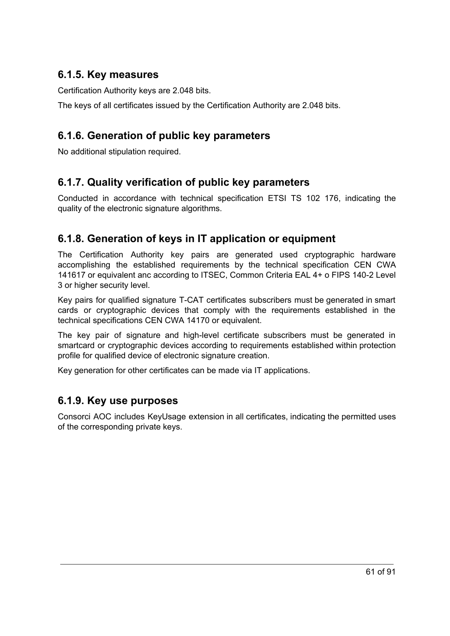### **6.1.5. Key measures**

Certification Authority keys are 2.048 bits.

The keys of all certificates issued by the Certification Authority are 2.048 bits.

# **6.1.6. Generation of public key parameters**

No additional stipulation required.

## **6.1.7. Quality verification of public key parameters**

Conducted in accordance with technical specification ETSI TS 102 176, indicating the quality of the electronic signature algorithms.

## **6.1.8. Generation of keys in IT application or equipment**

The Certification Authority key pairs are generated used cryptographic hardware accomplishing the established requirements by the technical specification CEN CWA 141617 or equivalent anc according to ITSEC, Common Criteria EAL 4+ o FIPS 140-2 Level 3 or higher security level.

Key pairs for qualified signature T-CAT certificates subscribers must be generated in smart cards or cryptographic devices that comply with the requirements established in the technical specifications CEN CWA 14170 or equivalent.

The key pair of signature and high-level certificate subscribers must be generated in smartcard or cryptographic devices according to requirements established within protection profile for qualified device of electronic signature creation.

Key generation for other certificates can be made via IT applications.

### **6.1.9. Key use purposes**

Consorci AOC includes KeyUsage extension in all certificates, indicating the permitted uses of the corresponding private keys.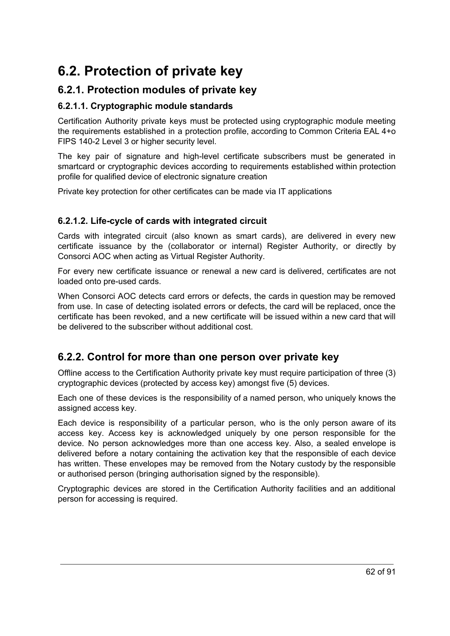# **6.2. Protection of private key**

## **6.2.1. Protection modules of private key**

#### **6.2.1.1. Cryptographic module standards**

Certification Authority private keys must be protected using cryptographic module meeting the requirements established in a protection profile, according to Common Criteria EAL 4+o FIPS 140-2 Level 3 or higher security level.

The key pair of signature and high-level certificate subscribers must be generated in smartcard or cryptographic devices according to requirements established within protection profile for qualified device of electronic signature creation

Private key protection for other certificates can be made via IT applications

#### **6.2.1.2. Life-cycle of cards with integrated circuit**

Cards with integrated circuit (also known as smart cards), are delivered in every new certificate issuance by the (collaborator or internal) Register Authority, or directly by Consorci AOC when acting as Virtual Register Authority.

For every new certificate issuance or renewal a new card is delivered, certificates are not loaded onto pre-used cards.

When Consorci AOC detects card errors or defects, the cards in question may be removed from use. In case of detecting isolated errors or defects, the card will be replaced, once the certificate has been revoked, and a new certificate will be issued within a new card that will be delivered to the subscriber without additional cost.

### **6.2.2. Control for more than one person over private key**

Offline access to the Certification Authority private key must require participation of three (3) cryptographic devices (protected by access key) amongst five (5) devices.

Each one of these devices is the responsibility of a named person, who uniquely knows the assigned access key.

Each device is responsibility of a particular person, who is the only person aware of its access key. Access key is acknowledged uniquely by one person responsible for the device. No person acknowledges more than one access key. Also, a sealed envelope is delivered before a notary containing the activation key that the responsible of each device has written. These envelopes may be removed from the Notary custody by the responsible or authorised person (bringing authorisation signed by the responsible).

Cryptographic devices are stored in the Certification Authority facilities and an additional person for accessing is required.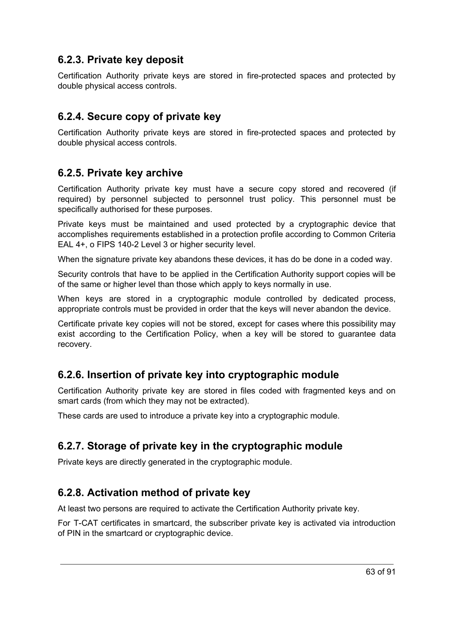### **6.2.3. Private key deposit**

Certification Authority private keys are stored in fire-protected spaces and protected by double physical access controls.

## **6.2.4. Secure copy of private key**

Certification Authority private keys are stored in fire-protected spaces and protected by double physical access controls.

### **6.2.5. Private key archive**

Certification Authority private key must have a secure copy stored and recovered (if required) by personnel subjected to personnel trust policy. This personnel must be specifically authorised for these purposes.

Private keys must be maintained and used protected by a cryptographic device that accomplishes requirements established in a protection profile according to Common Criteria EAL 4+, o FIPS 140-2 Level 3 or higher security level.

When the signature private key abandons these devices, it has do be done in a coded way.

Security controls that have to be applied in the Certification Authority support copies will be of the same or higher level than those which apply to keys normally in use.

When keys are stored in a cryptographic module controlled by dedicated process. appropriate controls must be provided in order that the keys will never abandon the device.

Certificate private key copies will not be stored, except for cases where this possibility may exist according to the Certification Policy, when a key will be stored to guarantee data recovery.

# **6.2.6. Insertion of private key into cryptographic module**

Certification Authority private key are stored in files coded with fragmented keys and on smart cards (from which they may not be extracted).

These cards are used to introduce a private key into a cryptographic module.

# **6.2.7. Storage of private key in the cryptographic module**

Private keys are directly generated in the cryptographic module.

### **6.2.8. Activation method of private key**

At least two persons are required to activate the Certification Authority private key.

For T-CAT certificates in smartcard, the subscriber private key is activated via introduction of PIN in the smartcard or cryptographic device.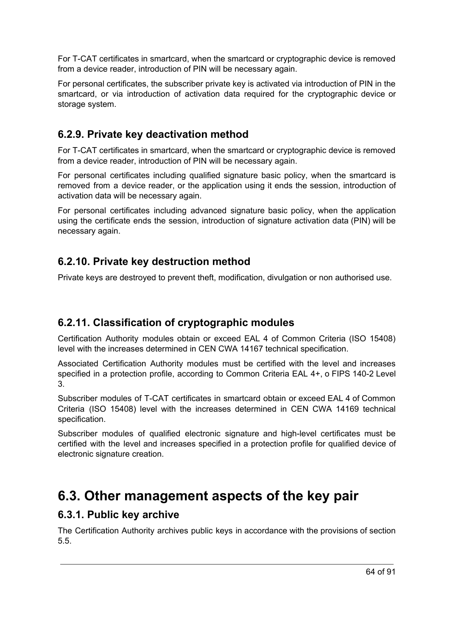For T-CAT certificates in smartcard, when the smartcard or cryptographic device is removed from a device reader, introduction of PIN will be necessary again.

For personal certificates, the subscriber private key is activated via introduction of PIN in the smartcard, or via introduction of activation data required for the cryptographic device or storage system.

# **6.2.9. Private key deactivation method**

For T-CAT certificates in smartcard, when the smartcard or cryptographic device is removed from a device reader, introduction of PIN will be necessary again.

For personal certificates including qualified signature basic policy, when the smartcard is removed from a device reader, or the application using it ends the session, introduction of activation data will be necessary again.

For personal certificates including advanced signature basic policy, when the application using the certificate ends the session, introduction of signature activation data (PIN) will be necessary again.

## **6.2.10. Private key destruction method**

Private keys are destroyed to prevent theft, modification, divulgation or non authorised use.

### **6.2.11. Classification of cryptographic modules**

Certification Authority modules obtain or exceed EAL 4 of Common Criteria (ISO 15408) level with the increases determined in CEN CWA 14167 technical specification.

Associated Certification Authority modules must be certified with the level and increases specified in a protection profile, according to Common Criteria EAL 4+, o FIPS 140-2 Level 3.

Subscriber modules of T-CAT certificates in smartcard obtain or exceed EAL 4 of Common Criteria (ISO 15408) level with the increases determined in CEN CWA 14169 technical specification.

Subscriber modules of qualified electronic signature and high-level certificates must be certified with the level and increases specified in a protection profile for qualified device of electronic signature creation.

# **6.3. Other management aspects of the key pair**

#### **6.3.1. Public key archive**

The Certification Authority archives public keys in accordance with the provisions of section 5.5.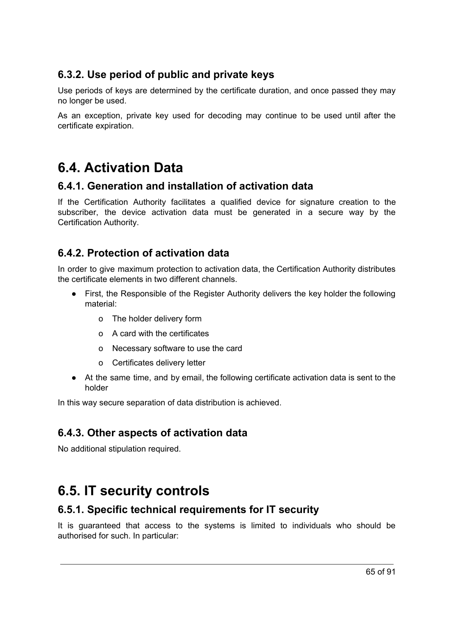# **6.3.2. Use period of public and private keys**

Use periods of keys are determined by the certificate duration, and once passed they may no longer be used.

As an exception, private key used for decoding may continue to be used until after the certificate expiration.

# **6.4. Activation Data**

#### **6.4.1. Generation and installation of activation data**

If the Certification Authority facilitates a qualified device for signature creation to the subscriber, the device activation data must be generated in a secure way by the Certification Authority.

# **6.4.2. Protection of activation data**

In order to give maximum protection to activation data, the Certification Authority distributes the certificate elements in two different channels.

- First, the Responsible of the Register Authority delivers the key holder the following material:
	- o The holder delivery form
	- o A card with the certificates
	- o Necessary software to use the card
	- o Certificates delivery letter
- At the same time, and by email, the following certificate activation data is sent to the holder

In this way secure separation of data distribution is achieved.

# **6.4.3. Other aspects of activation data**

No additional stipulation required.

# **6.5. IT security controls**

# **6.5.1. Specific technical requirements for IT security**

It is guaranteed that access to the systems is limited to individuals who should be authorised for such. In particular: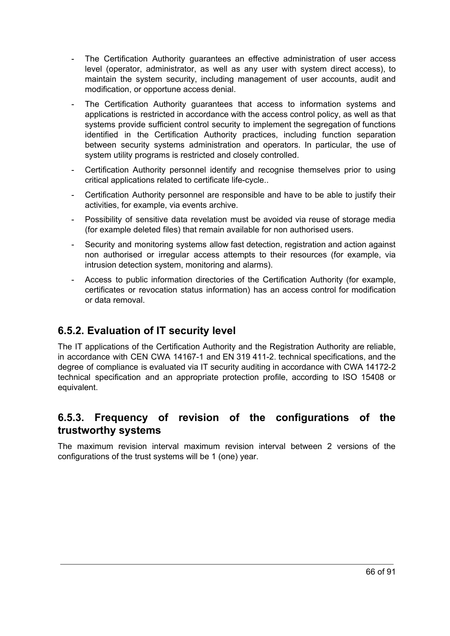- The Certification Authority guarantees an effective administration of user access level (operator, administrator, as well as any user with system direct access), to maintain the system security, including management of user accounts, audit and modification, or opportune access denial.
- The Certification Authority guarantees that access to information systems and applications is restricted in accordance with the access control policy, as well as that systems provide sufficient control security to implement the segregation of functions identified in the Certification Authority practices, including function separation between security systems administration and operators. In particular, the use of system utility programs is restricted and closely controlled.
- Certification Authority personnel identify and recognise themselves prior to using critical applications related to certificate life-cycle..
- Certification Authority personnel are responsible and have to be able to justify their activities, for example, via events archive.
- Possibility of sensitive data revelation must be avoided via reuse of storage media (for example deleted files) that remain available for non authorised users.
- Security and monitoring systems allow fast detection, registration and action against non authorised or irregular access attempts to their resources (for example, via intrusion detection system, monitoring and alarms).
- Access to public information directories of the Certification Authority (for example, certificates or revocation status information) has an access control for modification or data removal.

# **6.5.2. Evaluation of IT security level**

The IT applications of the Certification Authority and the Registration Authority are reliable, in accordance with CEN CWA 14167-1 and EN 319 411-2. technical specifications, and the degree of compliance is evaluated via IT security auditing in accordance with CWA 14172-2 technical specification and an appropriate protection profile, according to ISO 15408 or equivalent.

### **6.5.3. Frequency of revision of the configurations of the trustworthy systems**

The maximum revision interval maximum revision interval between 2 versions of the configurations of the trust systems will be 1 (one) year.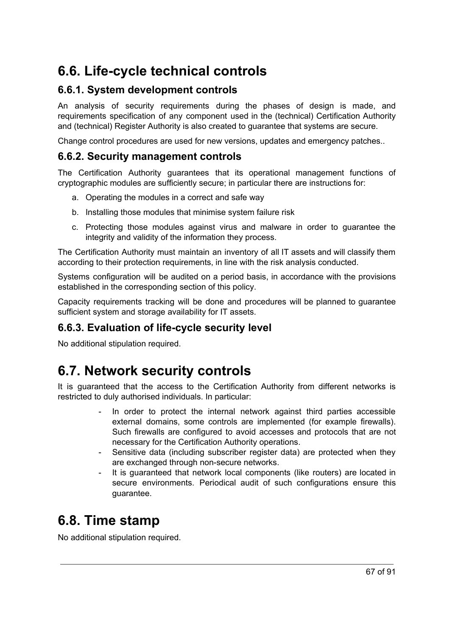# **6.6. Life-cycle technical controls**

#### **6.6.1. System development controls**

An analysis of security requirements during the phases of design is made, and requirements specification of any component used in the (technical) Certification Authority and (technical) Register Authority is also created to guarantee that systems are secure.

Change control procedures are used for new versions, updates and emergency patches..

#### **6.6.2. Security management controls**

The Certification Authority guarantees that its operational management functions of cryptographic modules are sufficiently secure; in particular there are instructions for:

- a. Operating the modules in a correct and safe way
- b. Installing those modules that minimise system failure risk
- c. Protecting those modules against virus and malware in order to guarantee the integrity and validity of the information they process.

The Certification Authority must maintain an inventory of all IT assets and will classify them according to their protection requirements, in line with the risk analysis conducted.

Systems configuration will be audited on a period basis, in accordance with the provisions established in the corresponding section of this policy.

Capacity requirements tracking will be done and procedures will be planned to guarantee sufficient system and storage availability for IT assets.

#### **6.6.3. Evaluation of life-cycle security level**

No additional stipulation required.

# **6.7. Network security controls**

It is guaranteed that the access to the Certification Authority from different networks is restricted to duly authorised individuals. In particular:

- In order to protect the internal network against third parties accessible external domains, some controls are implemented (for example firewalls). Such firewalls are configured to avoid accesses and protocols that are not necessary for the Certification Authority operations.
- Sensitive data (including subscriber register data) are protected when they are exchanged through non-secure networks.
- It is guaranteed that network local components (like routers) are located in secure environments. Periodical audit of such configurations ensure this guarantee.

# **6.8. Time stamp**

No additional stipulation required.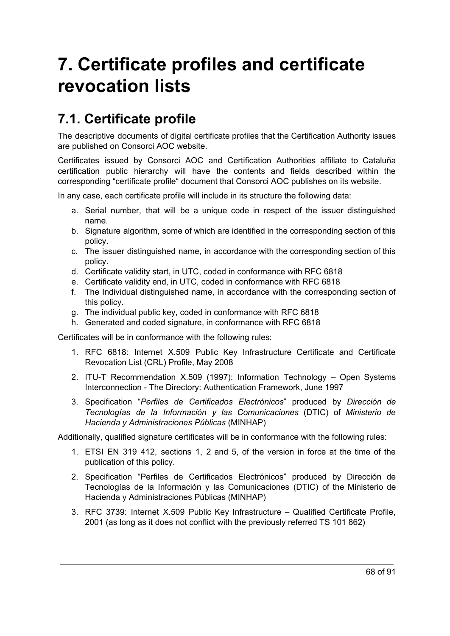# **7. Certificate profiles and certificate revocation lists**

# **7.1. Certificate profile**

The descriptive documents of digital certificate profiles that the Certification Authority issues are published on Consorci AOC website.

Certificates issued by Consorci AOC and Certification Authorities affiliate to Cataluña certification public hierarchy will have the contents and fields described within the corresponding "certificate profile" document that Consorci AOC publishes on its website.

In any case, each certificate profile will include in its structure the following data:

- a. Serial number, that will be a unique code in respect of the issuer distinguished name.
- b. Signature algorithm, some of which are identified in the corresponding section of this policy.
- c. The issuer distinguished name, in accordance with the corresponding section of this policy.
- d. Certificate validity start, in UTC, coded in conformance with RFC 6818
- e. Certificate validity end, in UTC, coded in conformance with RFC 6818
- f. The Individual distinguished name, in accordance with the corresponding section of this policy.
- g. The individual public key, coded in conformance with RFC 6818
- h. Generated and coded signature, in conformance with RFC 6818

Certificates will be in conformance with the following rules:

- 1. RFC 6818: Internet X.509 Public Key Infrastructure Certificate and Certificate Revocation List (CRL) Profile, May 2008
- 2. ITU-T Recommendation X.509 (1997): Information Technology Open Systems Interconnection - The Directory: Authentication Framework, June 1997
- 3. Specification "*Perfiles de Certificados Electrónicos*" produced by *Dirección de Tecnologías de la Información y las Comunicaciones* (DTIC) of *Ministerio de Hacienda y Administraciones Públicas* (MINHAP)

Additionally, qualified signature certificates will be in conformance with the following rules:

- 1. ETSI EN 319 412, sections 1, 2 and 5, of the version in force at the time of the publication of this policy.
- 2. Specification "Perfiles de Certificados Electrónicos" produced by Dirección de Tecnologías de la Información y las Comunicaciones (DTIC) of the Ministerio de Hacienda y Administraciones Públicas (MINHAP)
- 3. RFC 3739: Internet X.509 Public Key Infrastructure Qualified Certificate Profile, 2001 (as long as it does not conflict with the previously referred TS 101 862)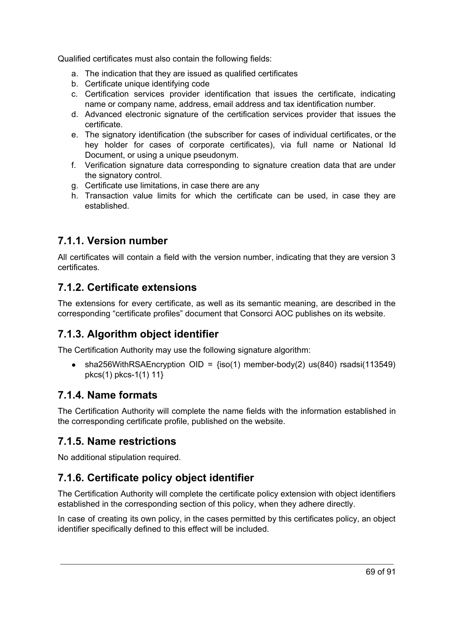Qualified certificates must also contain the following fields:

- a. The indication that they are issued as qualified certificates
- b. Certificate unique identifying code
- c. Certification services provider identification that issues the certificate, indicating name or company name, address, email address and tax identification number.
- d. Advanced electronic signature of the certification services provider that issues the certificate.
- e. The signatory identification (the subscriber for cases of individual certificates, or the hey holder for cases of corporate certificates), via full name or National Id Document, or using a unique pseudonym.
- f. Verification signature data corresponding to signature creation data that are under the signatory control.
- g. Certificate use limitations, in case there are any
- h. Transaction value limits for which the certificate can be used, in case they are established.

### **7.1.1. Version number**

All certificates will contain a field with the version number, indicating that they are version 3 certificates.

### **7.1.2. Certificate extensions**

The extensions for every certificate, as well as its semantic meaning, are described in the corresponding "certificate profiles" document that Consorci AOC publishes on its website.

# **7.1.3. Algorithm object identifier**

The Certification Authority may use the following signature algorithm:

• sha256WithRSAEncryption OID =  ${iso(1)}$  member-body(2) us(840) rsadsi(113549) pkcs(1) pkcs-1(1) 11}

#### **7.1.4. Name formats**

The Certification Authority will complete the name fields with the information established in the corresponding certificate profile, published on the website.

### **7.1.5. Name restrictions**

No additional stipulation required.

# **7.1.6. Certificate policy object identifier**

The Certification Authority will complete the certificate policy extension with object identifiers established in the corresponding section of this policy, when they adhere directly.

In case of creating its own policy, in the cases permitted by this certificates policy, an object identifier specifically defined to this effect will be included.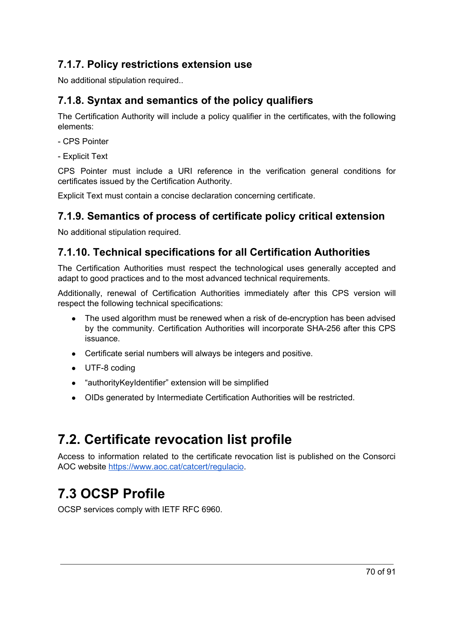# **7.1.7. Policy restrictions extension use**

No additional stipulation required..

# **7.1.8. Syntax and semantics of the policy qualifiers**

The Certification Authority will include a policy qualifier in the certificates, with the following elements:

- CPS Pointer
- Explicit Text

CPS Pointer must include a URI reference in the verification general conditions for certificates issued by the Certification Authority.

Explicit Text must contain a concise declaration concerning certificate.

# **7.1.9. Semantics of process of certificate policy critical extension**

No additional stipulation required.

## **7.1.10. Technical specifications for all Certification Authorities**

The Certification Authorities must respect the technological uses generally accepted and adapt to good practices and to the most advanced technical requirements.

Additionally, renewal of Certification Authorities immediately after this CPS version will respect the following technical specifications:

- The used algorithm must be renewed when a risk of de-encryption has been advised by the community. Certification Authorities will incorporate SHA-256 after this CPS issuance.
- Certificate serial numbers will always be integers and positive.
- UTF-8 coding
- "authorityKeyIdentifier" extension will be simplified
- OIDs generated by Intermediate Certification Authorities will be restricted.

# **7.2. Certificate revocation list profile**

Access to information related to the certificate revocation list is published on the Consorci AOC website <https://www.aoc.cat/catcert/regulacio>.

# **7.3 OCSP Profile**

OCSP services comply with IETF RFC 6960.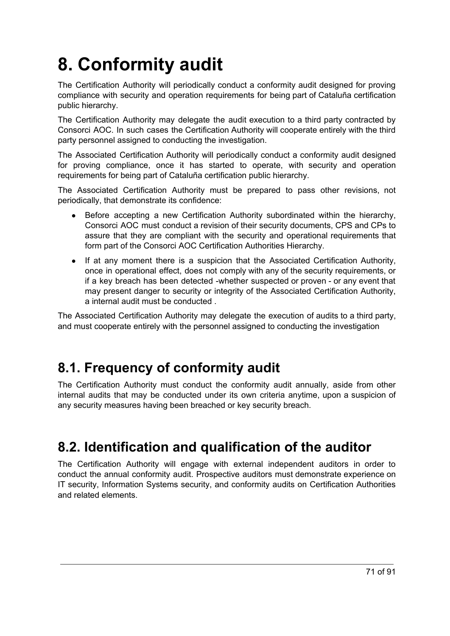# **8. Conformity audit**

The Certification Authority will periodically conduct a conformity audit designed for proving compliance with security and operation requirements for being part of Cataluña certification public hierarchy.

The Certification Authority may delegate the audit execution to a third party contracted by Consorci AOC. In such cases the Certification Authority will cooperate entirely with the third party personnel assigned to conducting the investigation.

The Associated Certification Authority will periodically conduct a conformity audit designed for proving compliance, once it has started to operate, with security and operation requirements for being part of Cataluña certification public hierarchy.

The Associated Certification Authority must be prepared to pass other revisions, not periodically, that demonstrate its confidence:

- Before accepting a new Certification Authority subordinated within the hierarchy, Consorci AOC must conduct a revision of their security documents, CPS and CPs to assure that they are compliant with the security and operational requirements that form part of the Consorci AOC Certification Authorities Hierarchy.
- If at any moment there is a suspicion that the Associated Certification Authority, once in operational effect, does not comply with any of the security requirements, or if a key breach has been detected -whether suspected or proven - or any event that may present danger to security or integrity of the Associated Certification Authority, a internal audit must be conducted .

The Associated Certification Authority may delegate the execution of audits to a third party, and must cooperate entirely with the personnel assigned to conducting the investigation

# **8.1. Frequency of conformity audit**

The Certification Authority must conduct the conformity audit annually, aside from other internal audits that may be conducted under its own criteria anytime, upon a suspicion of any security measures having been breached or key security breach.

# **8.2. Identification and qualification of the auditor**

The Certification Authority will engage with external independent auditors in order to conduct the annual conformity audit. Prospective auditors must demonstrate experience on IT security, Information Systems security, and conformity audits on Certification Authorities and related elements.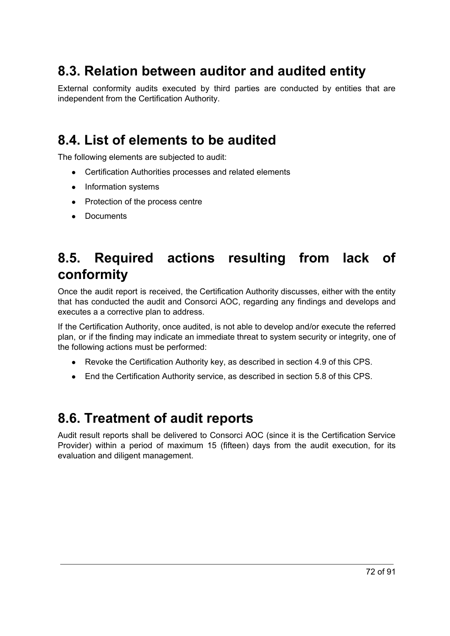# **8.3. Relation between auditor and audited entity**

External conformity audits executed by third parties are conducted by entities that are independent from the Certification Authority.

# **8.4. List of elements to be audited**

The following elements are subjected to audit:

- Certification Authorities processes and related elements
- Information systems
- Protection of the process centre
- Documents

# **8.5. Required actions resulting from lack of conformity**

Once the audit report is received, the Certification Authority discusses, either with the entity that has conducted the audit and Consorci AOC, regarding any findings and develops and executes a a corrective plan to address.

If the Certification Authority, once audited, is not able to develop and/or execute the referred plan, or if the finding may indicate an immediate threat to system security or integrity, one of the following actions must be performed:

- Revoke the Certification Authority key, as described in section 4.9 of this CPS.
- End the Certification Authority service, as described in section 5.8 of this CPS.

# **8.6. Treatment of audit reports**

Audit result reports shall be delivered to Consorci AOC (since it is the Certification Service Provider) within a period of maximum 15 (fifteen) days from the audit execution, for its evaluation and diligent management.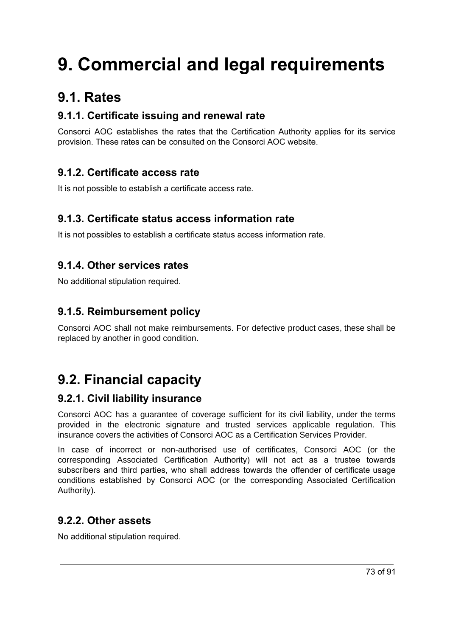# **9. Commercial and legal requirements**

## **9.1. Rates**

## **9.1.1. Certificate issuing and renewal rate**

Consorci AOC establishes the rates that the Certification Authority applies for its service provision. These rates can be consulted on the Consorci AOC website.

## **9.1.2. Certificate access rate**

It is not possible to establish a certificate access rate.

## **9.1.3. Certificate status access information rate**

It is not possibles to establish a certificate status access information rate.

## **9.1.4. Other services rates**

No additional stipulation required.

## **9.1.5. Reimbursement policy**

Consorci AOC shall not make reimbursements. For defective product cases, these shall be replaced by another in good condition.

## **9.2. Financial capacity**

## **9.2.1. Civil liability insurance**

Consorci AOC has a guarantee of coverage sufficient for its civil liability, under the terms provided in the electronic signature and trusted services applicable regulation. This insurance covers the activities of Consorci AOC as a Certification Services Provider.

In case of incorrect or non-authorised use of certificates, Consorci AOC (or the corresponding Associated Certification Authority) will not act as a trustee towards subscribers and third parties, who shall address towards the offender of certificate usage conditions established by Consorci AOC (or the corresponding Associated Certification Authority).

## **9.2.2. Other assets**

No additional stipulation required.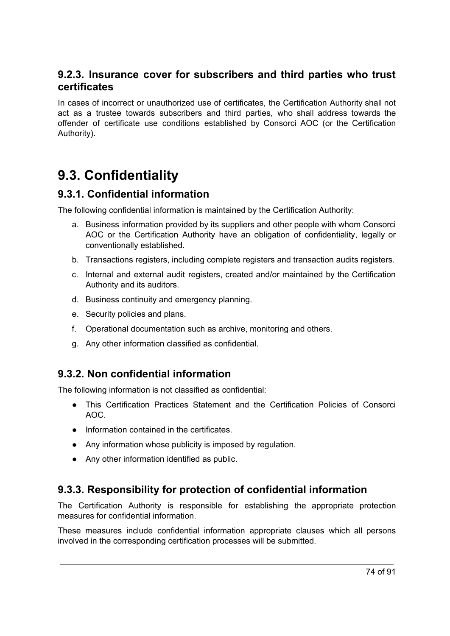## **9.2.3. Insurance cover for subscribers and third parties who trust certificates**

In cases of incorrect or unauthorized use of certificates, the Certification Authority shall not act as a trustee towards subscribers and third parties, who shall address towards the offender of certificate use conditions established by Consorci AOC (or the Certification Authority).

## **9.3. Confidentiality**

## **9.3.1. Confidential information**

The following confidential information is maintained by the Certification Authority:

- a. Business information provided by its suppliers and other people with whom Consorci AOC or the Certification Authority have an obligation of confidentiality, legally or conventionally established.
- b. Transactions registers, including complete registers and transaction audits registers.
- c. Internal and external audit registers, created and/or maintained by the Certification Authority and its auditors.
- d. Business continuity and emergency planning.
- e. Security policies and plans.
- f. Operational documentation such as archive, monitoring and others.
- g. Any other information classified as confidential.

## **9.3.2. Non confidential information**

The following information is not classified as confidential:

- This Certification Practices Statement and the Certification Policies of Consorci AOC.
- Information contained in the certificates.
- Any information whose publicity is imposed by regulation.
- Any other information identified as public.

## **9.3.3. Responsibility for protection of confidential information**

The Certification Authority is responsible for establishing the appropriate protection measures for confidential information.

These measures include confidential information appropriate clauses which all persons involved in the corresponding certification processes will be submitted.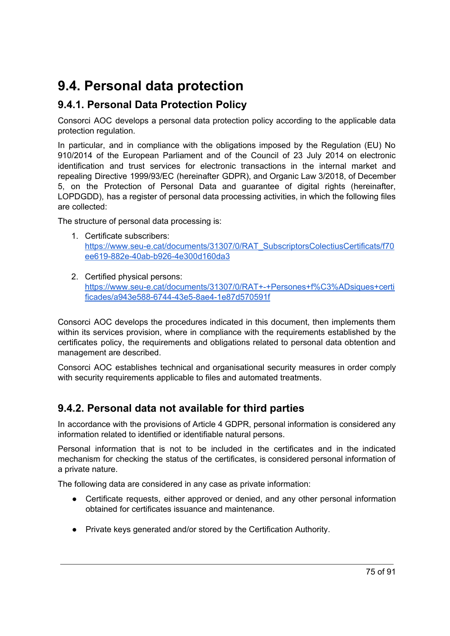## **9.4. Personal data protection**

## **9.4.1. Personal Data Protection Policy**

Consorci AOC develops a personal data protection policy according to the applicable data protection regulation.

In particular, and in compliance with the obligations imposed by the Regulation (EU) No 910/2014 of the European Parliament and of the Council of 23 July 2014 on electronic identification and trust services for electronic transactions in the internal market and repealing Directive 1999/93/EC (hereinafter GDPR), and Organic Law 3/2018, of December 5, on the Protection of Personal Data and guarantee of digital rights (hereinafter, LOPDGDD), has a register of personal data processing activities, in which the following files are collected:

The structure of personal data processing is:

- 1. Certificate subscribers: [https://www.seu-e.cat/documents/31307/0/RAT\\_SubscriptorsColectiusCertificats/f70](https://www.seu-e.cat/documents/31307/0/RAT_SubscriptorsColectiusCertificats/f70ee619-882e-40ab-b926-4e300d160da3) [ee619-882e-40ab-b926-4e300d160da3](https://www.seu-e.cat/documents/31307/0/RAT_SubscriptorsColectiusCertificats/f70ee619-882e-40ab-b926-4e300d160da3)
- 2. Certified physical persons: [https://www.seu-e.cat/documents/31307/0/RAT+-+Persones+f%C3%ADsiques+certi](https://www.seu-e.cat/documents/31307/0/RAT+-+Persones+f%C3%ADsiques+certificades/a943e588-6744-43e5-8ae4-1e87d570591f) [ficades/a943e588-6744-43e5-8ae4-1e87d570591f](https://www.seu-e.cat/documents/31307/0/RAT+-+Persones+f%C3%ADsiques+certificades/a943e588-6744-43e5-8ae4-1e87d570591f)

Consorci AOC develops the procedures indicated in this document, then implements them within its services provision, where in compliance with the requirements established by the certificates policy, the requirements and obligations related to personal data obtention and management are described.

Consorci AOC establishes technical and organisational security measures in order comply with security requirements applicable to files and automated treatments.

## **9.4.2. Personal data not available for third parties**

In accordance with the provisions of Article 4 GDPR, personal information is considered any information related to identified or identifiable natural persons.

Personal information that is not to be included in the certificates and in the indicated mechanism for checking the status of the certificates, is considered personal information of a private nature.

The following data are considered in any case as private information:

- Certificate requests, either approved or denied, and any other personal information obtained for certificates issuance and maintenance.
- Private keys generated and/or stored by the Certification Authority.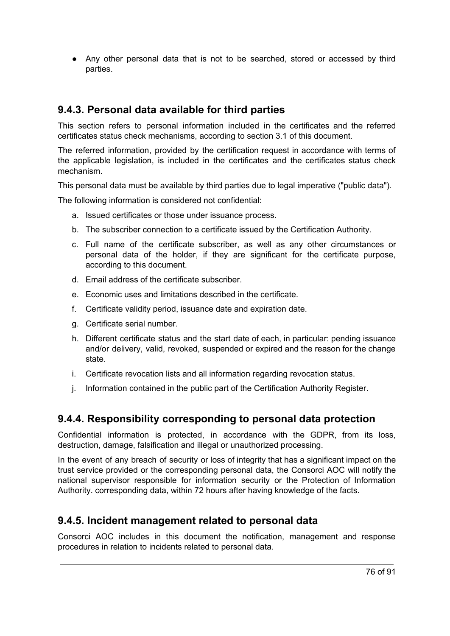● Any other personal data that is not to be searched, stored or accessed by third parties.

## **9.4.3. Personal data available for third parties**

This section refers to personal information included in the certificates and the referred certificates status check mechanisms, according to section 3.1 of this document.

The referred information, provided by the certification request in accordance with terms of the applicable legislation, is included in the certificates and the certificates status check mechanism.

This personal data must be available by third parties due to legal imperative ("public data").

The following information is considered not confidential:

- a. Issued certificates or those under issuance process.
- b. The subscriber connection to a certificate issued by the Certification Authority.
- c. Full name of the certificate subscriber, as well as any other circumstances or personal data of the holder, if they are significant for the certificate purpose, according to this document.
- d. Email address of the certificate subscriber.
- e. Economic uses and limitations described in the certificate.
- f. Certificate validity period, issuance date and expiration date.
- g. Certificate serial number.
- h. Different certificate status and the start date of each, in particular: pending issuance and/or delivery, valid, revoked, suspended or expired and the reason for the change state.
- i. Certificate revocation lists and all information regarding revocation status.
- j. Information contained in the public part of the Certification Authority Register.

## **9.4.4. Responsibility corresponding to personal data protection**

Confidential information is protected, in accordance with the GDPR, from its loss, destruction, damage, falsification and illegal or unauthorized processing.

In the event of any breach of security or loss of integrity that has a significant impact on the trust service provided or the corresponding personal data, the Consorci AOC will notify the national supervisor responsible for information security or the Protection of Information Authority. corresponding data, within 72 hours after having knowledge of the facts.

## **9.4.5. Incident management related to personal data**

Consorci AOC includes in this document the notification, management and response procedures in relation to incidents related to personal data.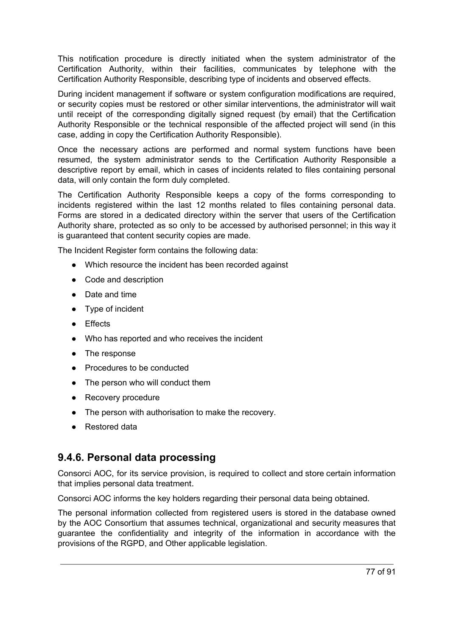This notification procedure is directly initiated when the system administrator of the Certification Authority, within their facilities, communicates by telephone with the Certification Authority Responsible, describing type of incidents and observed effects.

During incident management if software or system configuration modifications are required, or security copies must be restored or other similar interventions, the administrator will wait until receipt of the corresponding digitally signed request (by email) that the Certification Authority Responsible or the technical responsible of the affected project will send (in this case, adding in copy the Certification Authority Responsible).

Once the necessary actions are performed and normal system functions have been resumed, the system administrator sends to the Certification Authority Responsible a descriptive report by email, which in cases of incidents related to files containing personal data, will only contain the form duly completed.

The Certification Authority Responsible keeps a copy of the forms corresponding to incidents registered within the last 12 months related to files containing personal data. Forms are stored in a dedicated directory within the server that users of the Certification Authority share, protected as so only to be accessed by authorised personnel; in this way it is guaranteed that content security copies are made.

The Incident Register form contains the following data:

- Which resource the incident has been recorded against
- Code and description
- Date and time
- Type of incident
- Effects
- Who has reported and who receives the incident
- The response
- Procedures to be conducted
- The person who will conduct them
- Recovery procedure
- The person with authorisation to make the recovery.
- Restored data

### **9.4.6. Personal data processing**

Consorci AOC, for its service provision, is required to collect and store certain information that implies personal data treatment.

Consorci AOC informs the key holders regarding their personal data being obtained.

The personal information collected from registered users is stored in the database owned by the AOC Consortium that assumes technical, organizational and security measures that guarantee the confidentiality and integrity of the information in accordance with the provisions of the RGPD, and Other applicable legislation.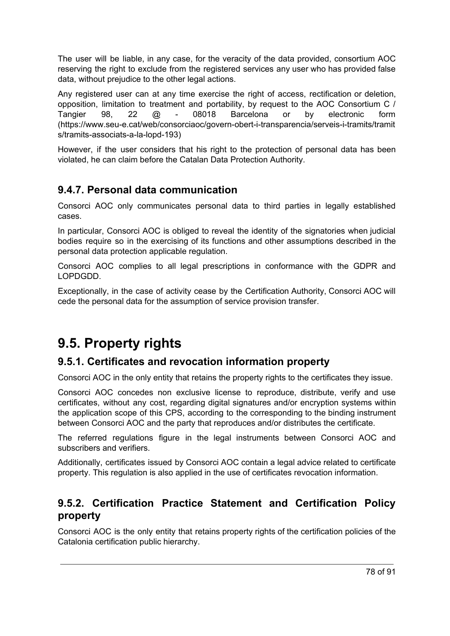The user will be liable, in any case, for the veracity of the data provided, consortium AOC reserving the right to exclude from the registered services any user who has provided false data, without prejudice to the other legal actions.

Any registered user can at any time exercise the right of access, rectification or deletion, opposition, limitation to treatment and portability, by request to the AOC Consortium C / Tangier 98, 22 @ - 08018 Barcelona or by electronic form (https://www.seu-e.cat/web/consorciaoc/govern-obert-i-transparencia/serveis-i-tramits/tramit s/tramits-associats-a-la-lopd-193)

However, if the user considers that his right to the protection of personal data has been violated, he can claim before the Catalan Data Protection Authority.

## **9.4.7. Personal data communication**

Consorci AOC only communicates personal data to third parties in legally established cases.

In particular, Consorci AOC is obliged to reveal the identity of the signatories when judicial bodies require so in the exercising of its functions and other assumptions described in the personal data protection applicable regulation.

Consorci AOC complies to all legal prescriptions in conformance with the GDPR and LOPDGDD.

Exceptionally, in the case of activity cease by the Certification Authority, Consorci AOC will cede the personal data for the assumption of service provision transfer.

## **9.5. Property rights**

## **9.5.1. Certificates and revocation information property**

Consorci AOC in the only entity that retains the property rights to the certificates they issue.

Consorci AOC concedes non exclusive license to reproduce, distribute, verify and use certificates, without any cost, regarding digital signatures and/or encryption systems within the application scope of this CPS, according to the corresponding to the binding instrument between Consorci AOC and the party that reproduces and/or distributes the certificate.

The referred regulations figure in the legal instruments between Consorci AOC and subscribers and verifiers.

Additionally, certificates issued by Consorci AOC contain a legal advice related to certificate property. This regulation is also applied in the use of certificates revocation information.

## **9.5.2. Certification Practice Statement and Certification Policy property**

Consorci AOC is the only entity that retains property rights of the certification policies of the Catalonia certification public hierarchy.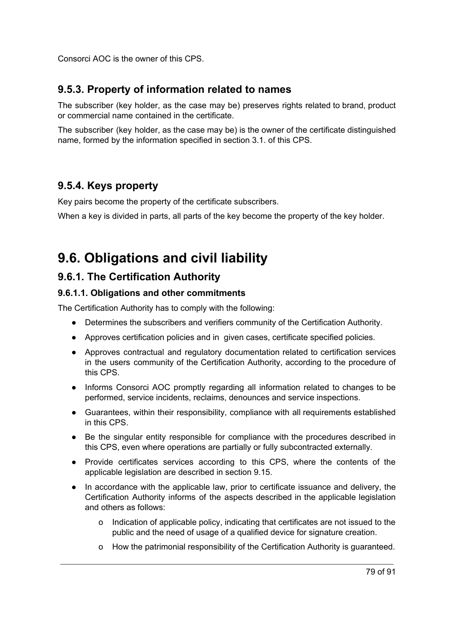Consorci AOC is the owner of this CPS.

## **9.5.3. Property of information related to names**

The subscriber (key holder, as the case may be) preserves rights related to brand, product or commercial name contained in the certificate.

The subscriber (key holder, as the case may be) is the owner of the certificate distinguished name, formed by the information specified in section 3.1. of this CPS.

## **9.5.4. Keys property**

Key pairs become the property of the certificate subscribers.

When a key is divided in parts, all parts of the key become the property of the key holder.

## **9.6. Obligations and civil liability**

## **9.6.1. The Certification Authority**

#### **9.6.1.1. Obligations and other commitments**

The Certification Authority has to comply with the following:

- Determines the subscribers and verifiers community of the Certification Authority.
- Approves certification policies and in given cases, certificate specified policies.
- Approves contractual and regulatory documentation related to certification services in the users community of the Certification Authority, according to the procedure of this CPS.
- Informs Consorci AOC promptly regarding all information related to changes to be performed, service incidents, reclaims, denounces and service inspections.
- Guarantees, within their responsibility, compliance with all requirements established in this CPS.
- Be the singular entity responsible for compliance with the procedures described in this CPS, even where operations are partially or fully subcontracted externally.
- Provide certificates services according to this CPS, where the contents of the applicable legislation are described in section 9.15.
- In accordance with the applicable law, prior to certificate issuance and delivery, the Certification Authority informs of the aspects described in the applicable legislation and others as follows:
	- o Indication of applicable policy, indicating that certificates are not issued to the public and the need of usage of a qualified device for signature creation.
	- o How the patrimonial responsibility of the Certification Authority is guaranteed.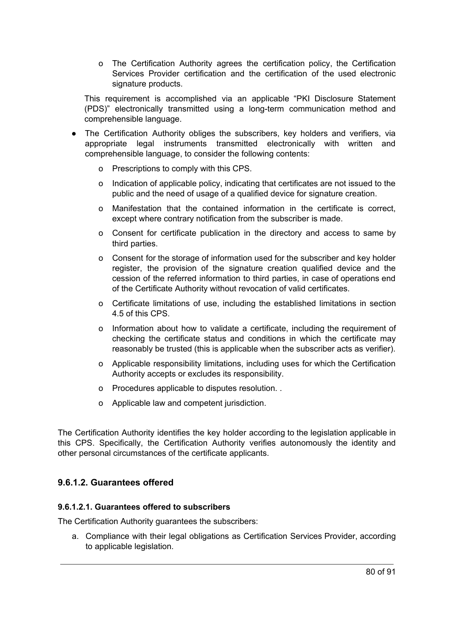o The Certification Authority agrees the certification policy, the Certification Services Provider certification and the certification of the used electronic signature products.

This requirement is accomplished via an applicable "PKI Disclosure Statement (PDS)" electronically transmitted using a long-term communication method and comprehensible language.

- The Certification Authority obliges the subscribers, key holders and verifiers, via appropriate legal instruments transmitted electronically with written and comprehensible language, to consider the following contents:
	- o Prescriptions to comply with this CPS.
	- o Indication of applicable policy, indicating that certificates are not issued to the public and the need of usage of a qualified device for signature creation.
	- o Manifestation that the contained information in the certificate is correct, except where contrary notification from the subscriber is made.
	- o Consent for certificate publication in the directory and access to same by third parties.
	- o Consent for the storage of information used for the subscriber and key holder register, the provision of the signature creation qualified device and the cession of the referred information to third parties, in case of operations end of the Certificate Authority without revocation of valid certificates.
	- o Certificate limitations of use, including the established limitations in section 4.5 of this CPS.
	- o Information about how to validate a certificate, including the requirement of checking the certificate status and conditions in which the certificate may reasonably be trusted (this is applicable when the subscriber acts as verifier).
	- o Applicable responsibility limitations, including uses for which the Certification Authority accepts or excludes its responsibility.
	- o Procedures applicable to disputes resolution. .
	- o Applicable law and competent jurisdiction.

The Certification Authority identifies the key holder according to the legislation applicable in this CPS. Specifically, the Certification Authority verifies autonomously the identity and other personal circumstances of the certificate applicants.

#### **9.6.1.2. Guarantees offered**

#### **9.6.1.2.1. Guarantees offered to subscribers**

The Certification Authority guarantees the subscribers:

a. Compliance with their legal obligations as Certification Services Provider, according to applicable legislation.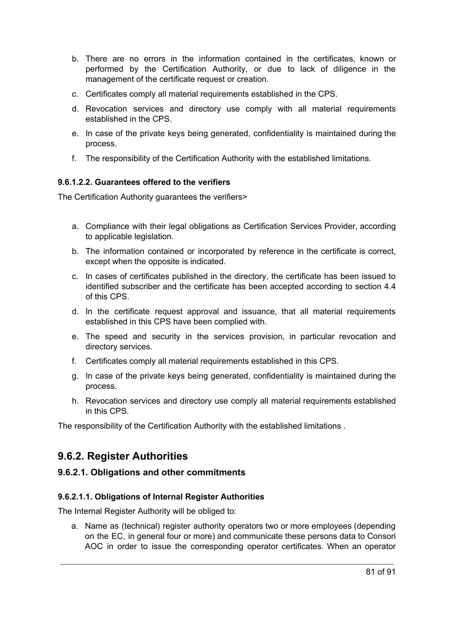- b. There are no errors in the information contained in the certificates, known or performed by the Certification Authority, or due to lack of diligence in the management of the certificate request or creation.
- c. Certificates comply all material requirements established in the CPS.
- d. Revocation services and directory use comply with all material requirements established in the CPS.
- e. In case of the private keys being generated, confidentiality is maintained during the process.
- f. The responsibility of the Certification Authority with the established limitations.

#### **9.6.1.2.2. Guarantees offered to the verifiers**

The Certification Authority guarantees the verifiers>

- a. Compliance with their legal obligations as Certification Services Provider, according to applicable legislation.
- b. The information contained or incorporated by reference in the certificate is correct, except when the opposite is indicated.
- c. In cases of certificates published in the directory, the certificate has been issued to identified subscriber and the certificate has been accepted according to section 4.4 of this CPS.
- d. In the certificate request approval and issuance, that all material requirements established in this CPS have been complied with.
- e. The speed and security in the services provision, in particular revocation and directory services.
- f. Certificates comply all material requirements established in this CPS.
- g. In case of the private keys being generated, confidentiality is maintained during the process.
- h. Revocation services and directory use comply all material requirements established in this CPS.

The responsibility of the Certification Authority with the established limitations .

## **9.6.2. Register Authorities**

#### **9.6.2.1. Obligations and other commitments**

#### **9.6.2.1.1. Obligations of Internal Register Authorities**

The Internal Register Authority will be obliged to:

a. Name as (technical) register authority operators two or more employees (depending on the EC, in general four or more) and communicate these persons data to Consori AOC in order to issue the corresponding operator certificates. When an operator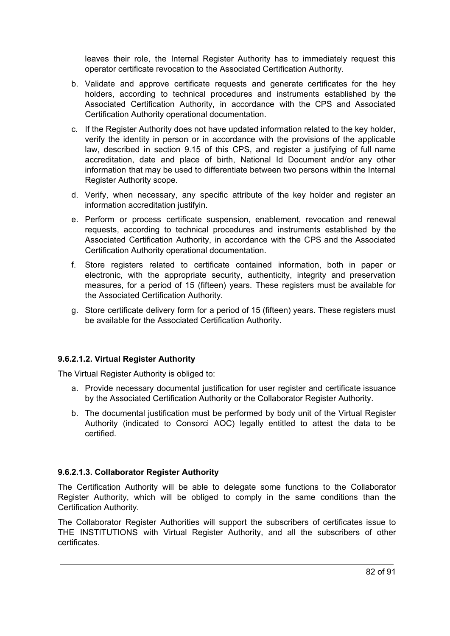leaves their role, the Internal Register Authority has to immediately request this operator certificate revocation to the Associated Certification Authority.

- b. Validate and approve certificate requests and generate certificates for the hey holders, according to technical procedures and instruments established by the Associated Certification Authority, in accordance with the CPS and Associated Certification Authority operational documentation.
- c. If the Register Authority does not have updated information related to the key holder, verify the identity in person or in accordance with the provisions of the applicable law, described in section 9.15 of this CPS, and register a justifying of full name accreditation, date and place of birth, National Id Document and/or any other information that may be used to differentiate between two persons within the Internal Register Authority scope.
- d. Verify, when necessary, any specific attribute of the key holder and register an information accreditation justifyin.
- e. Perform or process certificate suspension, enablement, revocation and renewal requests, according to technical procedures and instruments established by the Associated Certification Authority, in accordance with the CPS and the Associated Certification Authority operational documentation.
- f. Store registers related to certificate contained information, both in paper or electronic, with the appropriate security, authenticity, integrity and preservation measures, for a period of 15 (fifteen) years. These registers must be available for the Associated Certification Authority.
- g. Store certificate delivery form for a period of 15 (fifteen) years. These registers must be available for the Associated Certification Authority.

#### **9.6.2.1.2. Virtual Register Authority**

The Virtual Register Authority is obliged to:

- a. Provide necessary documental justification for user register and certificate issuance by the Associated Certification Authority or the Collaborator Register Authority.
- b. The documental justification must be performed by body unit of the Virtual Register Authority (indicated to Consorci AOC) legally entitled to attest the data to be certified.

#### **9.6.2.1.3. Collaborator Register Authority**

The Certification Authority will be able to delegate some functions to the Collaborator Register Authority, which will be obliged to comply in the same conditions than the Certification Authority.

The Collaborator Register Authorities will support the subscribers of certificates issue to THE INSTITUTIONS with Virtual Register Authority, and all the subscribers of other certificates.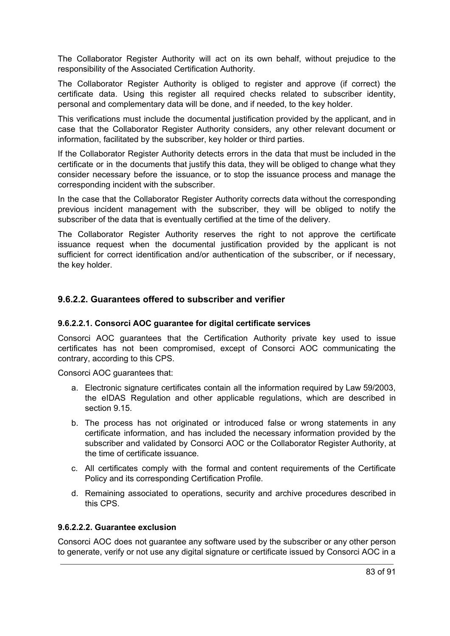The Collaborator Register Authority will act on its own behalf, without prejudice to the responsibility of the Associated Certification Authority.

The Collaborator Register Authority is obliged to register and approve (if correct) the certificate data. Using this register all required checks related to subscriber identity, personal and complementary data will be done, and if needed, to the key holder.

This verifications must include the documental justification provided by the applicant, and in case that the Collaborator Register Authority considers, any other relevant document or information, facilitated by the subscriber, key holder or third parties.

If the Collaborator Register Authority detects errors in the data that must be included in the certificate or in the documents that justify this data, they will be obliged to change what they consider necessary before the issuance, or to stop the issuance process and manage the corresponding incident with the subscriber.

In the case that the Collaborator Register Authority corrects data without the corresponding previous incident management with the subscriber, they will be obliged to notify the subscriber of the data that is eventually certified at the time of the delivery.

The Collaborator Register Authority reserves the right to not approve the certificate issuance request when the documental justification provided by the applicant is not sufficient for correct identification and/or authentication of the subscriber, or if necessary, the key holder.

#### **9.6.2.2. Guarantees offered to subscriber and verifier**

#### **9.6.2.2.1. Consorci AOC guarantee for digital certificate services**

Consorci AOC guarantees that the Certification Authority private key used to issue certificates has not been compromised, except of Consorci AOC communicating the contrary, according to this CPS.

Consorci AOC guarantees that:

- a. Electronic signature certificates contain all the information required by Law 59/2003, the eIDAS Regulation and other applicable regulations, which are described in section 9.15.
- b. The process has not originated or introduced false or wrong statements in any certificate information, and has included the necessary information provided by the subscriber and validated by Consorci AOC or the Collaborator Register Authority, at the time of certificate issuance.
- c. All certificates comply with the formal and content requirements of the Certificate Policy and its corresponding Certification Profile.
- d. Remaining associated to operations, security and archive procedures described in this CPS.

#### **9.6.2.2.2. Guarantee exclusion**

Consorci AOC does not guarantee any software used by the subscriber or any other person to generate, verify or not use any digital signature or certificate issued by Consorci AOC in a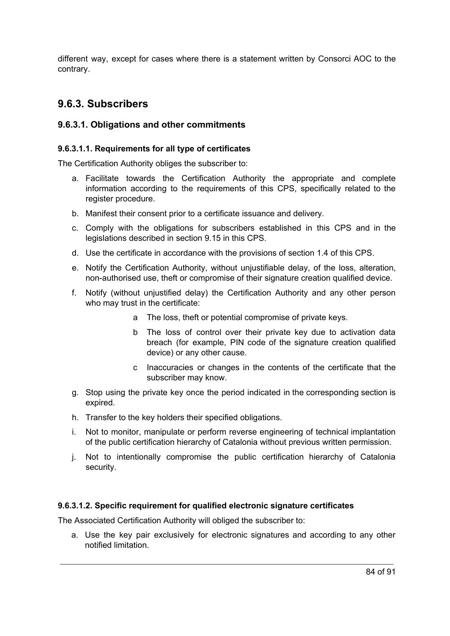different way, except for cases where there is a statement written by Consorci AOC to the contrary.

## **9.6.3. Subscribers**

#### **9.6.3.1. Obligations and other commitments**

#### **9.6.3.1.1. Requirements for all type of certificates**

The Certification Authority obliges the subscriber to:

- a. Facilitate towards the Certification Authority the appropriate and complete information according to the requirements of this CPS, specifically related to the register procedure.
- b. Manifest their consent prior to a certificate issuance and delivery.
- c. Comply with the obligations for subscribers established in this CPS and in the legislations described in section 9.15 in this CPS.
- d. Use the certificate in accordance with the provisions of section 1.4 of this CPS.
- e. Notify the Certification Authority, without unjustifiable delay, of the loss, alteration, non-authorised use, theft or compromise of their signature creation qualified device.
- f. Notify (without unjustified delay) the Certification Authority and any other person who may trust in the certificate:
	- a The loss, theft or potential compromise of private keys.
	- b The loss of control over their private key due to activation data breach (for example, PIN code of the signature creation qualified device) or any other cause.
	- c Inaccuracies or changes in the contents of the certificate that the subscriber may know.
- g. Stop using the private key once the period indicated in the corresponding section is expired.
- h. Transfer to the key holders their specified obligations.
- i. Not to monitor, manipulate or perform reverse engineering of technical implantation of the public certification hierarchy of Catalonia without previous written permission.
- j. Not to intentionally compromise the public certification hierarchy of Catalonia security.

#### **9.6.3.1.2. Specific requirement for qualified electronic signature certificates**

The Associated Certification Authority will obliged the subscriber to:

a. Use the key pair exclusively for electronic signatures and according to any other notified limitation.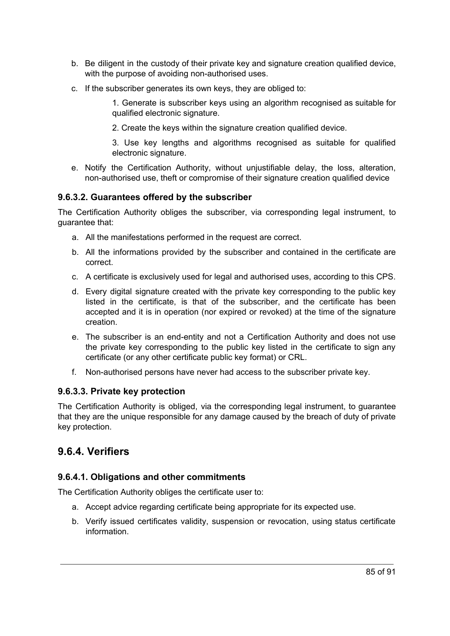- b. Be diligent in the custody of their private key and signature creation qualified device, with the purpose of avoiding non-authorised uses.
- c. If the subscriber generates its own keys, they are obliged to:

1. Generate is subscriber keys using an algorithm recognised as suitable for qualified electronic signature.

2. Create the keys within the signature creation qualified device.

3. Use key lengths and algorithms recognised as suitable for qualified electronic signature.

e. Notify the Certification Authority, without unjustifiable delay, the loss, alteration, non-authorised use, theft or compromise of their signature creation qualified device

#### **9.6.3.2. Guarantees offered by the subscriber**

The Certification Authority obliges the subscriber, via corresponding legal instrument, to guarantee that:

- a. All the manifestations performed in the request are correct.
- b. All the informations provided by the subscriber and contained in the certificate are correct.
- c. A certificate is exclusively used for legal and authorised uses, according to this CPS.
- d. Every digital signature created with the private key corresponding to the public key listed in the certificate, is that of the subscriber, and the certificate has been accepted and it is in operation (nor expired or revoked) at the time of the signature creation.
- e. The subscriber is an end-entity and not a Certification Authority and does not use the private key corresponding to the public key listed in the certificate to sign any certificate (or any other certificate public key format) or CRL.
- f. Non-authorised persons have never had access to the subscriber private key.

#### **9.6.3.3. Private key protection**

The Certification Authority is obliged, via the corresponding legal instrument, to guarantee that they are the unique responsible for any damage caused by the breach of duty of private key protection.

## **9.6.4. Verifiers**

#### **9.6.4.1. Obligations and other commitments**

The Certification Authority obliges the certificate user to:

- a. Accept advice regarding certificate being appropriate for its expected use.
- b. Verify issued certificates validity, suspension or revocation, using status certificate information.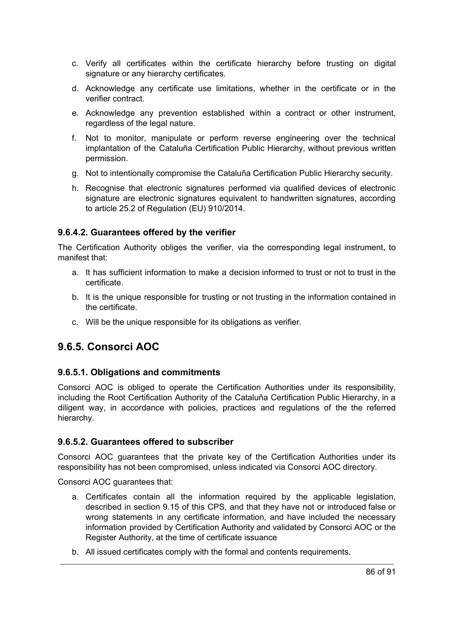- c. Verify all certificates within the certificate hierarchy before trusting on digital signature or any hierarchy certificates.
- d. Acknowledge any certificate use limitations, whether in the certificate or in the verifier contract.
- e. Acknowledge any prevention established within a contract or other instrument, regardless of the legal nature.
- f. Not to monitor, manipulate or perform reverse engineering over the technical implantation of the Cataluña Certification Public Hierarchy, without previous written permission.
- g. Not to intentionally compromise the Cataluña Certification Public Hierarchy security.
- h. Recognise that electronic signatures performed via qualified devices of electronic signature are electronic signatures equivalent to handwritten signatures, according to article 25.2 of Regulation (EU) 910/2014.

#### **9.6.4.2. Guarantees offered by the verifier**

The Certification Authority obliges the verifier, via the corresponding legal instrument, to manifest that:

- a. It has sufficient information to make a decision informed to trust or not to trust in the certificate.
- b. It is the unique responsible for trusting or not trusting in the information contained in the certificate.
- c. Will be the unique responsible for its obligations as verifier.

## **9.6.5. Consorci AOC**

#### **9.6.5.1. Obligations and commitments**

Consorci AOC is obliged to operate the Certification Authorities under its responsibility, including the Root Certification Authority of the Cataluña Certification Public Hierarchy, in a diligent way, in accordance with policies, practices and regulations of the the referred hierarchy.

#### **9.6.5.2. Guarantees offered to subscriber**

Consorci AOC guarantees that the private key of the Certification Authorities under its responsibility has not been compromised, unless indicated via Consorci AOC directory.

Consorci AOC guarantees that:

- a. Certificates contain all the information required by the applicable legislation, described in section 9.15 of this CPS, and that they have not or introduced false or wrong statements in any certificate information, and have included the necessary information provided by Certification Authority and validated by Consorci AOC or the Register Authority, at the time of certificate issuance
- b. All issued certificates comply with the formal and contents requirements.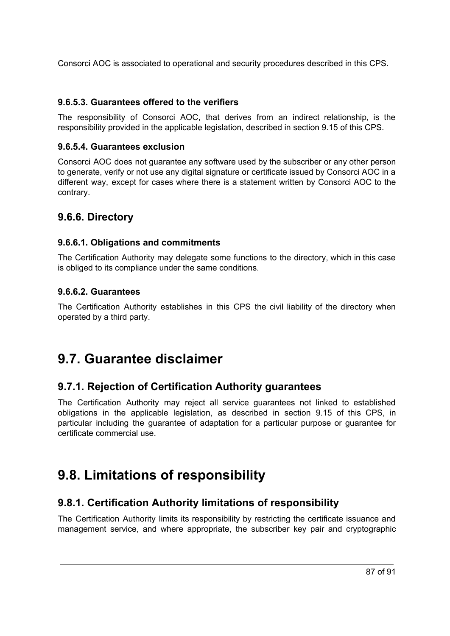Consorci AOC is associated to operational and security procedures described in this CPS.

#### **9.6.5.3. Guarantees offered to the verifiers**

The responsibility of Consorci AOC, that derives from an indirect relationship, is the responsibility provided in the applicable legislation, described in section 9.15 of this CPS.

#### **9.6.5.4. Guarantees exclusion**

Consorci AOC does not guarantee any software used by the subscriber or any other person to generate, verify or not use any digital signature or certificate issued by Consorci AOC in a different way, except for cases where there is a statement written by Consorci AOC to the contrary.

## **9.6.6. Directory**

#### **9.6.6.1. Obligations and commitments**

The Certification Authority may delegate some functions to the directory, which in this case is obliged to its compliance under the same conditions.

#### **9.6.6.2. Guarantees**

The Certification Authority establishes in this CPS the civil liability of the directory when operated by a third party.

## **9.7. Guarantee disclaimer**

## **9.7.1. Rejection of Certification Authority guarantees**

The Certification Authority may reject all service guarantees not linked to established obligations in the applicable legislation, as described in section 9.15 of this CPS, in particular including the guarantee of adaptation for a particular purpose or guarantee for certificate commercial use.

## **9.8. Limitations of responsibility**

## **9.8.1. Certification Authority limitations of responsibility**

The Certification Authority limits its responsibility by restricting the certificate issuance and management service, and where appropriate, the subscriber key pair and cryptographic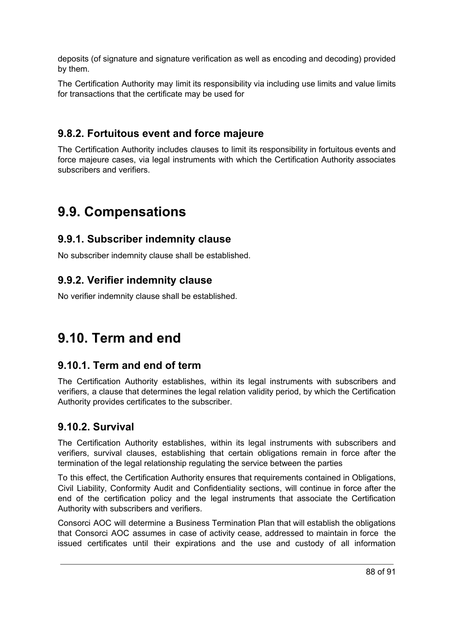deposits (of signature and signature verification as well as encoding and decoding) provided by them.

The Certification Authority may limit its responsibility via including use limits and value limits for transactions that the certificate may be used for

## **9.8.2. Fortuitous event and force majeure**

The Certification Authority includes clauses to limit its responsibility in fortuitous events and force majeure cases, via legal instruments with which the Certification Authority associates subscribers and verifiers.

## **9.9. Compensations**

### **9.9.1. Subscriber indemnity clause**

No subscriber indemnity clause shall be established.

## **9.9.2. Verifier indemnity clause**

No verifier indemnity clause shall be established.

## **9.10. Term and end**

## **9.10.1. Term and end of term**

The Certification Authority establishes, within its legal instruments with subscribers and verifiers, a clause that determines the legal relation validity period, by which the Certification Authority provides certificates to the subscriber.

## **9.10.2. Survival**

The Certification Authority establishes, within its legal instruments with subscribers and verifiers, survival clauses, establishing that certain obligations remain in force after the termination of the legal relationship regulating the service between the parties

To this effect, the Certification Authority ensures that requirements contained in Obligations, Civil Liability, Conformity Audit and Confidentiality sections, will continue in force after the end of the certification policy and the legal instruments that associate the Certification Authority with subscribers and verifiers.

Consorci AOC will determine a Business Termination Plan that will establish the obligations that Consorci AOC assumes in case of activity cease, addressed to maintain in force the issued certificates until their expirations and the use and custody of all information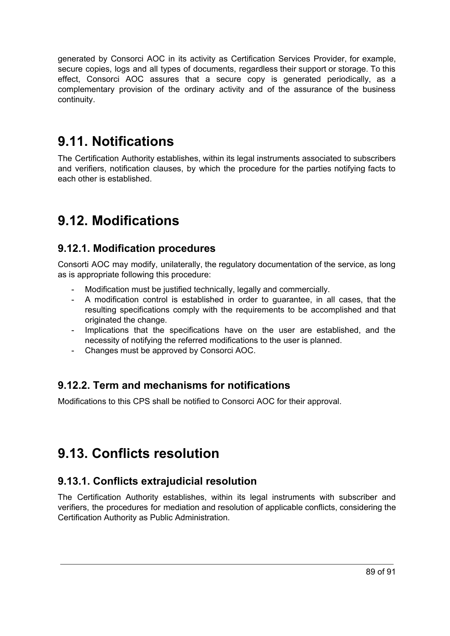generated by Consorci AOC in its activity as Certification Services Provider, for example, secure copies, logs and all types of documents, regardless their support or storage. To this effect, Consorci AOC assures that a secure copy is generated periodically, as a complementary provision of the ordinary activity and of the assurance of the business continuity.

## **9.11. Notifications**

The Certification Authority establishes, within its legal instruments associated to subscribers and verifiers, notification clauses, by which the procedure for the parties notifying facts to each other is established.

## **9.12. Modifications**

## **9.12.1. Modification procedures**

Consorti AOC may modify, unilaterally, the regulatory documentation of the service, as long as is appropriate following this procedure:

- Modification must be justified technically, legally and commercially.
- A modification control is established in order to guarantee, in all cases, that the resulting specifications comply with the requirements to be accomplished and that originated the change.
- Implications that the specifications have on the user are established, and the necessity of notifying the referred modifications to the user is planned.
- Changes must be approved by Consorci AOC.

## **9.12.2. Term and mechanisms for notifications**

Modifications to this CPS shall be notified to Consorci AOC for their approval.

## **9.13. Conflicts resolution**

## **9.13.1. Conflicts extrajudicial resolution**

The Certification Authority establishes, within its legal instruments with subscriber and verifiers, the procedures for mediation and resolution of applicable conflicts, considering the Certification Authority as Public Administration.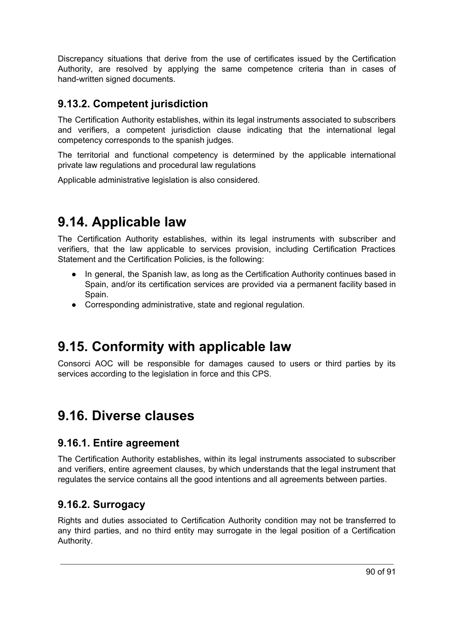Discrepancy situations that derive from the use of certificates issued by the Certification Authority, are resolved by applying the same competence criteria than in cases of hand-written signed documents.

## **9.13.2. Competent jurisdiction**

The Certification Authority establishes, within its legal instruments associated to subscribers and verifiers, a competent jurisdiction clause indicating that the international legal competency corresponds to the spanish judges.

The territorial and functional competency is determined by the applicable international private law regulations and procedural law regulations

Applicable administrative legislation is also considered.

## **9.14. Applicable law**

The Certification Authority establishes, within its legal instruments with subscriber and verifiers, that the law applicable to services provision, including Certification Practices Statement and the Certification Policies, is the following:

- In general, the Spanish law, as long as the Certification Authority continues based in Spain, and/or its certification services are provided via a permanent facility based in Spain.
- Corresponding administrative, state and regional regulation.

## **9.15. Conformity with applicable law**

Consorci AOC will be responsible for damages caused to users or third parties by its services according to the legislation in force and this CPS.

## **9.16. Diverse clauses**

### **9.16.1. Entire agreement**

The Certification Authority establishes, within its legal instruments associated to subscriber and verifiers, entire agreement clauses, by which understands that the legal instrument that regulates the service contains all the good intentions and all agreements between parties.

## **9.16.2. Surrogacy**

Rights and duties associated to Certification Authority condition may not be transferred to any third parties, and no third entity may surrogate in the legal position of a Certification Authority.